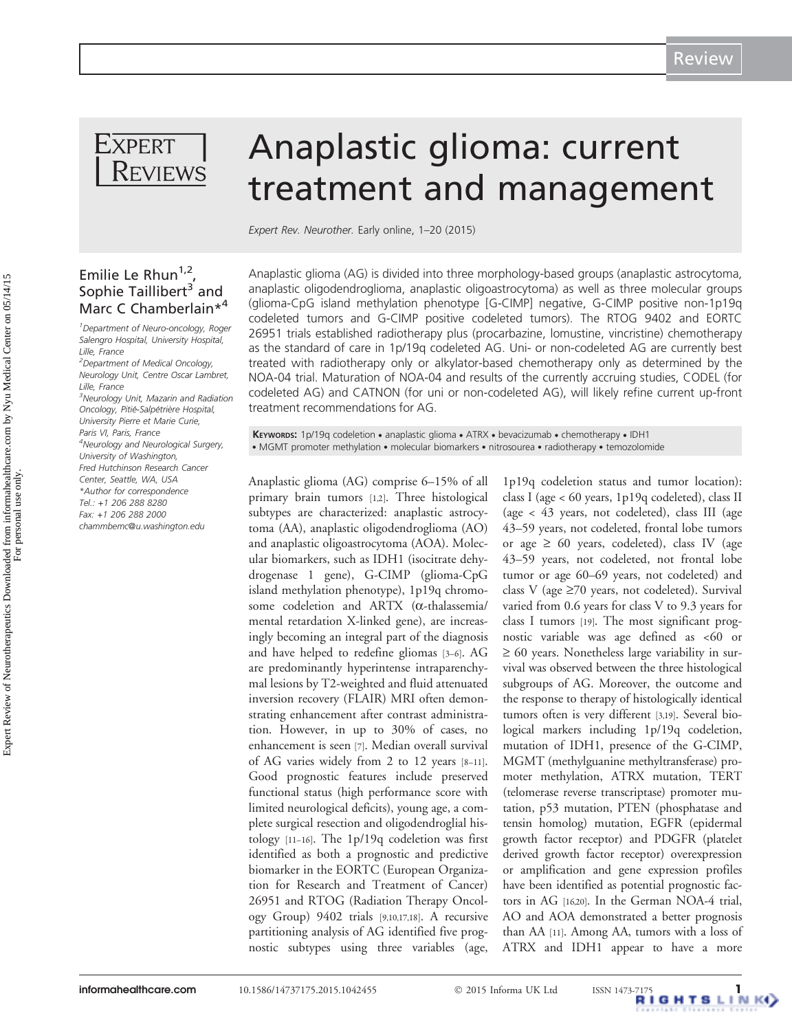

# Emilie Le Rhun<sup>1,2</sup> Sophie Taillibert<sup>3</sup> and Marc C Chamberlain\*<sup>4</sup>

<sup>1</sup> Department of Neuro-oncology, Roger Salengro Hospital, University Hospital, Lille, France

<sup>2</sup>Department of Medical Oncology, Neurology Unit, Centre Oscar Lambret, Lille, France

<sup>3</sup>Neurology Unit, Mazarin and Radiation Oncology, Pitié-Salpétrière Hospital, University Pierre et Marie Curie, Paris VI, Paris, France <sup>4</sup>Neurology and Neurological Surgery, University of Washington, Fred Hutchinson Research Cancer Center, Seattle, WA, USA \*Author for correspondence Tel.: +1 206 288 8280 Fax: +1 206 288 2000 [chammbemc@u.washington.edu](mailto:chammbemc@u.washington.edu)

# Anaplastic glioma: current treatment and management

Expert Rev. Neurother. Early online, 1–20 (2015)

Anaplastic glioma (AG) is divided into three morphology-based groups (anaplastic astrocytoma, anaplastic oligodendroglioma, anaplastic oligoastrocytoma) as well as three molecular groups (glioma-CpG island methylation phenotype [G-CIMP] negative, G-CIMP positive non-1p19q codeleted tumors and G-CIMP positive codeleted tumors). The RTOG 9402 and EORTC 26951 trials established radiotherapy plus (procarbazine, lomustine, vincristine) chemotherapy as the standard of care in 1p/19q codeleted AG. Uni- or non-codeleted AG are currently best treated with radiotherapy only or alkylator-based chemotherapy only as determined by the NOA-04 trial. Maturation of NOA-04 and results of the currently accruing studies, CODEL (for codeleted AG) and CATNON (for uni or non-codeleted AG), will likely refine current up-front treatment recommendations for AG.

KEYWORDS: 1p/19q codeletion . anaplastic glioma . ATRX . bevacizumab . chemotherapy . IDH1 . MGMT promoter methylation . molecular biomarkers . nitrosourea . radiotherapy . temozolomide

Anaplastic glioma (AG) comprise 6–15% of all primary brain tumors [[1,2\]](#page-14-0). Three histological subtypes are characterized: anaplastic astrocytoma (AA), anaplastic oligodendroglioma (AO) and anaplastic oligoastrocytoma (AOA). Molecular biomarkers, such as IDH1 (isocitrate dehydrogenase 1 gene), G-CIMP (glioma-CpG island methylation phenotype), 1p19q chromosome codeletion and ARTX (a-thalassemia/ mental retardation X-linked gene), are increasingly becoming an integral part of the diagnosis and have helped to redefine gliomas [[3](#page-14-0)–[6](#page-14-0)]. AG are predominantly hyperintense intraparenchymal lesions by T2-weighted and fluid attenuated inversion recovery (FLAIR) MRI often demonstrating enhancement after contrast administration. However, in up to 30% of cases, no enhancement is seen [\[7](#page-14-0)]. Median overall survival of AG varies widely from 2 to 12 years [\[8](#page-14-0)–[11\]](#page-15-0). Good prognostic features include preserved functional status (high performance score with limited neurological deficits), young age, a complete surgical resection and oligodendroglial histology [[11](#page-15-0)–[16\]](#page-15-0). The 1p/19q codeletion was first identified as both a prognostic and predictive biomarker in the EORTC (European Organization for Research and Treatment of Cancer) 26951 and RTOG (Radiation Therapy Oncology Group) 9402 trials [\[9,](#page-14-0)[10,17](#page-15-0),[18](#page-15-0)]. A recursive partitioning analysis of AG identified five prognostic subtypes using three variables (age,

1p19q codeletion status and tumor location): class I (age < 60 years, 1p19q codeleted), class II (age < 43 years, not codeleted), class III (age 43–59 years, not codeleted, frontal lobe tumors or age  $\geq 60$  years, codeleted), class IV (age 43–59 years, not codeleted, not frontal lobe tumor or age 60–69 years, not codeleted) and class V (age  $\geq$ 70 years, not codeleted). Survival varied from 0.6 years for class V to 9.3 years for class I tumors [[19](#page-15-0)]. The most significant prognostic variable was age defined as <60 or  $\geq 60$  years. Nonetheless large variability in survival was observed between the three histological subgroups of AG. Moreover, the outcome and the response to therapy of histologically identical tumors often is very different [[3](#page-14-0)[,19\]](#page-15-0). Several biological markers including 1p/19q codeletion, mutation of IDH1, presence of the G-CIMP, MGMT (methylguanine methyltransferase) promoter methylation, ATRX mutation, TERT (telomerase reverse transcriptase) promoter mutation, p53 mutation, PTEN (phosphatase and tensin homolog) mutation, EGFR (epidermal growth factor receptor) and PDGFR (platelet derived growth factor receptor) overexpression or amplification and gene expression profiles have been identified as potential prognostic factors in AG [\[16,20\]](#page-15-0). In the German NOA-4 trial, AO and AOA demonstrated a better prognosis than AA [\[11\]](#page-15-0). Among AA, tumors with a loss of ATRX and IDH1 appear to have a more

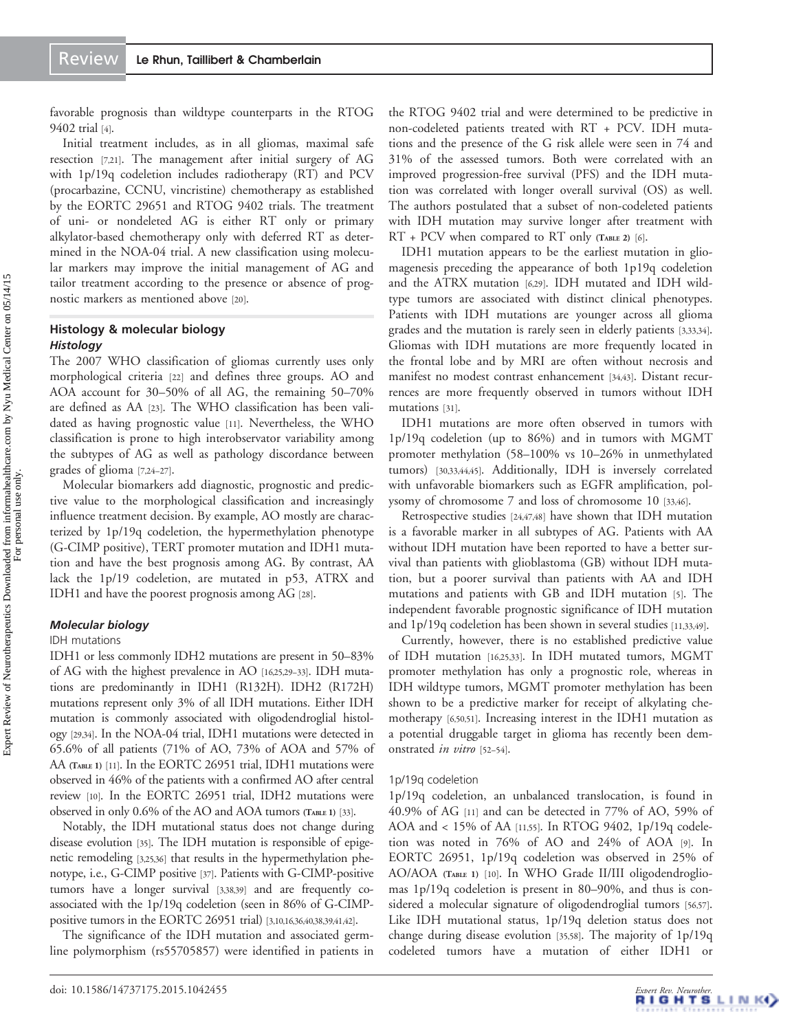favorable prognosis than wildtype counterparts in the RTOG 9402 trial [\[4](#page-14-0)].

Initial treatment includes, as in all gliomas, maximal safe resection [[7](#page-14-0)[,21](#page-15-0)]. The management after initial surgery of AG with 1p/19q codeletion includes radiotherapy (RT) and PCV (procarbazine, CCNU, vincristine) chemotherapy as established by the EORTC 29651 and RTOG 9402 trials. The treatment of uni- or nondeleted AG is either RT only or primary alkylator-based chemotherapy only with deferred RT as determined in the NOA-04 trial. A new classification using molecular markers may improve the initial management of AG and tailor treatment according to the presence or absence of prognostic markers as mentioned above [\[20](#page-15-0)].

# Histology & molecular biology **Histology**

The 2007 WHO classification of gliomas currently uses only morphological criteria [\[22](#page-15-0)] and defines three groups. AO and AOA account for 30–50% of all AG, the remaining 50–70% are defined as AA [\[23\]](#page-15-0). The WHO classification has been validated as having prognostic value [[11](#page-15-0)]. Nevertheless, the WHO classification is prone to high interobservator variability among the subtypes of AG as well as pathology discordance between grades of glioma [\[7](#page-14-0),[24](#page-15-0)–[27\]](#page-15-0).

Molecular biomarkers add diagnostic, prognostic and predictive value to the morphological classification and increasingly influence treatment decision. By example, AO mostly are characterized by 1p/19q codeletion, the hypermethylation phenotype (G-CIMP positive), TERT promoter mutation and IDH1 mutation and have the best prognosis among AG. By contrast, AA lack the 1p/19 codeletion, are mutated in p53, ATRX and IDH1 and have the poorest prognosis among AG [\[28\]](#page-15-0).

# Molecular biology

#### IDH mutations

IDH1 or less commonly IDH2 mutations are present in 50–83% of AG with the highest prevalence in AO [\[16,25](#page-15-0),[29](#page-15-0)–[33\]](#page-15-0). IDH mutations are predominantly in IDH1 (R132H). IDH2 (R172H) mutations represent only 3% of all IDH mutations. Either IDH mutation is commonly associated with oligodendroglial histology [\[29,34](#page-15-0)]. In the NOA-04 trial, IDH1 mutations were detected in 65.6% of all patients (71% of AO, 73% of AOA and 57% of AA [\(TABLE](#page-2-0) 1) [\[11\]](#page-15-0). In the EORTC 26951 trial, IDH1 mutations were observed in 46% of the patients with a confirmed AO after central review [[10](#page-15-0)]. In the EORTC 26951 trial, IDH2 mutations were observed in only 0.6% of the AO and AOA tumors [\(TABLE](#page-2-0) 1) [\[33\]](#page-15-0).

Notably, the IDH mutational status does not change during disease evolution [\[35\]](#page-15-0). The IDH mutation is responsible of epigenetic remodeling [\[3,](#page-14-0)[25,36\]](#page-15-0) that results in the hypermethylation phenotype, i.e., G-CIMP positive [\[37](#page-15-0)]. Patients with G-CIMP-positive tumors have a longer survival [\[3](#page-14-0)[,38,39](#page-15-0)] and are frequently coassociated with the 1p/19q codeletion (seen in 86% of G-CIMPpositive tumors in the EORTC 26951 trial) [\[3](#page-14-0)[,10,16](#page-15-0),[36](#page-15-0)[,40,](#page-16-0)[38](#page-15-0),[39](#page-15-0)[,41,42](#page-16-0)].

The significance of the IDH mutation and associated germline polymorphism (rs55705857) were identified in patients in the RTOG 9402 trial and were determined to be predictive in non-codeleted patients treated with RT + PCV. IDH mutations and the presence of the G risk allele were seen in 74 and 31% of the assessed tumors. Both were correlated with an improved progression-free survival (PFS) and the IDH mutation was correlated with longer overall survival (OS) as well. The authors postulated that a subset of non-codeleted patients with IDH mutation may survive longer after treatment with  $RT$  +  $PCV$  when compared to  $RT$  only [\(TABLE](#page-3-0) 2) [[6](#page-14-0)].

IDH1 mutation appears to be the earliest mutation in gliomagenesis preceding the appearance of both 1p19q codeletion and the ATRX mutation [\[6,](#page-14-0)[29\]](#page-15-0). IDH mutated and IDH wildtype tumors are associated with distinct clinical phenotypes. Patients with IDH mutations are younger across all glioma grades and the mutation is rarely seen in elderly patients [[3](#page-14-0)[,33,34\]](#page-15-0). Gliomas with IDH mutations are more frequently located in the frontal lobe and by MRI are often without necrosis and manifest no modest contrast enhancement [[34](#page-15-0),[43](#page-16-0)]. Distant recurrences are more frequently observed in tumors without IDH mutations [\[31\]](#page-15-0).

IDH1 mutations are more often observed in tumors with 1p/19q codeletion (up to 86%) and in tumors with MGMT promoter methylation (58–100% vs 10–26% in unmethylated tumors) [[30](#page-15-0),[33](#page-15-0),[44](#page-16-0),[45](#page-16-0)]. Additionally, IDH is inversely correlated with unfavorable biomarkers such as EGFR amplification, polysomy of chromosome 7 and loss of chromosome 10 [[33](#page-15-0),[46](#page-16-0)].

Retrospective studies [\[24](#page-15-0)[,47,48\]](#page-16-0) have shown that IDH mutation is a favorable marker in all subtypes of AG. Patients with AA without IDH mutation have been reported to have a better survival than patients with glioblastoma (GB) without IDH mutation, but a poorer survival than patients with AA and IDH mutations and patients with GB and IDH mutation [\[5\]](#page-14-0). The independent favorable prognostic significance of IDH mutation and 1p/19q codeletion has been shown in several studies [[11](#page-15-0),[33](#page-15-0),[49](#page-16-0)].

Currently, however, there is no established predictive value of IDH mutation [\[16,25,33\]](#page-15-0). In IDH mutated tumors, MGMT promoter methylation has only a prognostic role, whereas in IDH wildtype tumors, MGMT promoter methylation has been shown to be a predictive marker for receipt of alkylating chemotherapy [\[6,](#page-14-0)[50](#page-16-0),[51](#page-16-0)]. Increasing interest in the IDH1 mutation as a potential druggable target in glioma has recently been demonstrated in vitro [\[52](#page-16-0)–[54](#page-16-0)].

#### 1p/19q codeletion

1p/19q codeletion, an unbalanced translocation, is found in 40.9% of AG [\[11\]](#page-15-0) and can be detected in 77% of AO, 59% of AOA and < 15% of AA [[11](#page-15-0),[55](#page-16-0)]. In RTOG 9402, 1p/19q codeletion was noted in 76% of AO and 24% of AOA [\[9](#page-14-0)]. In EORTC 26951, 1p/19q codeletion was observed in 25% of AO/AOA [\(TABLE](#page-2-0) 1) [\[10\]](#page-15-0). In WHO Grade II/III oligodendrogliomas 1p/19q codeletion is present in 80–90%, and thus is considered a molecular signature of oligodendroglial tumors [\[56,57\]](#page-16-0). Like IDH mutational status, 1p/19q deletion status does not change during disease evolution [\[35](#page-15-0)[,58\]](#page-16-0). The majority of 1p/19q codeleted tumors have a mutation of either IDH1 or

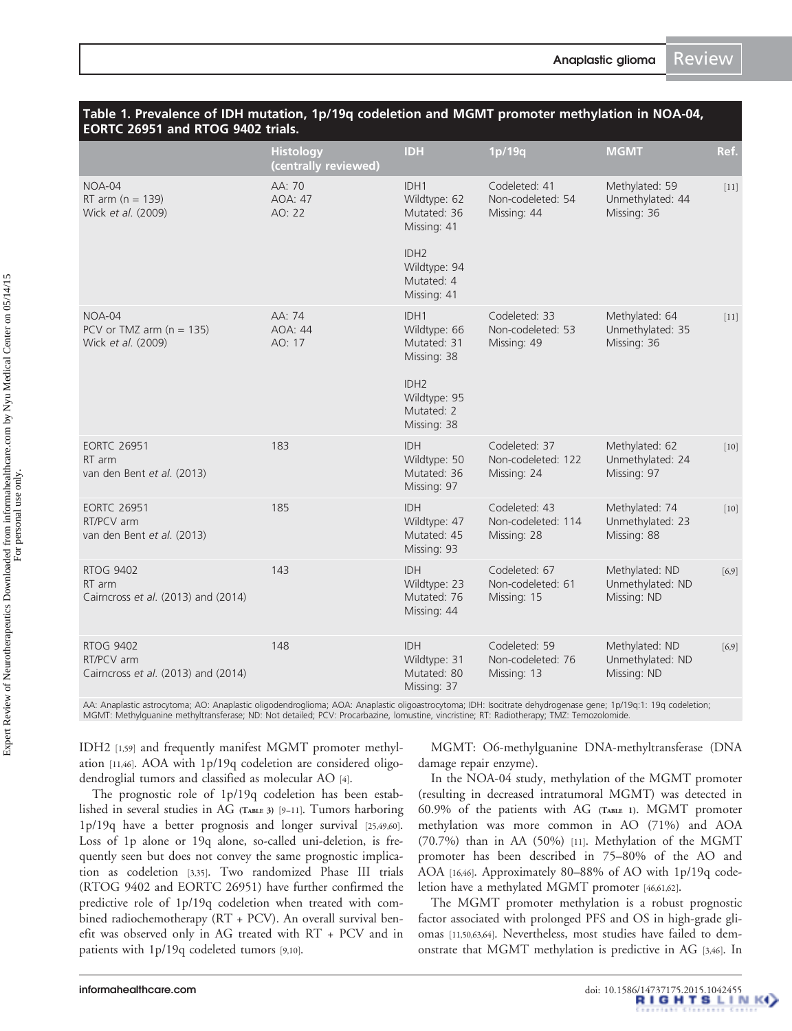<span id="page-2-0"></span>

| Table 1. Prevalence of IDH mutation, 1p/19q codeletion and MGMT promoter methylation in NOA-04, |
|-------------------------------------------------------------------------------------------------|
| <b>EORTC 26951 and RTOG 9402 trials.</b>                                                        |

|                                                                       | <b>Histology</b><br>(centrally reviewed) | <b>IDH</b>                                                                                                          | 1p/19q                                             | <b>MGMT</b>                                       | Ref.    |
|-----------------------------------------------------------------------|------------------------------------------|---------------------------------------------------------------------------------------------------------------------|----------------------------------------------------|---------------------------------------------------|---------|
| $NOA-04$<br>RT arm $(n = 139)$<br>Wick et al. (2009)                  | AA: 70<br>AOA: 47<br>AO: 22              | IDH1<br>Wildtype: 62<br>Mutated: 36<br>Missing: 41<br>IDH <sub>2</sub><br>Wildtype: 94<br>Mutated: 4<br>Missing: 41 | Codeleted: 41<br>Non-codeleted: 54<br>Missing: 44  | Methylated: 59<br>Unmethylated: 44<br>Missing: 36 | $[11]$  |
| $NOA-04$<br>PCV or TMZ arm $(n = 135)$<br>Wick et al. (2009)          | AA: 74<br>AOA: 44<br>AO: 17              | IDH1<br>Wildtype: 66<br>Mutated: 31<br>Missing: 38<br>IDH <sub>2</sub><br>Wildtype: 95<br>Mutated: 2<br>Missing: 38 | Codeleted: 33<br>Non-codeleted: 53<br>Missing: 49  | Methylated: 64<br>Unmethylated: 35<br>Missing: 36 | $[11]$  |
| <b>EORTC 26951</b><br>RT arm<br>van den Bent et al. (2013)            | 183                                      | <b>IDH</b><br>Wildtype: 50<br>Mutated: 36<br>Missing: 97                                                            | Codeleted: 37<br>Non-codeleted: 122<br>Missing: 24 | Methylated: 62<br>Unmethylated: 24<br>Missing: 97 | $[10]$  |
| <b>EORTC 26951</b><br>RT/PCV arm<br>van den Bent et al. (2013)        | 185                                      | <b>IDH</b><br>Wildtype: 47<br>Mutated: 45<br>Missing: 93                                                            | Codeleted: 43<br>Non-codeleted: 114<br>Missing: 28 | Methylated: 74<br>Unmethylated: 23<br>Missing: 88 | $[10]$  |
| <b>RTOG 9402</b><br>RT arm<br>Cairncross et al. (2013) and (2014)     | 143                                      | <b>IDH</b><br>Wildtype: 23<br>Mutated: 76<br>Missing: 44                                                            | Codeleted: 67<br>Non-codeleted: 61<br>Missing: 15  | Methylated: ND<br>Unmethylated: ND<br>Missing: ND | $[6,9]$ |
| <b>RTOG 9402</b><br>RT/PCV arm<br>Cairncross et al. (2013) and (2014) | 148                                      | <b>IDH</b><br>Wildtype: 31<br>Mutated: 80<br>Missing: 37                                                            | Codeleted: 59<br>Non-codeleted: 76<br>Missing: 13  | Methylated: ND<br>Unmethylated: ND<br>Missing: ND | $[6,9]$ |

AA: Anaplastic astrocytoma; AO: Anaplastic oligodendroglioma; AOA: Anaplastic oligoastrocytoma; IDH: Isocitrate dehydrogenase gene; 1p/19q:1: 19q codeletion; MGMT: Methylguanine methyltransferase; ND: Not detailed; PCV: Procarbazine, lomustine, vincristine; RT: Radiotherapy; TMZ: Temozolomide.

IDH2 [[1](#page-14-0),[59](#page-16-0)] and frequently manifest MGMT promoter methylation [\[11](#page-15-0)[,46](#page-16-0)]. AOA with 1p/19q codeletion are considered oligodendroglial tumors and classified as molecular AO [\[4\]](#page-14-0).

The prognostic role of 1p/19q codeletion has been established in several studies in AG [\(TABLE](#page-4-0) 3) [[9](#page-14-0)–[11](#page-15-0)]. Tumors harboring 1p/19q have a better prognosis and longer survival [\[25](#page-15-0)[,49,60\]](#page-16-0). Loss of 1p alone or 19q alone, so-called uni-deletion, is frequently seen but does not convey the same prognostic implication as codeletion [\[3,](#page-14-0)[35\]](#page-15-0). Two randomized Phase III trials (RTOG 9402 and EORTC 26951) have further confirmed the predictive role of 1p/19q codeletion when treated with combined radiochemotherapy (RT + PCV). An overall survival benefit was observed only in AG treated with RT + PCV and in patients with 1p/19q codeleted tumors [[9](#page-14-0)[,10](#page-15-0)].

MGMT: O6-methylguanine DNA-methyltransferase (DNA damage repair enzyme).

In the NOA-04 study, methylation of the MGMT promoter (resulting in decreased intratumoral MGMT) was detected in 60.9% of the patients with AG (TABLE 1). MGMT promoter methylation was more common in AO (71%) and AOA (70.7%) than in AA (50%) [[11](#page-15-0)]. Methylation of the MGMT promoter has been described in 75–80% of the AO and AOA [\[16,](#page-15-0)[46\]](#page-16-0). Approximately 80–88% of AO with 1p/19q codeletion have a methylated MGMT promoter [[46,61,62](#page-16-0)].

The MGMT promoter methylation is a robust prognostic factor associated with prolonged PFS and OS in high-grade gliomas [[11](#page-15-0),[50](#page-16-0),[63](#page-16-0),[64](#page-16-0)]. Nevertheless, most studies have failed to demonstrate that MGMT methylation is predictive in AG [[3](#page-14-0)[,46](#page-16-0)]. In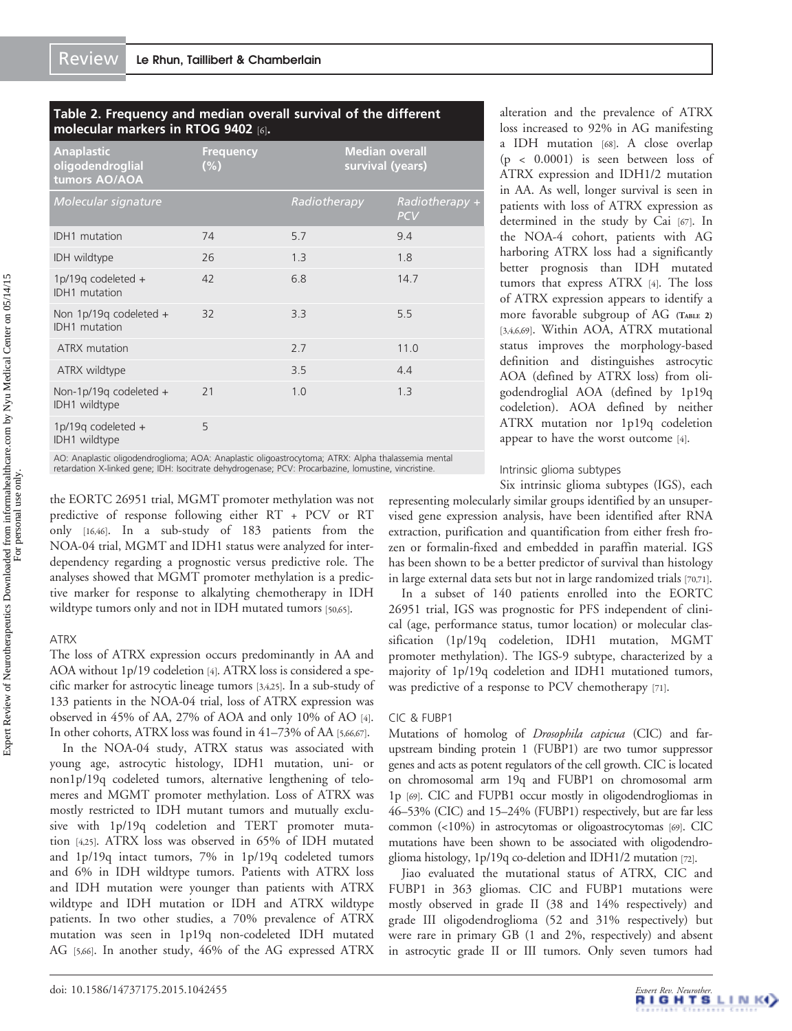# <span id="page-3-0"></span>Table 2. Frequency and median overall survival of the different molecular markers in RTOG 9402 [\[6](#page-14-0)].

| <b>Anaplastic</b><br>oligodendroglial<br>tumors AO/AOA | <b>Frequency</b><br>(%) |              | <b>Median overall</b><br>survival (years) |                              |
|--------------------------------------------------------|-------------------------|--------------|-------------------------------------------|------------------------------|
| <b>Molecular signature</b>                             |                         | Radiotherapy |                                           | Radiotherapy +<br><b>PCV</b> |
| <b>IDH1</b> mutation                                   | 74                      | 5.7          |                                           | 9.4                          |
| IDH wildtype                                           | 26                      | 1.3          |                                           | 1.8                          |
| 1p/19q codeleted $+$<br><b>IDH1</b> mutation           | 42                      | 6.8          |                                           | 14.7                         |
| Non 1p/19q codeleted +<br><b>IDH1</b> mutation         | 32                      | 3.3          |                                           | 5.5                          |
| ATRX mutation                                          |                         | 2.7          |                                           | 11.0                         |
| ATRX wildtype                                          |                         | 3.5          |                                           | 4.4                          |
| Non-1p/19q codeleted $+$<br>IDH1 wildtype              | 21                      | 1.0          |                                           | 1.3                          |
| 1p/19q codeleted +<br>IDH1 wildtype                    | 5                       |              |                                           |                              |

AO: Anaplastic oligodendroglioma; AOA: Anaplastic oligoastrocytoma; ATRX: Alpha thalassemia mental retardation X-linked gene; IDH: Isocitrate dehydrogenase; PCV: Procarbazine, lomustine, vincristine.

the EORTC 26951 trial, MGMT promoter methylation was not predictive of response following either RT + PCV or RT only [\[16,](#page-15-0)[46\]](#page-16-0). In a sub-study of 183 patients from the NOA-04 trial, MGMT and IDH1 status were analyzed for interdependency regarding a prognostic versus predictive role. The analyses showed that MGMT promoter methylation is a predictive marker for response to alkalyting chemotherapy in IDH wildtype tumors only and not in IDH mutated tumors [\[50,65](#page-16-0)].

# ATRX

The loss of ATRX expression occurs predominantly in AA and AOA without 1p/19 codeletion [[4\]](#page-14-0). ATRX loss is considered a specific marker for astrocytic lineage tumors [\[3,4](#page-14-0)[,25\]](#page-15-0). In a sub-study of 133 patients in the NOA-04 trial, loss of ATRX expression was observed in 45% of AA, 27% of AOA and only 10% of AO [[4](#page-14-0)]. In other cohorts, ATRX loss was found in 41–73% of AA [\[5,](#page-14-0)[66](#page-16-0),[67](#page-16-0)].

In the NOA-04 study, ATRX status was associated with young age, astrocytic histology, IDH1 mutation, uni- or non1p/19q codeleted tumors, alternative lengthening of telomeres and MGMT promoter methylation. Loss of ATRX was mostly restricted to IDH mutant tumors and mutually exclusive with 1p/19q codeletion and TERT promoter mutation [[4](#page-14-0)[,25\]](#page-15-0). ATRX loss was observed in 65% of IDH mutated and 1p/19q intact tumors, 7% in 1p/19q codeleted tumors and 6% in IDH wildtype tumors. Patients with ATRX loss and IDH mutation were younger than patients with ATRX wildtype and IDH mutation or IDH and ATRX wildtype patients. In two other studies, a 70% prevalence of ATRX mutation was seen in 1p19q non-codeleted IDH mutated AG [[5](#page-14-0)[,66\]](#page-16-0). In another study, 46% of the AG expressed ATRX alteration and the prevalence of ATRX loss increased to 92% in AG manifesting a IDH mutation [\[68\]](#page-16-0). A close overlap (p < 0.0001) is seen between loss of ATRX expression and IDH1/2 mutation in AA. As well, longer survival is seen in patients with loss of ATRX expression as determined in the study by Cai [[67](#page-16-0)]. In the NOA-4 cohort, patients with AG harboring ATRX loss had a significantly better prognosis than IDH mutated tumors that express ATRX [\[4\]](#page-14-0). The loss of ATRX expression appears to identify a more favorable subgroup of AG (TABLE 2) [\[3](#page-14-0),[4,6,](#page-14-0)[69](#page-16-0)]. Within AOA, ATRX mutational status improves the morphology-based definition and distinguishes astrocytic AOA (defined by ATRX loss) from oligodendroglial AOA (defined by 1p19q codeletion). AOA defined by neither ATRX mutation nor 1p19q codeletion appear to have the worst outcome [\[4](#page-14-0)].

#### Intrinsic glioma subtypes

Six intrinsic glioma subtypes (IGS), each

representing molecularly similar groups identified by an unsupervised gene expression analysis, have been identified after RNA extraction, purification and quantification from either fresh frozen or formalin-fixed and embedded in paraffin material. IGS has been shown to be a better predictor of survival than histology in large external data sets but not in large randomized trials [\[70,71\]](#page-16-0).

In a subset of 140 patients enrolled into the EORTC 26951 trial, IGS was prognostic for PFS independent of clinical (age, performance status, tumor location) or molecular classification (1p/19q codeletion, IDH1 mutation, MGMT promoter methylation). The IGS-9 subtype, characterized by a majority of 1p/19q codeletion and IDH1 mutationed tumors, was predictive of a response to PCV chemotherapy [\[71\]](#page-16-0).

#### CIC & FUBP1

Mutations of homolog of Drosophila capicua (CIC) and farupstream binding protein 1 (FUBP1) are two tumor suppressor genes and acts as potent regulators of the cell growth. CIC is located on chromosomal arm 19q and FUBP1 on chromosomal arm 1p [\[69](#page-16-0)]. CIC and FUPB1 occur mostly in oligodendrogliomas in 46–53% (CIC) and 15–24% (FUBP1) respectively, but are far less common (<10%) in astrocytomas or oligoastrocytomas [[69](#page-16-0)]. CIC mutations have been shown to be associated with oligodendroglioma histology, 1p/19q co-deletion and IDH1/2 mutation [\[72](#page-16-0)].

Jiao evaluated the mutational status of ATRX, CIC and FUBP1 in 363 gliomas. CIC and FUBP1 mutations were mostly observed in grade II (38 and 14% respectively) and grade III oligodendroglioma (52 and 31% respectively) but were rare in primary GB (1 and 2%, respectively) and absent in astrocytic grade II or III tumors. Only seven tumors had

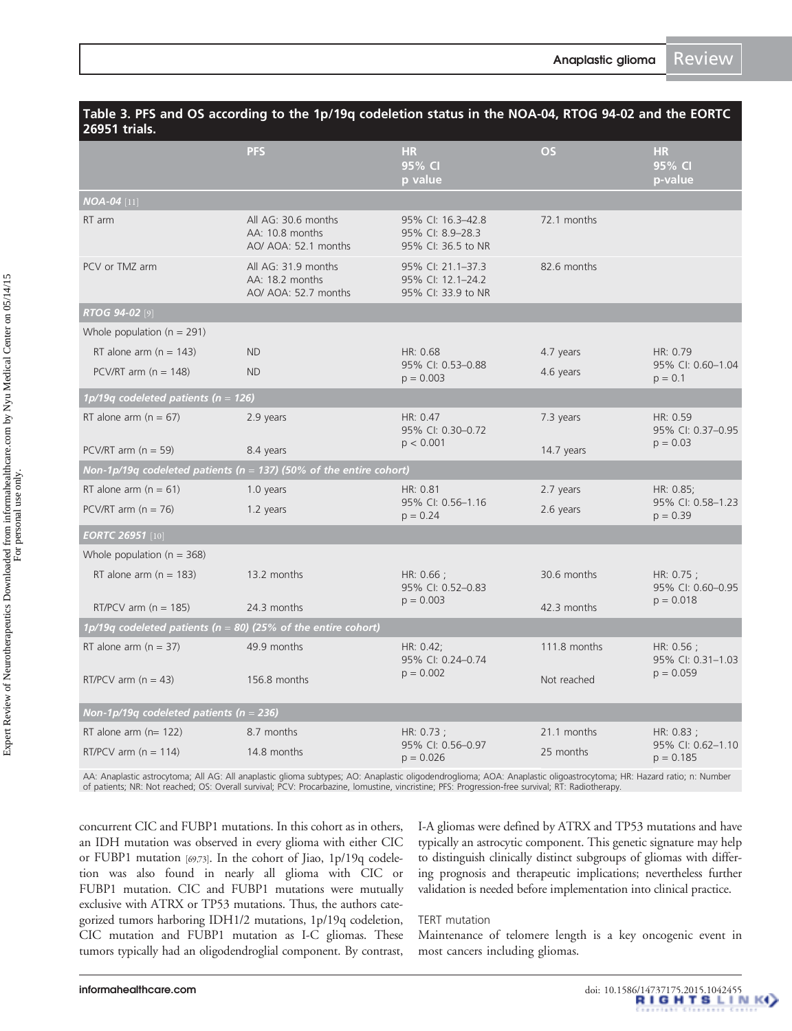| 26951 trials.                               |                                                                        |                                                              |              |                                   |
|---------------------------------------------|------------------------------------------------------------------------|--------------------------------------------------------------|--------------|-----------------------------------|
|                                             | <b>PFS</b>                                                             | <b>HR</b><br>95% CI<br>p value                               | <b>OS</b>    | <b>HR</b><br>95% CI<br>p-value    |
| $NOA-04$ [11]                               |                                                                        |                                                              |              |                                   |
| RT arm                                      | All AG: 30.6 months<br>AA: 10.8 months<br>AO/ AOA: 52.1 months         | 95% CI: 16.3-42.8<br>95% CI: 8.9-28.3<br>95% CI: 36.5 to NR  | 72.1 months  |                                   |
| PCV or TMZ arm                              | All AG: 31.9 months<br>AA: 18.2 months<br>AO/ AOA: 52.7 months         | 95% CI: 21.1-37.3<br>95% CI: 12.1-24.2<br>95% CI: 33.9 to NR | 82.6 months  |                                   |
| RTOG 94-02 [9]                              |                                                                        |                                                              |              |                                   |
| Whole population ( $n = 291$ )              |                                                                        |                                                              |              |                                   |
| RT alone arm $(n = 143)$                    | <b>ND</b>                                                              | HR: 0.68                                                     | 4.7 years    | HR: 0.79                          |
| PCV/RT arm ( $n = 148$ )                    | <b>ND</b>                                                              | 95% CI: 0.53-0.88<br>$p = 0.003$                             | 4.6 years    | 95% CI: 0.60-1.04<br>$p = 0.1$    |
| 1p/19q codeleted patients ( $n = 126$ )     |                                                                        |                                                              |              |                                   |
| RT alone arm $(n = 67)$                     | 2.9 years                                                              | HR: 0.47<br>95% CI: 0.30-0.72                                | 7.3 years    | HR: 0.59<br>95% CI: 0.37-0.95     |
| PCV/RT arm $(n = 59)$                       | 8.4 years                                                              | p < 0.001                                                    | 14.7 years   | $p = 0.03$                        |
|                                             | Non-1p/19q codeleted patients ( $n = 137$ ) (50% of the entire cohort) |                                                              |              |                                   |
| RT alone arm $(n = 61)$                     | 1.0 years                                                              | HR: 0.81                                                     | 2.7 years    | HR: 0.85;                         |
| PCV/RT arm $(n = 76)$                       | 1.2 years                                                              | 95% CI: 0.56-1.16<br>$p = 0.24$                              | 2.6 years    | 95% CI: 0.58-1.23<br>$p = 0.39$   |
| <b>EORTC 26951 [10]</b>                     |                                                                        |                                                              |              |                                   |
| Whole population ( $n = 368$ )              |                                                                        |                                                              |              |                                   |
| RT alone arm $(n = 183)$                    | 13.2 months                                                            | HR: $0.66$ ;<br>95% CI: 0.52-0.83                            | 30.6 months  | HR: $0.75$ ;<br>95% CI: 0.60-0.95 |
| RT/PCV arm $(n = 185)$                      | 24.3 months                                                            | $p = 0.003$                                                  | 42.3 months  | $p = 0.018$                       |
|                                             | 1p/19q codeleted patients ( $n = 80$ ) (25% of the entire cohort)      |                                                              |              |                                   |
| RT alone arm $(n = 37)$                     | 49.9 months                                                            | HR: 0.42;<br>95% CI: 0.24-0.74                               | 111.8 months | HR: $0.56$ ;<br>95% CI: 0.31-1.03 |
| RT/PCV arm $(n = 43)$                       | 156.8 months                                                           | $p = 0.002$                                                  | Not reached  | $p = 0.059$                       |
| Non-1p/19q codeleted patients ( $n = 236$ ) |                                                                        |                                                              |              |                                   |
| RT alone arm $(n=122)$                      | 8.7 months                                                             | HR: $0.73$ ;                                                 | 21.1 months  | HR: $0.83$ ;                      |
| RT/PCV arm ( $n = 114$ )                    | 14.8 months                                                            | 95% CI: 0.56-0.97<br>$p = 0.026$                             | 25 months    | 95% CI: 0.62-1.10<br>$p = 0.185$  |

# <span id="page-4-0"></span>Table 3. PFS and OS according to the 1p/19q codeletion status in the NOA-04, RTOG 94-02 and the EORTC

AA: Anaplastic astrocytoma; All AG: All anaplastic glioma subtypes; AO: Anaplastic oligodendroglioma; AOA: Anaplastic oligoastrocytoma; HR: Hazard ratio; n: Number<br>of patients; NR: Not reached; OS: Overall survival; PCV: P

concurrent CIC and FUBP1 mutations. In this cohort as in others, an IDH mutation was observed in every glioma with either CIC or FUBP1 mutation [[69](#page-16-0)[,73\]](#page-17-0). In the cohort of Jiao, 1p/19q codeletion was also found in nearly all glioma with CIC or FUBP1 mutation. CIC and FUBP1 mutations were mutually exclusive with ATRX or TP53 mutations. Thus, the authors categorized tumors harboring IDH1/2 mutations, 1p/19q codeletion, CIC mutation and FUBP1 mutation as I-C gliomas. These tumors typically had an oligodendroglial component. By contrast, I-A gliomas were defined by ATRX and TP53 mutations and have typically an astrocytic component. This genetic signature may help to distinguish clinically distinct subgroups of gliomas with differing prognosis and therapeutic implications; nevertheless further validation is needed before implementation into clinical practice.

# TERT mutation

Maintenance of telomere length is a key oncogenic event in most cancers including gliomas.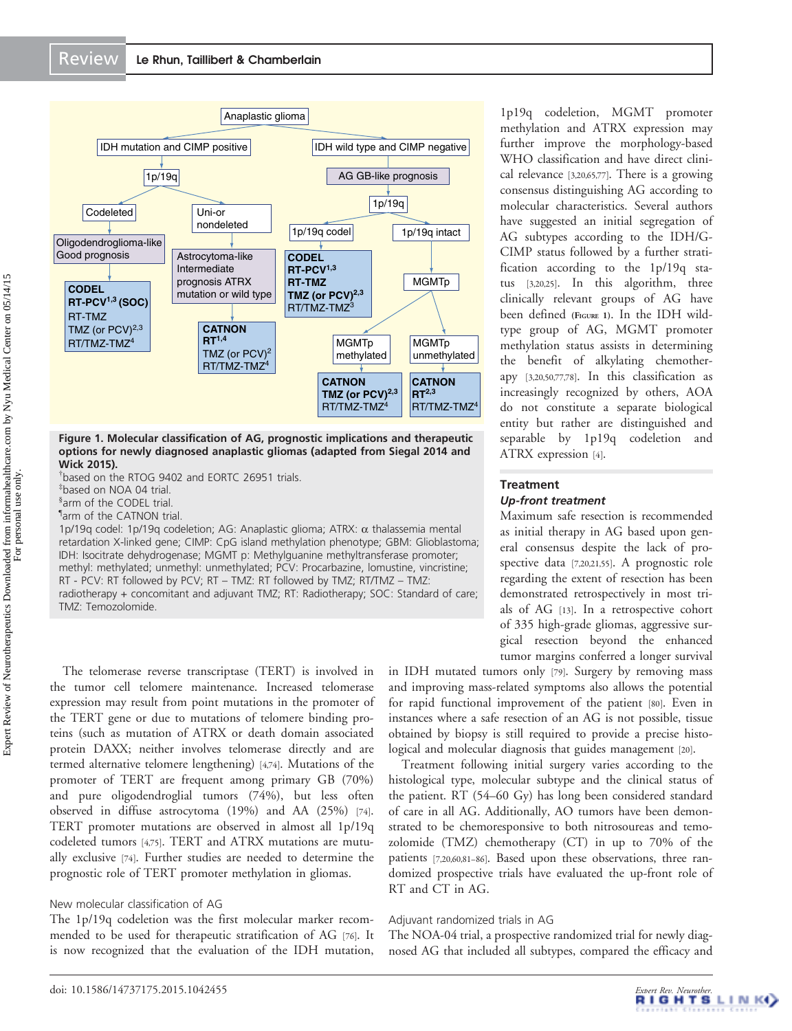<span id="page-5-0"></span>

Figure 1. Molecular classification of AG, prognostic implications and therapeutic options for newly diagnosed anaplastic gliomas (adapted from Siegal 2014 and Wick 2015).

† based on the RTOG 9402 and EORTC 26951 trials.

‡ based on NOA 04 trial.

§ arm of the CODEL trial.

¶ arm of the CATNON trial.

1p/19q codel: 1p/19q codeletion; AG: Anaplastic glioma; ATRX:  $\alpha$  thalassemia mental retardation X-linked gene; CIMP: CpG island methylation phenotype; GBM: Glioblastoma; IDH: Isocitrate dehydrogenase; MGMT p: Methylguanine methyltransferase promoter; methyl: methylated; unmethyl: unmethylated; PCV: Procarbazine, lomustine, vincristine; RT - PCV: RT followed by PCV; RT – TMZ: RT followed by TMZ; RT/TMZ – TMZ: radiotherapy + concomitant and adjuvant TMZ; RT: Radiotherapy; SOC: Standard of care; TMZ: Temozolomide.

The telomerase reverse transcriptase (TERT) is involved in the tumor cell telomere maintenance. Increased telomerase expression may result from point mutations in the promoter of the TERT gene or due to mutations of telomere binding proteins (such as mutation of ATRX or death domain associated protein DAXX; neither involves telomerase directly and are termed alternative telomere lengthening) [\[4](#page-14-0),[74](#page-17-0)]. Mutations of the promoter of TERT are frequent among primary GB (70%) and pure oligodendroglial tumors (74%), but less often observed in diffuse astrocytoma (19%) and AA (25%) [\[74](#page-17-0)]. TERT promoter mutations are observed in almost all 1p/19q codeleted tumors [\[4](#page-14-0),[75](#page-17-0)]. TERT and ATRX mutations are mutually exclusive [[74](#page-17-0)]. Further studies are needed to determine the prognostic role of TERT promoter methylation in gliomas.

#### New molecular classification of AG

The 1p/19q codeletion was the first molecular marker recommended to be used for therapeutic stratification of AG [[76](#page-17-0)]. It is now recognized that the evaluation of the IDH mutation,

1p19q codeletion, MGMT promoter methylation and ATRX expression may further improve the morphology-based WHO classification and have direct clinical relevance [\[3](#page-14-0),[20](#page-15-0),[65](#page-16-0),[77](#page-17-0)]. There is a growing consensus distinguishing AG according to molecular characteristics. Several authors have suggested an initial segregation of AG subtypes according to the IDH/G-CIMP status followed by a further stratification according to the 1p/19q status [\[3,](#page-14-0)[20,25\]](#page-15-0). In this algorithm, three clinically relevant groups of AG have been defined (FIGURE 1). In the IDH wildtype group of AG, MGMT promoter methylation status assists in determining the benefit of alkylating chemotherapy [[3](#page-14-0)[,20](#page-15-0)[,50](#page-16-0)[,77,78\]](#page-17-0). In this classification as increasingly recognized by others, AOA do not constitute a separate biological entity but rather are distinguished and separable by 1p19q codeletion and ATRX expression [\[4\]](#page-14-0).

# **Treatment** Up-front treatment

Maximum safe resection is recommended as initial therapy in AG based upon general consensus despite the lack of prospective data [\[7](#page-14-0),[20](#page-15-0),[21](#page-15-0),[55](#page-16-0)]. A prognostic role regarding the extent of resection has been demonstrated retrospectively in most trials of AG [[13](#page-15-0)]. In a retrospective cohort of 335 high-grade gliomas, aggressive surgical resection beyond the enhanced tumor margins conferred a longer survival

in IDH mutated tumors only [\[79](#page-17-0)]. Surgery by removing mass and improving mass-related symptoms also allows the potential for rapid functional improvement of the patient [\[80\]](#page-17-0). Even in instances where a safe resection of an AG is not possible, tissue obtained by biopsy is still required to provide a precise histological and molecular diagnosis that guides management [\[20\]](#page-15-0).

Treatment following initial surgery varies according to the histological type, molecular subtype and the clinical status of the patient. RT (54–60 Gy) has long been considered standard of care in all AG. Additionally, AO tumors have been demonstrated to be chemoresponsive to both nitrosoureas and temozolomide (TMZ) chemotherapy (CT) in up to 70% of the patients [\[7,](#page-14-0)[20,](#page-15-0)[60,](#page-16-0)[81](#page-17-0)–[86\]](#page-17-0). Based upon these observations, three randomized prospective trials have evaluated the up-front role of RT and CT in AG.

#### Adjuvant randomized trials in AG

The NOA-04 trial, a prospective randomized trial for newly diagnosed AG that included all subtypes, compared the efficacy and

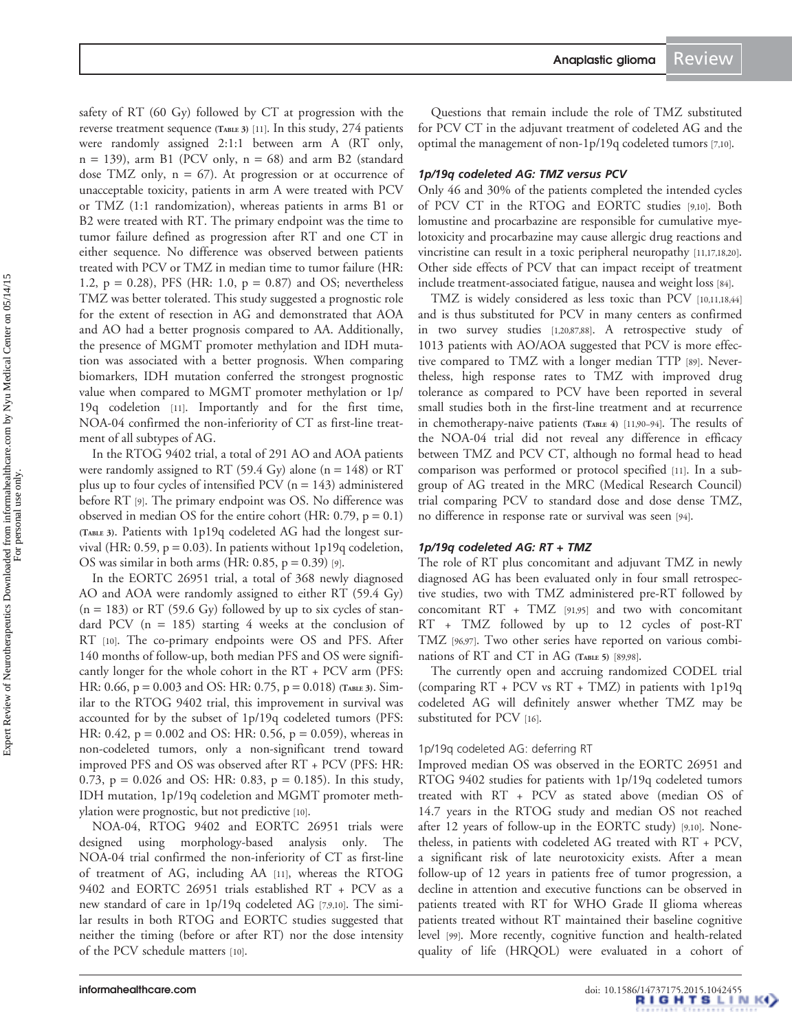Anaplastic glioma Review

safety of RT (60 Gy) followed by CT at progression with the reverse treatment sequence [\(TABLE](#page-4-0) 3) [\[11](#page-15-0)]. In this study, 274 patients were randomly assigned 2:1:1 between arm A (RT only,  $n = 139$ ), arm B1 (PCV only,  $n = 68$ ) and arm B2 (standard dose TMZ only,  $n = 67$ ). At progression or at occurrence of unacceptable toxicity, patients in arm A were treated with PCV or TMZ (1:1 randomization), whereas patients in arms B1 or B2 were treated with RT. The primary endpoint was the time to tumor failure defined as progression after RT and one CT in either sequence. No difference was observed between patients treated with PCV or TMZ in median time to tumor failure (HR: 1.2,  $p = 0.28$ ), PFS (HR: 1.0,  $p = 0.87$ ) and OS; nevertheless TMZ was better tolerated. This study suggested a prognostic role for the extent of resection in AG and demonstrated that AOA and AO had a better prognosis compared to AA. Additionally, the presence of MGMT promoter methylation and IDH mutation was associated with a better prognosis. When comparing biomarkers, IDH mutation conferred the strongest prognostic value when compared to MGMT promoter methylation or 1p/ 19q codeletion [[11](#page-15-0)]. Importantly and for the first time, NOA-04 confirmed the non-inferiority of CT as first-line treatment of all subtypes of AG.

In the RTOG 9402 trial, a total of 291 AO and AOA patients were randomly assigned to RT (59.4 Gy) alone ( $n = 148$ ) or RT plus up to four cycles of intensified PCV ( $n = 143$ ) administered before RT [[9](#page-14-0)]. The primary endpoint was OS. No difference was observed in median OS for the entire cohort (HR:  $0.79$ ,  $p = 0.1$ ) [\(TABLE](#page-4-0) 3). Patients with 1p19q codeleted AG had the longest survival (HR: 0.59,  $p = 0.03$ ). In patients without 1p19q codeletion, OS was similar in both arms (HR:  $0.85$ ,  $p = 0.39$ ) [\[9\]](#page-14-0).

In the EORTC 26951 trial, a total of 368 newly diagnosed AO and AOA were randomly assigned to either RT (59.4 Gy)  $(n = 183)$  or RT (59.6 Gy) followed by up to six cycles of standard PCV  $(n = 185)$  starting 4 weeks at the conclusion of RT [\[10\]](#page-15-0). The co-primary endpoints were OS and PFS. After 140 months of follow-up, both median PFS and OS were significantly longer for the whole cohort in the RT + PCV arm (PFS: HR: 0.66,  $p = 0.003$  and OS: HR: 0.75,  $p = 0.018$ ) [\(TABLE](#page-4-0) 3). Similar to the RTOG 9402 trial, this improvement in survival was accounted for by the subset of 1p/19q codeleted tumors (PFS: HR: 0.42,  $p = 0.002$  and OS: HR: 0.56,  $p = 0.059$ ), whereas in non-codeleted tumors, only a non-significant trend toward improved PFS and OS was observed after RT + PCV (PFS: HR: 0.73,  $p = 0.026$  and OS: HR: 0.83,  $p = 0.185$ ). In this study, IDH mutation, 1p/19q codeletion and MGMT promoter methylation were prognostic, but not predictive [[10](#page-15-0)].

NOA-04, RTOG 9402 and EORTC 26951 trials were designed using morphology-based analysis only. The NOA-04 trial confirmed the non-inferiority of CT as first-line of treatment of AG, including AA [[11](#page-15-0)], whereas the RTOG 9402 and EORTC 26951 trials established RT + PCV as a new standard of care in 1p/19q codeleted AG [[7](#page-14-0),[9](#page-14-0)[,10\]](#page-15-0). The similar results in both RTOG and EORTC studies suggested that neither the timing (before or after RT) nor the dose intensity of the PCV schedule matters [\[10\]](#page-15-0).

Questions that remain include the role of TMZ substituted for PCV CT in the adjuvant treatment of codeleted AG and the optimal the management of non-1p/19q codeleted tumors [\[7,](#page-14-0)[10\]](#page-15-0).

#### 1p/19q codeleted AG: TMZ versus PCV

Only 46 and 30% of the patients completed the intended cycles of PCV CT in the RTOG and EORTC studies [\[9,](#page-14-0)[10](#page-15-0)]. Both lomustine and procarbazine are responsible for cumulative myelotoxicity and procarbazine may cause allergic drug reactions and vincristine can result in a toxic peripheral neuropathy [\[11,17,18](#page-15-0),[20](#page-15-0)]. Other side effects of PCV that can impact receipt of treatment include treatment-associated fatigue, nausea and weight loss [[84](#page-17-0)].

TMZ is widely considered as less toxic than PCV [\[10,11,18](#page-15-0)[,44\]](#page-16-0) and is thus substituted for PCV in many centers as confirmed in two survey studies [\[1,](#page-14-0)[20,](#page-15-0)[87,88](#page-17-0)]. A retrospective study of 1013 patients with AO/AOA suggested that PCV is more effective compared to TMZ with a longer median TTP [\[89\]](#page-17-0). Nevertheless, high response rates to TMZ with improved drug tolerance as compared to PCV have been reported in several small studies both in the first-line treatment and at recurrence in chemotherapy-naive patients [\(TABLE](#page-7-0) 4) [\[11](#page-15-0)[,90](#page-17-0)–[94](#page-17-0)]. The results of the NOA-04 trial did not reveal any difference in efficacy between TMZ and PCV CT, although no formal head to head comparison was performed or protocol specified [\[11\]](#page-15-0). In a subgroup of AG treated in the MRC (Medical Research Council) trial comparing PCV to standard dose and dose dense TMZ, no difference in response rate or survival was seen [\[94](#page-17-0)].

#### 1p/19q codeleted AG: RT + TMZ

The role of RT plus concomitant and adjuvant TMZ in newly diagnosed AG has been evaluated only in four small retrospective studies, two with TMZ administered pre-RT followed by concomitant RT + TMZ [\[91,95\]](#page-17-0) and two with concomitant RT + TMZ followed by up to 12 cycles of post-RT TMZ [[96](#page-17-0),[97](#page-17-0)]. Two other series have reported on various combi-nations of RT and CT in AG [\(TABLE](#page-8-0) 5) [[89](#page-17-0),[98](#page-17-0)].

The currently open and accruing randomized CODEL trial (comparing RT + PCV vs RT + TMZ) in patients with 1p19q codeleted AG will definitely answer whether TMZ may be substituted for PCV [[16](#page-15-0)].

#### 1p/19q codeleted AG: deferring RT

Improved median OS was observed in the EORTC 26951 and RTOG 9402 studies for patients with 1p/19q codeleted tumors treated with RT + PCV as stated above (median OS of 14.7 years in the RTOG study and median OS not reached after 12 years of follow-up in the EORTC study) [\[9,](#page-14-0)[10\]](#page-15-0). Nonetheless, in patients with codeleted AG treated with RT + PCV, a significant risk of late neurotoxicity exists. After a mean follow-up of 12 years in patients free of tumor progression, a decline in attention and executive functions can be observed in patients treated with RT for WHO Grade II glioma whereas patients treated without RT maintained their baseline cognitive level [[99](#page-17-0)]. More recently, cognitive function and health-related quality of life (HRQOL) were evaluated in a cohort of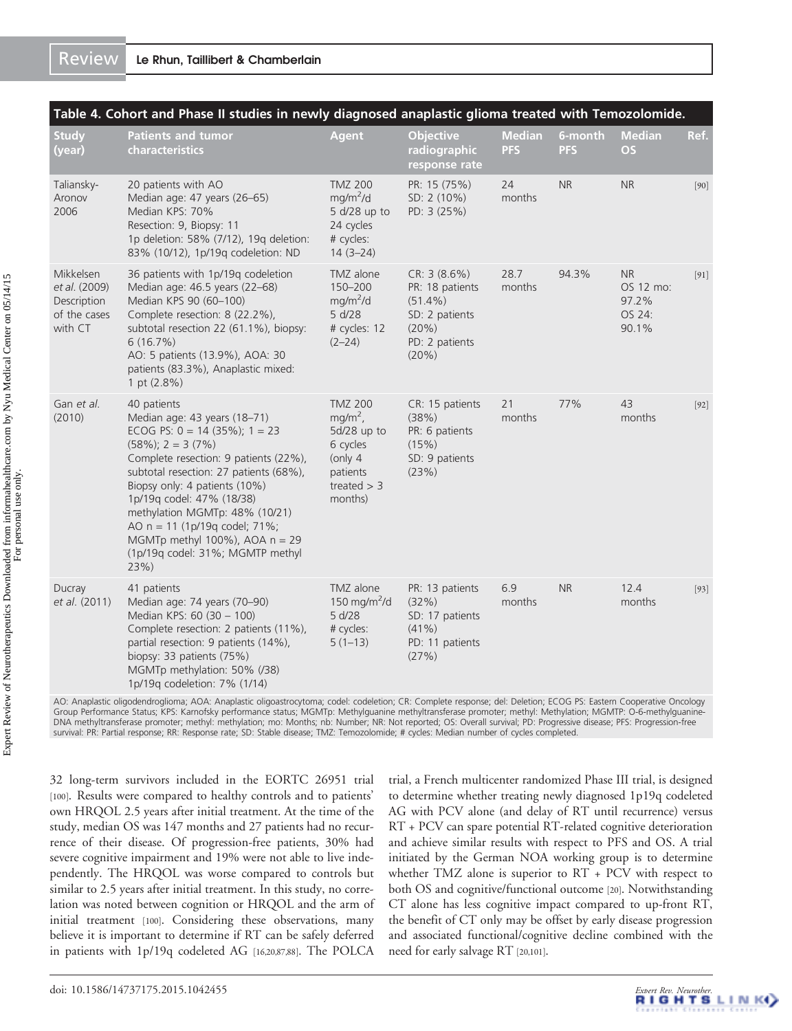<span id="page-7-0"></span>

|                                                                      | Table 4. Cohort and Phase II studies in newly diagnosed anaplastic glioma treated with Temozolomide.                                                                                                                                                                                                                                                                                                                |                                                                                                             |                                                                                                     |                             |                       |                                                    |        |
|----------------------------------------------------------------------|---------------------------------------------------------------------------------------------------------------------------------------------------------------------------------------------------------------------------------------------------------------------------------------------------------------------------------------------------------------------------------------------------------------------|-------------------------------------------------------------------------------------------------------------|-----------------------------------------------------------------------------------------------------|-----------------------------|-----------------------|----------------------------------------------------|--------|
| <b>Study</b><br>(year)                                               | <b>Patients and tumor</b><br>characteristics                                                                                                                                                                                                                                                                                                                                                                        | <b>Agent</b>                                                                                                | <b>Objective</b><br>radiographic<br>response rate                                                   | <b>Median</b><br><b>PFS</b> | 6-month<br><b>PFS</b> | <b>Median</b><br><b>OS</b>                         | Ref.   |
| Taliansky-<br>Aronov<br>2006                                         | 20 patients with AO<br>Median age: 47 years (26-65)<br>Median KPS: 70%<br>Resection: 9, Biopsy: 11<br>1p deletion: 58% (7/12), 19g deletion:<br>83% (10/12), 1p/19q codeletion: ND                                                                                                                                                                                                                                  | <b>TMZ 200</b><br>mg/m <sup>2</sup> /d<br>5 d/28 up to<br>24 cycles<br># cycles:<br>$14(3-24)$              | PR: 15 (75%)<br>SD: 2 (10%)<br>PD: 3 (25%)                                                          | 24<br>months                | <b>NR</b>             | <b>NR</b>                                          | [90]   |
| Mikkelsen<br>et al. (2009)<br>Description<br>of the cases<br>with CT | 36 patients with 1p/19q codeletion<br>Median age: 46.5 years (22-68)<br>Median KPS 90 (60-100)<br>Complete resection: 8 (22.2%),<br>subtotal resection 22 (61.1%), biopsy:<br>$6(16.7\%)$<br>AO: 5 patients (13.9%), AOA: 30<br>patients (83.3%), Anaplastic mixed:<br>1 pt $(2.8\%)$                                                                                                                               | TMZ alone<br>150-200<br>mg/m <sup>2</sup> /d<br>5 d/28<br># cycles: 12<br>$(2 - 24)$                        | CR: 3 (8.6%)<br>PR: 18 patients<br>$(51.4\%)$<br>SD: 2 patients<br>(20%)<br>PD: 2 patients<br>(20%) | 28.7<br>months              | 94.3%                 | <b>NR</b><br>OS 12 mo:<br>97.2%<br>OS 24:<br>90.1% | $[91]$ |
| Gan et al.<br>(2010)                                                 | 40 patients<br>Median age: 43 years (18-71)<br>ECOG PS: $0 = 14$ (35%); $1 = 23$<br>$(58\%)$ ; 2 = 3 $(7\%)$<br>Complete resection: 9 patients (22%),<br>subtotal resection: 27 patients (68%),<br>Biopsy only: 4 patients (10%)<br>1p/19q codel: 47% (18/38)<br>methylation MGMTp: 48% (10/21)<br>AO n = 11 (1p/19q codel; 71%;<br>MGMTp methyl $100\%$ ), AOA $n = 29$<br>(1p/19q codel: 31%; MGMTP methyl<br>23% | <b>TMZ 200</b><br>$mg/m2$ ,<br>5d/28 up to<br>6 cycles<br>(only $4$<br>patients<br>treated $>$ 3<br>months) | CR: 15 patients<br>(38%)<br>PR: 6 patients<br>(15%)<br>SD: 9 patients<br>(23%)                      | 21<br>months                | 77%                   | 43<br>months                                       | $[92]$ |
| Ducray<br>et al. (2011)                                              | 41 patients<br>Median age: 74 years (70-90)<br>Median KPS: 60 (30 - 100)<br>Complete resection: 2 patients (11%),<br>partial resection: 9 patients (14%),<br>biopsy: 33 patients (75%)<br>MGMTp methylation: 50% (/38)<br>1p/19q codeletion: 7% (1/14)                                                                                                                                                              | TMZ alone<br>150 mg/m <sup>2</sup> /d<br>5 d/28<br># cycles:<br>$5(1-13)$                                   | PR: 13 patients<br>(32%)<br>SD: 17 patients<br>$(41\%)$<br>PD: 11 patients<br>(27%)                 | 6.9<br>months               | <b>NR</b>             | 12.4<br>months                                     | $[93]$ |
|                                                                      |                                                                                                                                                                                                                                                                                                                                                                                                                     |                                                                                                             |                                                                                                     |                             |                       |                                                    |        |

AO: Anaplastic oligodendroglioma; AOA: Anaplastic oligoastrocytoma; codel: codeletion; CR: Complete response; del: Deletion; ECOG PS: Eastern Cooperative Oncology Group Performance Status; KPS: Karnofsky performance status; MGMTp: Methylguanine methyltransferase promoter; methyl: Methylation; MGMTP: O-6-methylguanine-<br>DNA methyltransferase promoter; methyl: methylation; mo: Months; survival: PR: Partial response; RR: Response rate; SD: Stable disease; TMZ: Temozolomide; # cycles: Median number of cycles completed.

32 long-term survivors included in the EORTC 26951 trial [[100](#page-17-0)]. Results were compared to healthy controls and to patients' own HRQOL 2.5 years after initial treatment. At the time of the study, median OS was 147 months and 27 patients had no recurrence of their disease. Of progression-free patients, 30% had severe cognitive impairment and 19% were not able to live independently. The HRQOL was worse compared to controls but similar to 2.5 years after initial treatment. In this study, no correlation was noted between cognition or HRQOL and the arm of initial treatment [[100\]](#page-17-0). Considering these observations, many believe it is important to determine if RT can be safely deferred in patients with 1p/19q codeleted AG [\[16,20,](#page-15-0)[87,88](#page-17-0)]. The POLCA trial, a French multicenter randomized Phase III trial, is designed to determine whether treating newly diagnosed 1p19q codeleted AG with PCV alone (and delay of RT until recurrence) versus RT + PCV can spare potential RT-related cognitive deterioration and achieve similar results with respect to PFS and OS. A trial initiated by the German NOA working group is to determine whether TMZ alone is superior to RT + PCV with respect to both OS and cognitive/functional outcome [\[20](#page-15-0)]. Notwithstanding CT alone has less cognitive impact compared to up-front RT, the benefit of CT only may be offset by early disease progression and associated functional/cognitive decline combined with the need for early salvage RT [[20](#page-15-0),[101\]](#page-17-0).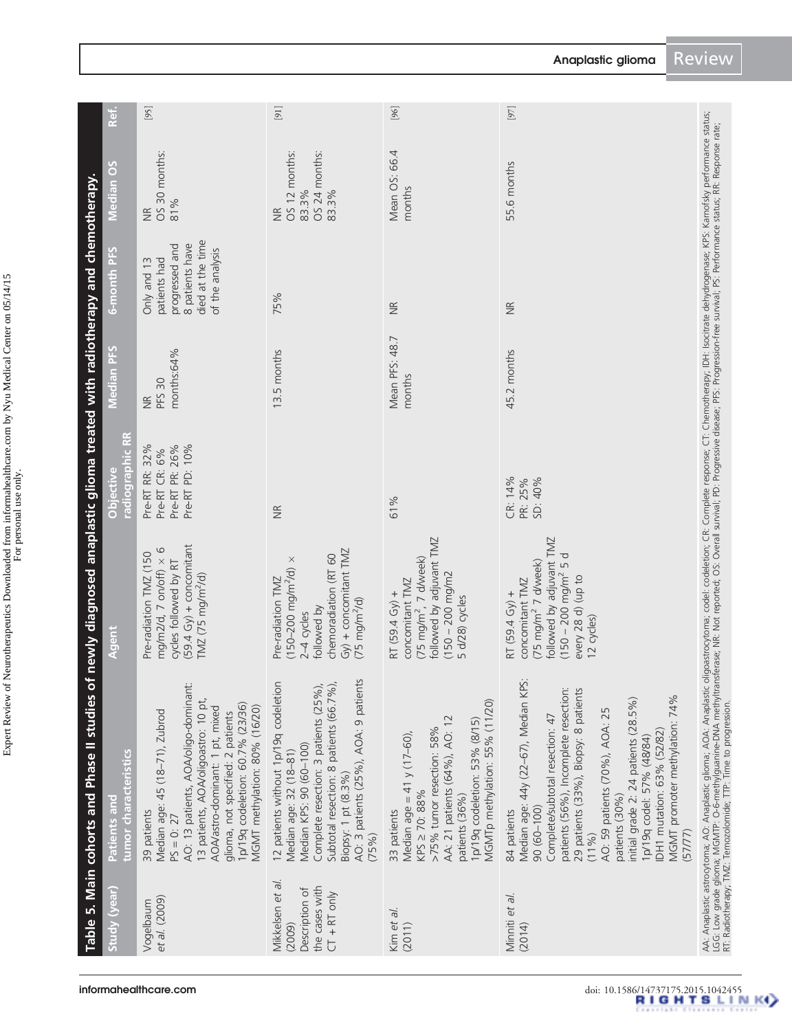Expert Review of Neurotherapeutics Downloaded from informahealthcare.com by Nyu Medical Center on 05/14/15 Expert Review of Neurotherapeutics Downloaded from informahealthcare.com by Nyu Medical Center on 05/14/15 For personal use only.

<span id="page-8-0"></span>

|                                                                                  | Table 5. Main cohorts and Phase II studies of                                                                                                                                                                                                                                                                                                                                                          | newly diagnosed anaplastic glioma treated with radiotherapy and chemotherapy.                                                                                                       |                                                                     |                                              |                                                                                                         |                                                                   |        |
|----------------------------------------------------------------------------------|--------------------------------------------------------------------------------------------------------------------------------------------------------------------------------------------------------------------------------------------------------------------------------------------------------------------------------------------------------------------------------------------------------|-------------------------------------------------------------------------------------------------------------------------------------------------------------------------------------|---------------------------------------------------------------------|----------------------------------------------|---------------------------------------------------------------------------------------------------------|-------------------------------------------------------------------|--------|
| Study (year)                                                                     | tumor characteristics<br>Patients and                                                                                                                                                                                                                                                                                                                                                                  | <b>Agent</b>                                                                                                                                                                        | radiographic RR<br><b>Objective</b>                                 | <b>Median PFS</b>                            | 6-month PFS                                                                                             | <b>Median OS</b>                                                  | Ref.   |
| et al. (2009)<br>Vogelbaum                                                       | AO: 13 patients, AOA/oligo-dominant:<br>13 patients, AOA/oligoastro: 10 pt,<br>1p/19q codeletion: 60.7% (23/36)<br>AOA/astro-dominant: 1 pt, mixed<br>MGMT methylation: 80% (16/20)<br>Median age: 45 (18-71), Zubrod<br>glioma, not specified: 2 patients<br>39 patients<br>$PS = 0: 27$                                                                                                              | $(59.4 Gy) +$ concomitant<br>mg/m2/d, 7 on/off) $\times$ 6<br>Pre-radiation TMZ (150<br>cycles followed by RT<br>$TMZ$ (75 mg/m <sup>2</sup> /d)                                    | Pre-RT PD: 10%<br>Pre-RT PR: 26%<br>Pre-RT RR: 32%<br>Pre-RT CR: 6% | months:64%<br><b>PFS 30</b><br>$\frac{R}{Z}$ | died at the time<br>progressed and<br>8 patients have<br>of the analysis<br>patients had<br>Only and 13 | OS 30 months:<br>81%<br>$\frac{\infty}{\infty}$                   | $[95]$ |
| Mikkelsen et al.<br>the cases with<br>Description of<br>$CT + RT$ only<br>(2009) | AO: 3 patients (25%), AOA: 9 patients<br>12 patients without 1p/19q codeletion<br>Subtotal resection: 8 patients (66.7%),<br>Complete resection: 3 patients (25%),<br>Median KPS: 90 (60-100)<br>Median age: 32 (18-81)<br>Biopsy: 1 pt (8.3%)<br>(75%)                                                                                                                                                | $Gy$ ) + concomitant TMZ<br>chemoradiation (RT 60<br>$(150-200 \text{ mg/m}^2/\text{d}) \times$<br>Pre-radiation TMZ<br>$(75 \text{ mg/m}^2/\text{d})$<br>followed by<br>2-4 cycles | $\frac{\alpha}{\beta}$                                              | 13.5 months                                  | 75%                                                                                                     | OS 12 months:<br>OS 24 months:<br>83.3%<br>83.3%<br>$\frac{R}{Z}$ | $[91]$ |
| Kim et al.<br>(2011)                                                             | MGMTp methylation: 55% (11/20)<br>AA: 21 patients (64%), AO: 12<br>1p/19q codeletion: 53% (8/15)<br>>75% tumor resection: 58%<br>Median age = 41 $y$ (17-60),<br>KPS ≥ 70: 88%<br>patients (36%)<br>33 patients                                                                                                                                                                                        | followed by adjuvant TMZ<br>$(75 \text{ mg/m}^2, 7 \text{ d/week})$<br>$(150 - 200$ mg/m2<br>concomitant TMZ<br>RT $(59.4 Gy) +$<br>5 d/28) cycles                                  | 61%                                                                 | Mean PFS: 48.7<br>months                     | $\frac{R}{Z}$                                                                                           | Mean OS: 66.4<br>months                                           | [96]   |
| Minniti et al.<br>(2014)                                                         | Median age: 44y (22-67), Median KPS:<br>patients (56%), Incomplete resection:<br>29 patients (33%), Biopsy: 8 patients<br>MGMT promoter methylation: 74%<br>initial grade 2: 24 patients (28.5%)<br>AO: 59 patients (70%), AOA: 25<br>Complete/subtotal resection: 47<br>DH1 mutation: 63% (52/82)<br>1p/19q codel: 57% (48/84)<br>patients (30%)<br>$90(60 - 100)$<br>84 patients<br>(57/77)<br>(11%) | followed by adjuvant TMZ<br>$(150 - 200$ mg/m <sup>2</sup> 5 d<br>(75 mg/m <sup>2</sup> 7 d/week)<br>every 28 d) (up to<br>concomitant TMZ<br>RT $(59.4 Gy) +$<br>12 cycles)        | CR: 14%<br>SD: 40%<br>PR: 25%                                       | 45.2 months                                  | $\frac{R}{Z}$                                                                                           | 55.6 months                                                       | $[97]$ |
|                                                                                  | AA: Anaplastic astrocytoma; AO: Anaplastic Anaplastic oligoastrocytoma; codel: codeletion; CR: Complete response; CT: Chemotherapy; IDH: Isocitrate dehydrogenase; KPS: Karnofsky performance status;<br>LGG: Low grade glioma; M                                                                                                                                                                      |                                                                                                                                                                                     |                                                                     |                                              |                                                                                                         |                                                                   |        |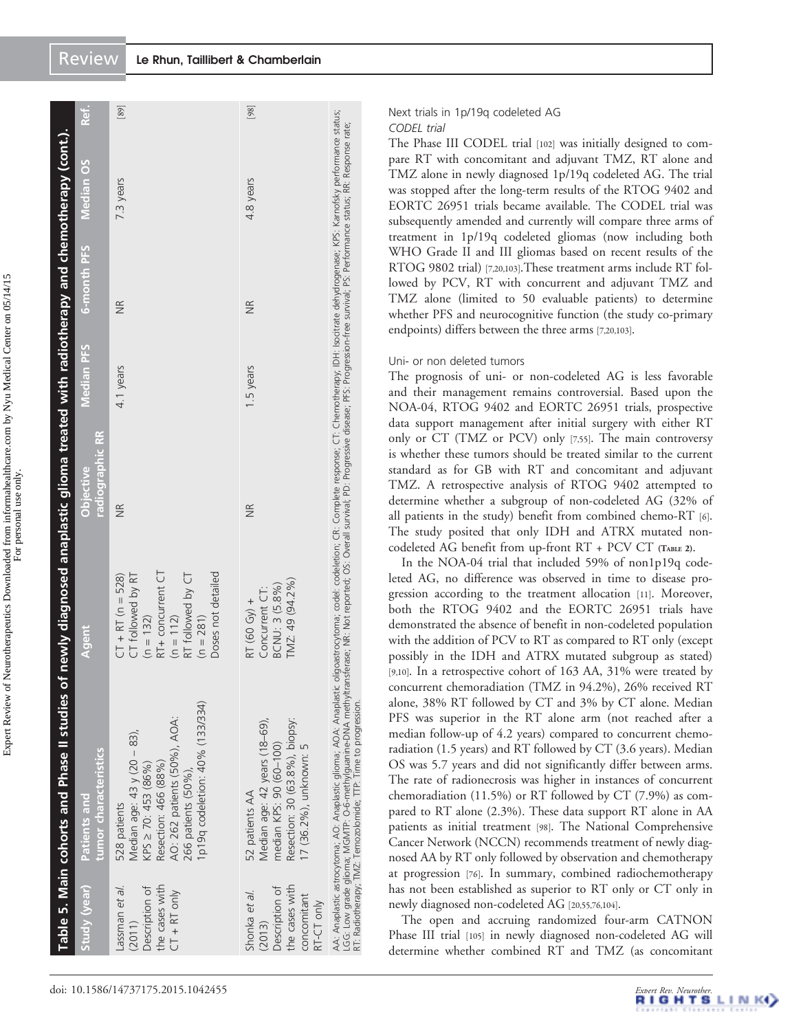|                                                                                          | Table 5. Main cohorts and Phase II studies of newly diagnosed anaplastic glioma treated with radiotherapy and chemotherapy (cont.).                                                                                                                                                                                                                                                                                  |                                                                                                                                                       |                                     |            |                        |                  |      |
|------------------------------------------------------------------------------------------|----------------------------------------------------------------------------------------------------------------------------------------------------------------------------------------------------------------------------------------------------------------------------------------------------------------------------------------------------------------------------------------------------------------------|-------------------------------------------------------------------------------------------------------------------------------------------------------|-------------------------------------|------------|------------------------|------------------|------|
| Study (year)                                                                             | tumor characteristics<br>Patients and                                                                                                                                                                                                                                                                                                                                                                                | Agent                                                                                                                                                 | radiographic RR<br><b>Objective</b> | Median PFS | 6-month PFS            | <b>Median OS</b> | Ref. |
| the cases with<br>assman et al.<br>Description of<br>$CT + RT$ only<br>(2011)            | 1p19q codeletion: 40% (133/334)<br>AO: 262 patients (50%), AOA:<br>Median age: $43$ y $(20 - 83)$ ,<br>KPS $\geq$ 70: 453 (86%)<br>Resection: 466 (88%)<br>266 patients (50%),<br>528 patients                                                                                                                                                                                                                       | Doses not detailed<br>RT+ concurrent CT<br>CT followed by RT<br>RT followed by CT<br>$CT + RT (n = 528)$<br>$(n = 112)$<br>$(n = 281)$<br>$(n = 132)$ | $\frac{R}{Z}$                       | 4.1 years  | $\frac{R}{Z}$          | 7.3 years        | [89] |
| the cases with<br>Description of<br>Shonka et al.<br>concomitant<br>RT-CT only<br>(2013) | Resection: 30 (63.8%), biopsy:<br>Median age: 42 years (18-69),<br>median KPS: 90 (60-100)<br>17 (36.2%), unknown: 5<br>52 patients AA                                                                                                                                                                                                                                                                               | TMZ: 49 (94.2%)<br>BCNU: 3 (5.8%)<br>Concurrent CT:<br>RT (60 Gy) +                                                                                   | $\frac{R}{Z}$                       | 1.5 years  | $\frac{\alpha}{\beta}$ | 4.8 years        | [98] |
|                                                                                          | AA: Anaplastic astrocytoma; AO: Anaplastic yijoma; Anaplastic oligoastrocytoma; codel: codeletion; CR: Complete response; CT: Chemotherapy; IDH: Isocitate dehydrogenase; KPS: Kamofsky performance status;<br>.GG: Low qrade qiloma; MGMTP: O-6-methylquanine-DNA methyltransferase; NR: Not reported; Overall survival; PD: Progressive PFs: Progression-free survival; PS: Performance status; RR: Response rate; |                                                                                                                                                       |                                     |            |                        |                  |      |

Next trials in 1p/19q codeleted AG

CODEL trial

The Phase III CODEL trial [\[102\]](#page-17-0) was initially designed to compare RT with concomitant and adjuvant TMZ, RT alone and TMZ alone in newly diagnosed 1p/19q codeleted AG. The trial was stopped after the long-term results of the RTOG 9402 and EORTC 26951 trials became available. The CODEL trial was subsequently amended and currently will compare three arms of treatment in 1p/19q codeleted gliomas (now including both WHO Grade II and III gliomas based on recent results of the RTOG 9802 trial) [[7](#page-14-0)[,20](#page-15-0)[,103](#page-17-0)].These treatment arms include RT followed by PCV, RT with concurrent and adjuvant TMZ and TMZ alone (limited to 50 evaluable patients) to determine whether PFS and neurocognitive function (the study co-primary endpoints) differs between the three arms [\[7](#page-14-0)[,20,](#page-15-0)[103\]](#page-17-0).

# Uni- or non deleted tumors

RT: Radiotherapy; TMZ: Temozolomide; TTP: Time to progression.

i E

The prognosis of uni- or non-codeleted AG is less favorable and their management remains controversial. Based upon the NOA-04, RTOG 9402 and EORTC 26951 trials, prospective data support management after initial surgery with either RT only or CT (TMZ or PCV) only [\[7](#page-14-0),[55](#page-16-0)]. The main controversy is whether these tumors should be treated similar to the current standard as for GB with RT and concomitant and adjuvant TMZ. A retrospective analysis of RTOG 9402 attempted to determine whether a subgroup of non-codeleted AG (32% of all patients in the study) benefit from combined chemo-RT [\[6\]](#page-14-0). The study posited that only IDH and ATRX mutated noncodeleted AG benefit from up-front RT + PCV CT [\(TABLE](#page-3-0) 2).

In the NOA-04 trial that included 59% of non1p19q codeleted AG, no difference was observed in time to disease progression according to the treatment allocation [\[11](#page-15-0)]. Moreover, both the RTOG 9402 and the EORTC 26951 trials have demonstrated the absence of benefit in non-codeleted population with the addition of PCV to RT as compared to RT only (except possibly in the IDH and ATRX mutated subgroup as stated) [\[9,](#page-14-0)[10\]](#page-15-0). In a retrospective cohort of 163 AA, 31% were treated by concurrent chemoradiation (TMZ in 94.2%), 26% received RT alone, 38% RT followed by CT and 3% by CT alone. Median PFS was superior in the RT alone arm (not reached after a median follow-up of 4.2 years) compared to concurrent chemoradiation (1.5 years) and RT followed by CT (3.6 years). Median OS was 5.7 years and did not significantly differ between arms. The rate of radionecrosis was higher in instances of concurrent chemoradiation (11.5%) or RT followed by CT (7.9%) as compared to RT alone (2.3%). These data support RT alone in AA patients as initial treatment [\[98\]](#page-17-0). The National Comprehensive Cancer Network (NCCN) recommends treatment of newly diagnosed AA by RT only followed by observation and chemotherapy at progression [[76](#page-17-0)]. In summary, combined radiochemotherapy has not been established as superior to RT only or CT only in newly diagnosed non-codeleted AG [[20](#page-15-0),[55](#page-16-0)[,76,104](#page-17-0)].

The open and accruing randomized four-arm CATNON Phase III trial [[105\]](#page-17-0) in newly diagnosed non-codeleted AG will determine whether combined RT and TMZ (as concomitant

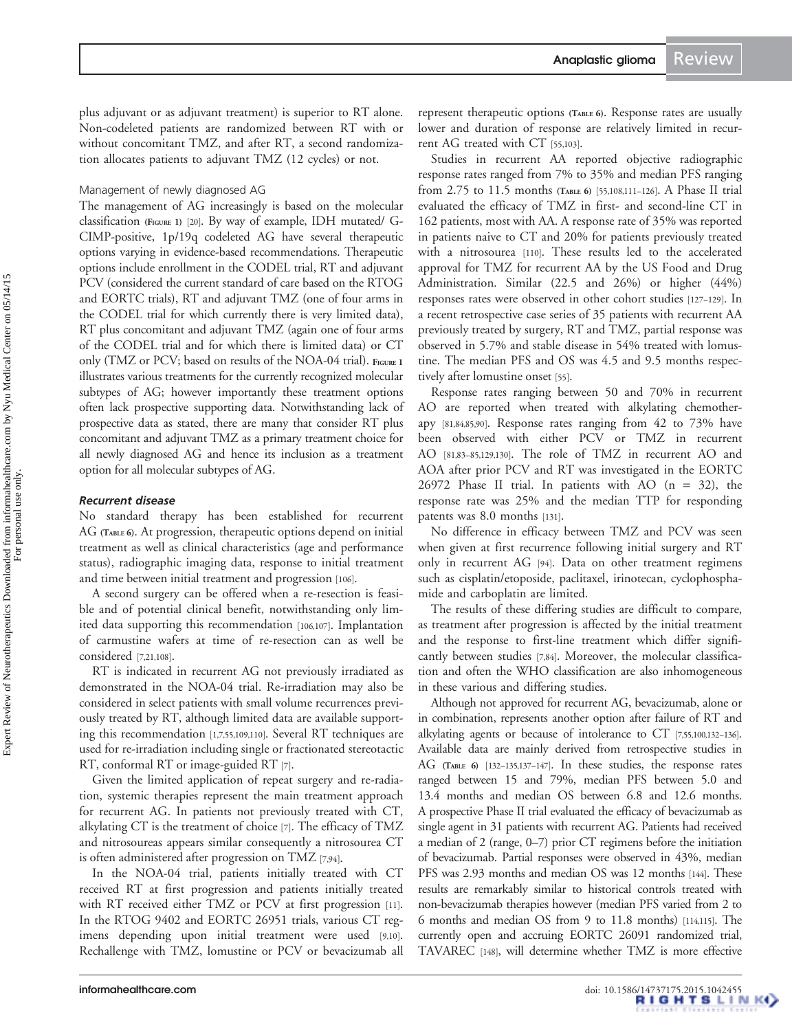plus adjuvant or as adjuvant treatment) is superior to RT alone. Non-codeleted patients are randomized between RT with or without concomitant TMZ, and after RT, a second randomization allocates patients to adjuvant TMZ (12 cycles) or not.

# Management of newly diagnosed AG

The management of AG increasingly is based on the molecular classification [\(FIGURE](#page-5-0) 1) [\[20](#page-15-0)]. By way of example, IDH mutated/ G-CIMP-positive, 1p/19q codeleted AG have several therapeutic options varying in evidence-based recommendations. Therapeutic options include enrollment in the CODEL trial, RT and adjuvant PCV (considered the current standard of care based on the RTOG and EORTC trials), RT and adjuvant TMZ (one of four arms in the CODEL trial for which currently there is very limited data), RT plus concomitant and adjuvant TMZ (again one of four arms of the CODEL trial and for which there is limited data) or CT only (TMZ or PCV; based on results of the NOA-04 trial). [FIGURE](#page-5-0) 1 illustrates various treatments for the currently recognized molecular subtypes of AG; however importantly these treatment options often lack prospective supporting data. Notwithstanding lack of prospective data as stated, there are many that consider RT plus concomitant and adjuvant TMZ as a primary treatment choice for all newly diagnosed AG and hence its inclusion as a treatment option for all molecular subtypes of AG.

# Recurrent disease

No standard therapy has been established for recurrent AG [\(TABLE](#page-11-0) 6). At progression, therapeutic options depend on initial treatment as well as clinical characteristics (age and performance status), radiographic imaging data, response to initial treatment and time between initial treatment and progression [\[106](#page-18-0)].

A second surgery can be offered when a re-resection is feasible and of potential clinical benefit, notwithstanding only limited data supporting this recommendation [[106,107](#page-18-0)]. Implantation of carmustine wafers at time of re-resection can as well be considered [\[7,](#page-14-0)[21,](#page-15-0)[108\]](#page-18-0).

RT is indicated in recurrent AG not previously irradiated as demonstrated in the NOA-04 trial. Re-irradiation may also be considered in select patients with small volume recurrences previously treated by RT, although limited data are available supporting this recommendation [[1,7,](#page-14-0)[55](#page-16-0),[109,110](#page-18-0)]. Several RT techniques are used for re-irradiation including single or fractionated stereotactic RT, conformal RT or image-guided RT [\[7\]](#page-14-0).

Given the limited application of repeat surgery and re-radiation, systemic therapies represent the main treatment approach for recurrent AG. In patients not previously treated with CT, alkylating CT is the treatment of choice [\[7\]](#page-14-0). The efficacy of TMZ and nitrosoureas appears similar consequently a nitrosourea CT is often administered after progression on TMZ [\[7](#page-14-0),[94](#page-17-0)].

In the NOA-04 trial, patients initially treated with CT received RT at first progression and patients initially treated with RT received either TMZ or PCV at first progression [\[11\]](#page-15-0). In the RTOG 9402 and EORTC 26951 trials, various CT regimens depending upon initial treatment were used [\[9,](#page-14-0)[10\]](#page-15-0). Rechallenge with TMZ, lomustine or PCV or bevacizumab all

represent therapeutic options [\(TABLE](#page-11-0) 6). Response rates are usually lower and duration of response are relatively limited in recurrent AG treated with CT [\[55,](#page-16-0)[103](#page-17-0)].

Studies in recurrent AA reported objective radiographic response rates ranged from 7% to 35% and median PFS ranging from 2.75 to 11.5 months [\(TABLE](#page-11-0) 6) [\[55,](#page-16-0)[108,111](#page-18-0)–[126\]](#page-18-0). A Phase II trial evaluated the efficacy of TMZ in first- and second-line CT in 162 patients, most with AA. A response rate of 35% was reported in patients naive to CT and 20% for patients previously treated with a nitrosourea [[110](#page-18-0)]. These results led to the accelerated approval for TMZ for recurrent AA by the US Food and Drug Administration. Similar (22.5 and 26%) or higher (44%) responses rates were observed in other cohort studies [\[127](#page-18-0)–[129\]](#page-18-0). In a recent retrospective case series of 35 patients with recurrent AA previously treated by surgery, RT and TMZ, partial response was observed in 5.7% and stable disease in 54% treated with lomustine. The median PFS and OS was 4.5 and 9.5 months respectively after lomustine onset [\[55](#page-16-0)].

Response rates ranging between 50 and 70% in recurrent AO are reported when treated with alkylating chemotherapy [\[81,84,85,90\]](#page-17-0). Response rates ranging from 42 to 73% have been observed with either PCV or TMZ in recurrent AO [[81](#page-17-0),[83](#page-17-0)–[85,](#page-17-0)[129,130](#page-18-0)]. The role of TMZ in recurrent AO and AOA after prior PCV and RT was investigated in the EORTC 26972 Phase II trial. In patients with AO  $(n = 32)$ , the response rate was 25% and the median TTP for responding patents was 8.0 months [[131](#page-18-0)].

No difference in efficacy between TMZ and PCV was seen when given at first recurrence following initial surgery and RT only in recurrent AG [[94\]](#page-17-0). Data on other treatment regimens such as cisplatin/etoposide, paclitaxel, irinotecan, cyclophosphamide and carboplatin are limited.

The results of these differing studies are difficult to compare, as treatment after progression is affected by the initial treatment and the response to first-line treatment which differ significantly between studies [\[7](#page-14-0),[84](#page-17-0)]. Moreover, the molecular classification and often the WHO classification are also inhomogeneous in these various and differing studies.

Although not approved for recurrent AG, bevacizumab, alone or in combination, represents another option after failure of RT and alkylating agents or because of intolerance to CT [[7,](#page-14-0)[55](#page-16-0)[,100](#page-17-0)[,132](#page-18-0)–[136\]](#page-18-0). Available data are mainly derived from retrospective studies in AG [\(TABLE](#page-11-0) 6) [[132](#page-18-0)–[135,137](#page-18-0)–[147\]](#page-19-0). In these studies, the response rates ranged between 15 and 79%, median PFS between 5.0 and 13.4 months and median OS between 6.8 and 12.6 months. A prospective Phase II trial evaluated the efficacy of bevacizumab as single agent in 31 patients with recurrent AG. Patients had received a median of 2 (range, 0–7) prior CT regimens before the initiation of bevacizumab. Partial responses were observed in 43%, median PFS was 2.93 months and median OS was 12 months [\[144\]](#page-19-0). These results are remarkably similar to historical controls treated with non-bevacizumab therapies however (median PFS varied from 2 to 6 months and median OS from 9 to 11.8 months) [[114,115\]](#page-18-0). The currently open and accruing EORTC 26091 randomized trial, TAVAREC [[148](#page-19-0)], will determine whether TMZ is more effective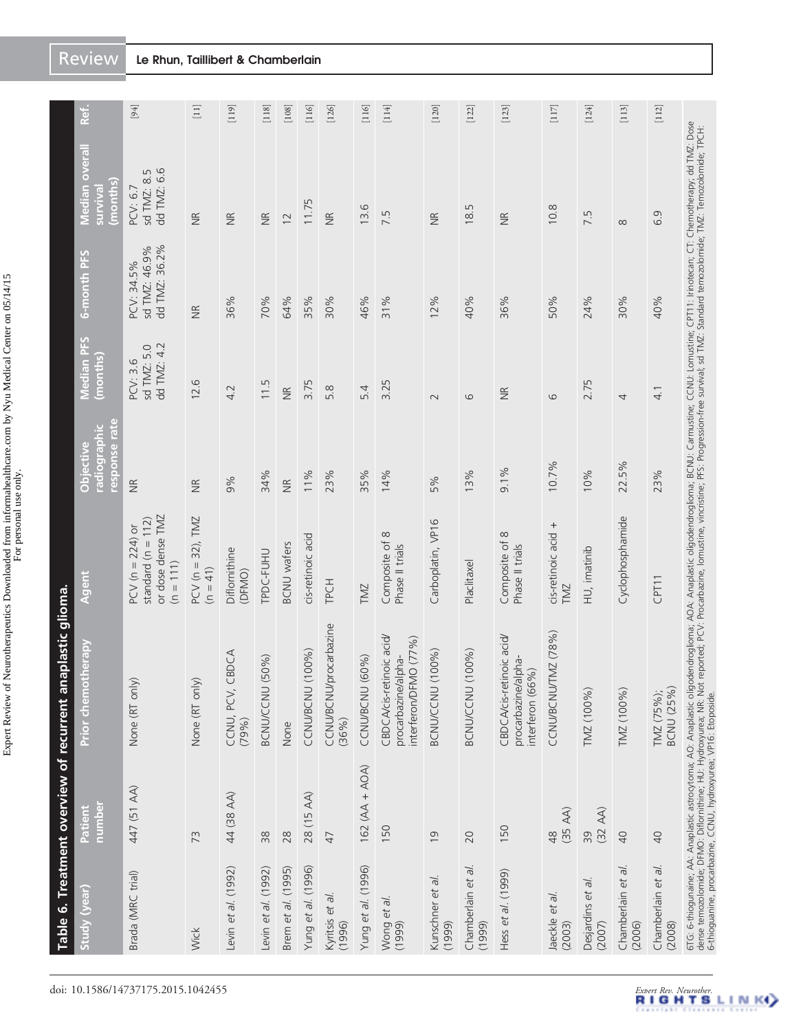Expert Review of Neurotherapeutics Downloaded from informahealthcare.com by Nyu Medical Center on 05/14/15 Expert Review of Neurotherapeutics Downloaded from informahealthcare.com by Nyu Medical Center on 05/14/15 For personal use only.

|                              | Table 6. Treatment overview of recurrent ana | aplastic glioma.                                                                                                                                                                                                                  |                                                                                 |                                            |                                        |                                              |                                        |                                          |
|------------------------------|----------------------------------------------|-----------------------------------------------------------------------------------------------------------------------------------------------------------------------------------------------------------------------------------|---------------------------------------------------------------------------------|--------------------------------------------|----------------------------------------|----------------------------------------------|----------------------------------------|------------------------------------------|
| Study (year)                 | number<br>Patient                            | herapy<br><b>Prior</b> chemo                                                                                                                                                                                                      | Agent                                                                           | response rate<br>radiographic<br>Objective | Median PFS<br>(months)                 | 6-month PFS                                  | Median overal<br>(months)<br>survival  | Ref.                                     |
| Brada (MRC trial)            | 447 (51 AA)                                  | None (RT only)                                                                                                                                                                                                                    | or dose dense TMZ<br>standard ( $n = 112$ )<br>$PCV(n = 224)$ or<br>$(n = 111)$ | $\widetilde{\Xi}$                          | dd TMZ: 4.2<br>sd TMZ: 5.0<br>PCV: 3.6 | dd TMZ: 36.2%<br>sd TMZ: 46.9%<br>PCV: 34.5% | dd TMZ: 6.6<br>sd TMZ: 8.5<br>PCV: 6.7 | [94]                                     |
| Wick                         | 73                                           | None (RT only)                                                                                                                                                                                                                    | $PCV (n = 32)$ , TMZ<br>$(n = 41)$                                              | $\widetilde{\Xi}$                          | 12.6                                   | $\frac{\alpha}{\beta}$                       | $\frac{\alpha}{\beta}$                 | $[11]$                                   |
| Levin et al. (1992)          | 44 (38 AA)                                   | CCNU, PCV, CBDCA<br>(79%)                                                                                                                                                                                                         | Diflornithine<br>(DFMO)                                                         | 9%                                         | 4.2                                    | 36%                                          | $\widetilde{\Xi}$                      | $\begin{bmatrix} 119 \end{bmatrix}$      |
| Levin et al. (1992)          | 38                                           | BCNU/CCNU (50%)                                                                                                                                                                                                                   | TPDC-FUHU                                                                       | 34%                                        | 11.5                                   | 70%                                          | $\frac{R}{Z}$                          | $\begin{bmatrix} 118 \end{bmatrix}$      |
| Brem et al. (1995)           | 28                                           | None                                                                                                                                                                                                                              | <b>BCNU</b> wafers                                                              | $\frac{\kappa}{2}$                         | $\frac{\alpha}{2}$                     | 64%                                          | $\overline{c}$                         | $[108]$                                  |
| Yung et al. (1996)           | 28 (15 AA)                                   | CCNU/BCNU (100%)                                                                                                                                                                                                                  | cis-retinoic acid                                                               | 11%                                        | 3.75                                   | 35%                                          | 11.75                                  | $[116]$                                  |
| Kyritsis et al.<br>(1996)    | 47                                           | CCNU/BCNU/procarbazine<br>$(36\%)$                                                                                                                                                                                                | TPCH                                                                            | 23%                                        | 5.8                                    | 30%                                          | $\frac{R}{Z}$                          | [126]                                    |
| Yung et al. (1996)           | $162(AA + AOA)$                              | CCNU/BCNU (60%)                                                                                                                                                                                                                   | TMZ                                                                             | 35%                                        | 54                                     | 46%                                          | 13.6                                   | $\begin{bmatrix} 116 \\ 0 \end{bmatrix}$ |
| Wong et al.<br>(1999)        | 150                                          | CBDCA/cis-retinoic acid/<br>interferon/DFMO (77%)<br>procarbazine/alpha-                                                                                                                                                          | Composite of 8<br>Phase II trials                                               | 14%                                        | 3.25                                   | 31%                                          | 7.5                                    | $[114]$                                  |
| Kunschner et al.<br>(1999)   | $\overline{0}$                               | BCNU/CCNU (100%)                                                                                                                                                                                                                  | Carboplatin, VP16                                                               | 5%                                         | $\sim$                                 | 12%                                          | $\frac{\kappa}{\epsilon}$              | $[120]$                                  |
| Chamberlain et al<br>(1999)  | 20                                           | BCNU/CCNU (100%)                                                                                                                                                                                                                  | Placlitaxe                                                                      | 13%                                        | $\circ$                                | 40%                                          | Б<br>$\frac{1}{8}$                     | $[122]$                                  |
| Hess et al. (1999)           | 150                                          | CBDCA/cis-retinoic acid/<br>procarbazine/alpha-<br>interferon (66%)                                                                                                                                                               | $\infty$<br>Composite of<br>Phase II trials                                     | 9.1%                                       | $\frac{\alpha}{\beta}$                 | 36%                                          | $\frac{\infty}{\infty}$                | $[123]$                                  |
| Jaeckle et al.<br>(2003)     | $(35 \text{ AA})$<br>$\frac{8}{4}$           | MZ (78%)<br>CCNU/BCNU/T                                                                                                                                                                                                           | cis-retinoic acid +<br><b>TMZ</b>                                               | 10.7%                                      | $\circ$                                | 50%                                          | 10.8                                   | $[117]$                                  |
| Desjardins et al.<br>(2007)  | $(32 \text{ AA})$<br>39                      | TMZ (100%)                                                                                                                                                                                                                        | HU, imatinib                                                                    | 10%                                        | 2.75                                   | 24%                                          | 7.5                                    | [124]                                    |
| Chamberlain et al.<br>(2006) | $\overline{a}$                               | TMZ (100%)                                                                                                                                                                                                                        | Cyclophosphamide                                                                | 22.5%                                      | 4                                      | 30%                                          | $\infty$                               | $\begin{bmatrix} 113 \end{bmatrix}$      |
| Chamberlain et al.<br>(2008) | $\overline{40}$                              | <b>BCNU (25%)</b><br>TMZ (75%);                                                                                                                                                                                                   | CPT11                                                                           | 23%                                        | $\frac{1}{4}$                          | 40%                                          | 6.9                                    | $[112]$                                  |
|                              |                                              | 6TG: 6-thiogunaine; AA: Anaplastic astrocytoma; AO: Anaplastic oligodendicaliscatic oligodendroglioma; BCNU: Carmustine; CCNU: Lomustine; CFT11: Irinotecan; CT: Chemotherapy; dd TMZ: Dose<br>dense temozolomide; DFMO: Diflomit |                                                                                 |                                            |                                        |                                              |                                        |                                          |

<span id="page-11-0"></span>Review Le Rhun, Taillibert & Chamberlain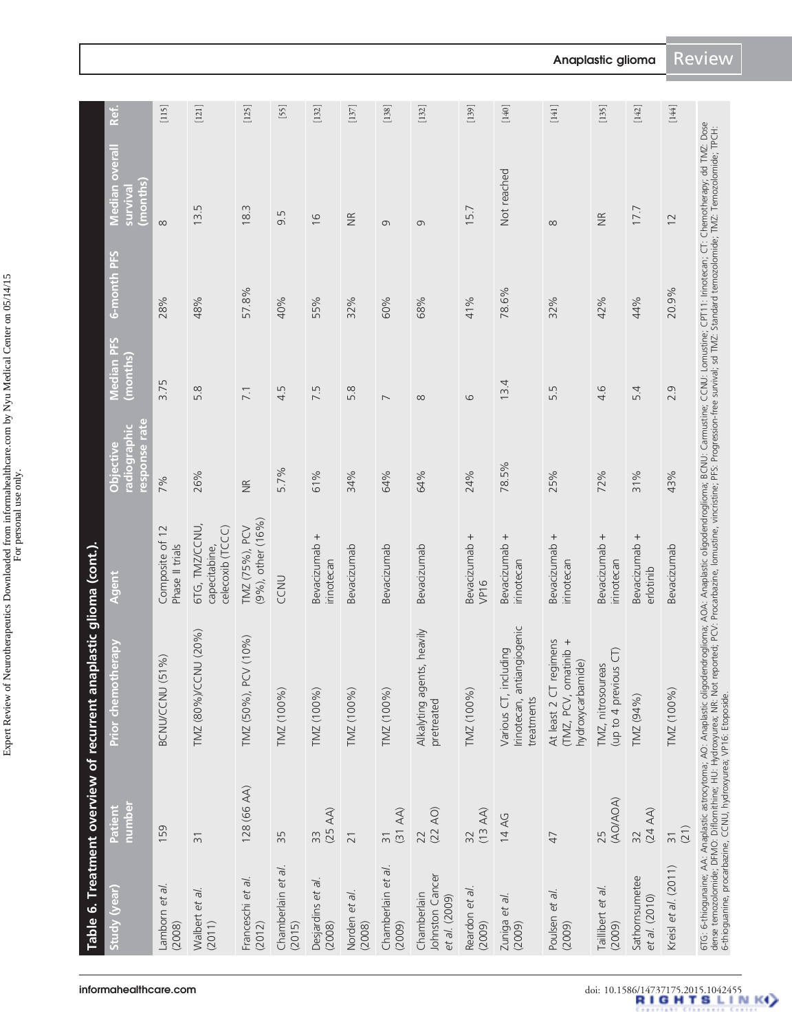Expert Review of Neurotherapeutics Downloaded from informahealthcare.com by Nyu Medical Center on 05/14/15 Expert Review of Neurotherapeutics Downloaded from informahealthcare.com by Nyu Medical Center on 05/14/15 For personal use only.

| 128 (66 AA)<br>$(25 \text{ AA})$<br>$\frac{31}{(31 \text{ AA})}$<br>159<br>33<br>35<br>$\overline{21}$<br>$\overline{3}$<br>Chamberlain et al.<br>Chamberlain et al.<br>Franceschi et al.<br>Desjardins et al.<br>Lamborn et al.<br>Walbert et al.<br>Norden et al.<br>(2008)<br>(2011)<br>(2012)<br>(2015)<br>(2008)<br>(2009)<br>(2008) | TMZ (80%)/CCNU (20%)<br>(10%<br>$\%$<br>TMZ (50%), PCV<br>BCNU/CCNU (51<br>TMZ (100%)<br>TMZ (100%)<br>TMZ (100%) | 6TG, TMZ/CCNU,<br>celecoxib (TCCC)<br>Composite of 12<br>Phase II trials<br>capecitabine, | 7%            | 3.75           |       |                   |         |
|-------------------------------------------------------------------------------------------------------------------------------------------------------------------------------------------------------------------------------------------------------------------------------------------------------------------------------------------|-------------------------------------------------------------------------------------------------------------------|-------------------------------------------------------------------------------------------|---------------|----------------|-------|-------------------|---------|
|                                                                                                                                                                                                                                                                                                                                           |                                                                                                                   |                                                                                           |               |                | 28%   | $\infty$          | $[115]$ |
|                                                                                                                                                                                                                                                                                                                                           |                                                                                                                   |                                                                                           | 26%           | 5.8            | 48%   | 13.5              | $[121]$ |
|                                                                                                                                                                                                                                                                                                                                           |                                                                                                                   | (9%), other (16%)<br>TMZ (75%), PCV                                                       | $\frac{R}{Z}$ | 7.1            | 57.8% | 18.3              | [125]   |
|                                                                                                                                                                                                                                                                                                                                           |                                                                                                                   | CCNU                                                                                      | 5.7%          | 4.5            | 40%   | 9.5               | [55]    |
|                                                                                                                                                                                                                                                                                                                                           |                                                                                                                   | Bevacizumab +<br>irinotecan                                                               | 61%           | 7.5            | 55%   | $\frac{1}{6}$     | $[132]$ |
|                                                                                                                                                                                                                                                                                                                                           |                                                                                                                   | Bevacizumab                                                                               | 34%           | 5.8            | 32%   | $\widetilde{\Xi}$ | $[137]$ |
|                                                                                                                                                                                                                                                                                                                                           | TMZ (100%)                                                                                                        | Bevacizumab                                                                               | 64%           | $\overline{ }$ | 60%   | G                 | $[138]$ |
| $(22 \text{ AO})$<br>22<br>Johnston Cancer<br>Chamberlain<br>et al. (2009)                                                                                                                                                                                                                                                                | Alkalyting agents, heavily<br>pretreated                                                                          | Bevacizumab                                                                               | 64%           | $\infty$       | 68%   | $\sigma$          | $[132]$ |
| $(13 \text{ AA})$<br>$\overline{32}$<br>Reardon et al<br>(2009)                                                                                                                                                                                                                                                                           | TMZ (100%)                                                                                                        | Bevacizumab +<br>VP16                                                                     | 24%           | $\circ$        | 41%   | 15.7              | $[139]$ |
| 14 AG<br>Zuniga et al.<br>(2009)                                                                                                                                                                                                                                                                                                          | Irinotecan, antiangiogenic<br>Various CT, including<br>treatments                                                 | Bevacizumab +<br>irinotecan                                                               | 78.5%         | 13.4           | 78.6% | Not reached       | $[140]$ |
| 47<br>Poulsen et al.<br>(2009)                                                                                                                                                                                                                                                                                                            | At least 2 CT regimens<br>(TMZ, PCV, omatinib +<br>hydroxycarbamide)                                              | Bevacizumab +<br>irinotecan                                                               | 25%           | 5.5            | 32%   | $\infty$          | $[141]$ |
| (AO/AOA)<br>25<br>Taillibert et al.<br>(2009)                                                                                                                                                                                                                                                                                             | $\widehat{\sigma}$<br>TMZ, nitrosoureas<br>(up to 4 previous                                                      | Bevacizumab +<br>irinotecan                                                               | 72%           | 4.6            | 42%   | $\widetilde{\Xi}$ | $[135]$ |
| $(24 \text{ AA})$<br>32<br>Sathornsumetee<br>et al. (2010)                                                                                                                                                                                                                                                                                | TMZ (94%)                                                                                                         | Bevacizumab +<br>erlotinib                                                                | 31%           | 54             | 44%   | 17.7              | $[142]$ |
| (21)<br>$\overline{3}$<br>Kreisl et al. (2011)                                                                                                                                                                                                                                                                                            | TMZ (100%)                                                                                                        | Bevacizumab                                                                               | 43%           | 2.9            | 20.9% | $\overline{12}$   | [144]   |

Anaplastic glioma Review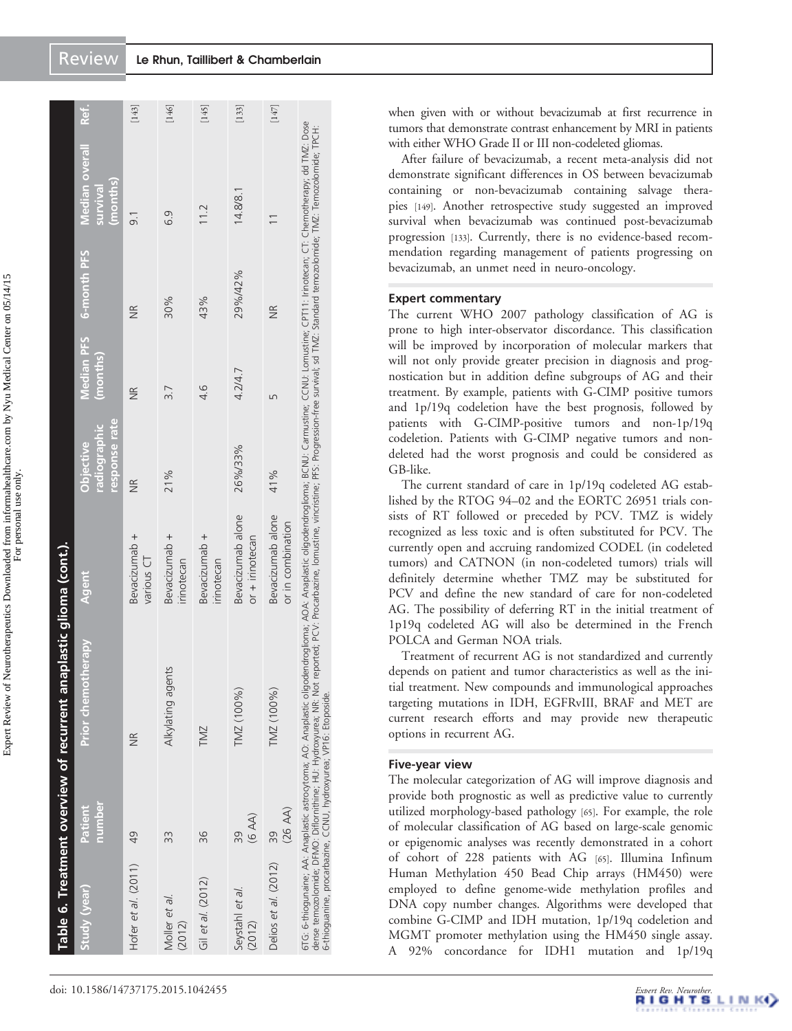|                           |                                                                                                                                       | Table 6. Treatment overview of recurrent anaplastic glioma (cont.).                                                                                                                                         |                                                                                                                                                |                                            |                               |                    |                                        |         |
|---------------------------|---------------------------------------------------------------------------------------------------------------------------------------|-------------------------------------------------------------------------------------------------------------------------------------------------------------------------------------------------------------|------------------------------------------------------------------------------------------------------------------------------------------------|--------------------------------------------|-------------------------------|--------------------|----------------------------------------|---------|
| Study (year)              | number<br>Patient                                                                                                                     | <b>Prior chemotherapy</b>                                                                                                                                                                                   | Agent                                                                                                                                          | response rate<br>radiographic<br>Objective | <b>Median PFS</b><br>(months) | 6-month PFS        | Median overall<br>(months)<br>survival | Ref.    |
| Hofer et al. (2011)       | 49                                                                                                                                    | $\frac{1}{2}$                                                                                                                                                                                               | Bevacizumab +<br>various CT                                                                                                                    | $\frac{R}{Z}$                              | $\frac{R}{Z}$                 | ΨŘ                 | $\overline{9}$ .                       | $[143]$ |
| Moller et al.<br>(2012)   | 33                                                                                                                                    | Alkylating agents                                                                                                                                                                                           | Bevacizumab +<br>irinotecan                                                                                                                    | 21%                                        | 3.7                           | 30%                | 6.9                                    | $[146]$ |
| Gil et al. (2012)         | 36                                                                                                                                    | <b>TMZ</b>                                                                                                                                                                                                  | Bevacizumab +<br>irinotecan                                                                                                                    |                                            | 4.6                           | 43%                | 11.2                                   | [145]   |
| Seystahl et al.<br>(2012) | (A)<br>39                                                                                                                             | TMZ (100%)                                                                                                                                                                                                  | Bevacizumab alone<br>$or + innotecan$                                                                                                          | 26%/33%                                    | 4.2/4.7                       | 29%/42%            | 14.8/8.1                               | $[133]$ |
| Delios et al. (2012)      | $(26 \text{ AA})$<br>39                                                                                                               | TMZ (100%)                                                                                                                                                                                                  | Bevacizumab alone<br>or in combination                                                                                                         | 41%                                        | Б                             | $\frac{\alpha}{2}$ |                                        | $[147]$ |
|                           | dense temozolomide; DFMO: Diflornithine; HU: Hydroxyurea; NR: Not<br>5-thioquanine, procarbazine, CCNU, hydroxyurea; VP16: Etoposide. | 6TG: 6-thiogunaine; AA: Anaplastic astrocytoma; AO: Anaplastic oligodendroglioma; AOA: Anaplastic oligodendroglioma; BCNU: Carmustine; CCNU: Lomustine; CPIT1: I inictiecan; CT. Chemotherapy; dd TMZ: Dose | t reported; PCV: Procarbazine, Iomustine, vincristine; PFS: Progression-free survival; sd TMZ: Standard temozolomide; TMZ: Temozolomide; TPCH: |                                            |                               |                    |                                        |         |

when given with or without bevacizumab at first recurrence in tumors that demonstrate contrast enhancement by MRI in patients with either WHO Grade II or III non-codeleted gliomas.

After failure of bevacizumab, a recent meta-analysis did not demonstrate significant differences in OS between bevacizumab containing or non-bevacizumab containing salvage therapies [\[149](#page-19-0)]. Another retrospective study suggested an improved survival when bevacizumab was continued post-bevacizumab progression [\[133](#page-18-0)]. Currently, there is no evidence-based recommendation regarding management of patients progressing on bevacizumab, an unmet need in neuro-oncology.

# Expert commentary

The current WHO 2007 pathology classification of AG is prone to high inter-observator discordance. This classification will be improved by incorporation of molecular markers that will not only provide greater precision in diagnosis and prognostication but in addition define subgroups of AG and their treatment. By example, patients with G-CIMP positive tumors and 1p/19q codeletion have the best prognosis, followed by patients with G-CIMP-positive tumors and non-1p/19q codeletion. Patients with G-CIMP negative tumors and nondeleted had the worst prognosis and could be considered as GB-like.

The current standard of care in 1p/19q codeleted AG established by the RTOG 94–02 and the EORTC 26951 trials consists of RT followed or preceded by PCV. TMZ is widely recognized as less toxic and is often substituted for PCV. The currently open and accruing randomized CODEL (in codeleted tumors) and CATNON (in non-codeleted tumors) trials will definitely determine whether TMZ may be substituted for PCV and define the new standard of care for non-codeleted AG. The possibility of deferring RT in the initial treatment of 1p19q codeleted AG will also be determined in the French POLCA and German NOA trials.

Treatment of recurrent AG is not standardized and currently depends on patient and tumor characteristics as well as the initial treatment. New compounds and immunological approaches targeting mutations in IDH, EGFRvIII, BRAF and MET are current research efforts and may provide new therapeutic options in recurrent AG.

# Five-year view

The molecular categorization of AG will improve diagnosis and provide both prognostic as well as predictive value to currently utilized morphology-based pathology [\[65\]](#page-16-0). For example, the role of molecular classification of AG based on large-scale genomic or epigenomic analyses was recently demonstrated in a cohort of cohort of 228 patients with AG [\[65\]](#page-16-0). Illumina Infinum Human Methylation 450 Bead Chip arrays (HM450) were employed to define genome-wide methylation profiles and DNA copy number changes. Algorithms were developed that combine G-CIMP and IDH mutation, 1p/19q codeletion and MGMT promoter methylation using the HM450 single assay. A 92% concordance for IDH1 mutation and 1p/19q

Expert Review of Neurotherapeutics Downloaded from informahealthcare.com by Nyu Medical Center on 05/14/15 Expert Review of Neurotherapeutics Downloaded from informahealthcare.com by Nyu Medical Center on 05/14/15 For personal use only.

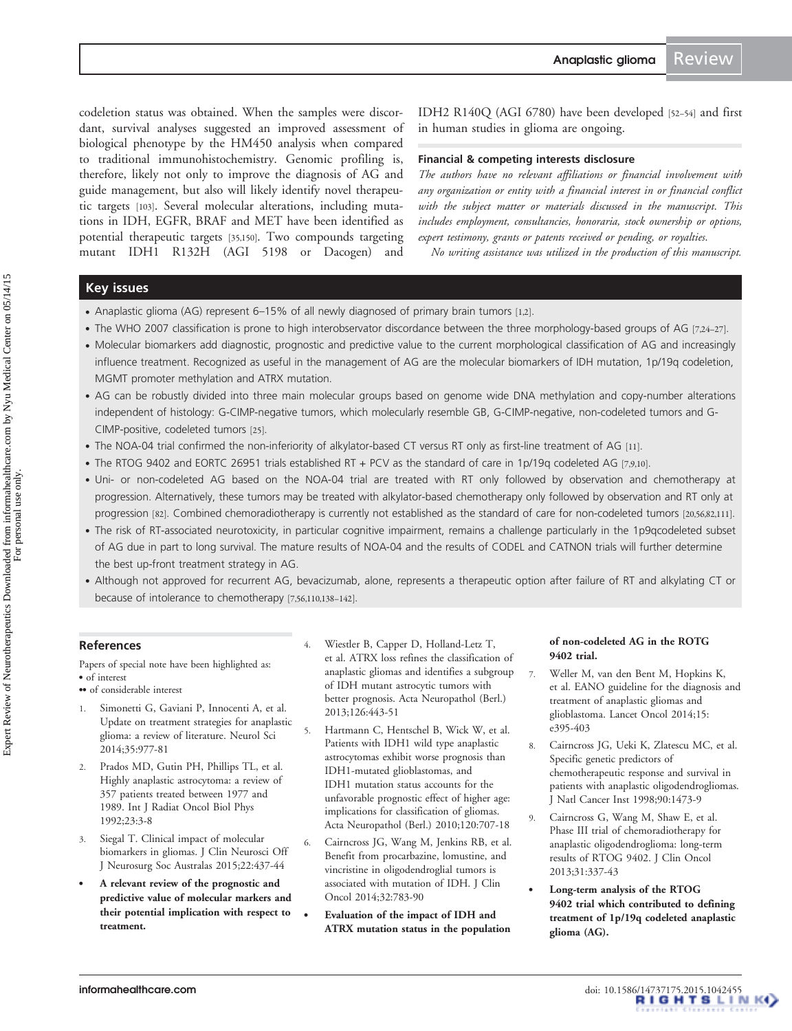<span id="page-14-0"></span>codeletion status was obtained. When the samples were discordant, survival analyses suggested an improved assessment of biological phenotype by the HM450 analysis when compared to traditional immunohistochemistry. Genomic profiling is, therefore, likely not only to improve the diagnosis of AG and guide management, but also will likely identify novel therapeutic targets [[103\]](#page-17-0). Several molecular alterations, including mutations in IDH, EGFR, BRAF and MET have been identified as potential therapeutic targets [[35](#page-15-0),[150\]](#page-19-0). Two compounds targeting mutant IDH1 R132H (AGI 5198 or Dacogen) and

IDH2 R140Q (AGI 6780) have been developed [\[52](#page-16-0)–[54](#page-16-0)] and first in human studies in glioma are ongoing.

#### Financial & competing interests disclosure

The authors have no relevant affiliations or financial involvement with any organization or entity with a financial interest in or financial conflict with the subject matter or materials discussed in the manuscript. This includes employment, consultancies, honoraria, stock ownership or options, expert testimony, grants or patents received or pending, or royalties.

No writing assistance was utilized in the production of this manuscript.

# Key issues

- . Anaplastic glioma (AG) represent 6–15% of all newly diagnosed of primary brain tumors [1,2].
- . The WHO 2007 classification is prone to high interobservator discordance between the three morphology-based groups of AG [7,[24](#page-15-0)-[27\]](#page-15-0).
- . Molecular biomarkers add diagnostic, prognostic and predictive value to the current morphological classification of AG and increasingly influence treatment. Recognized as useful in the management of AG are the molecular biomarkers of IDH mutation, 1p/19q codeletion, MGMT promoter methylation and ATRX mutation.
- . AG can be robustly divided into three main molecular groups based on genome wide DNA methylation and copy-number alterations independent of histology: G-CIMP-negative tumors, which molecularly resemble GB, G-CIMP-negative, non-codeleted tumors and G-CIMP-positive, codeleted tumors [[25](#page-15-0)].
- . The NOA-04 trial confirmed the non-inferiority of alkylator-based CT versus RT only as first-line treatment of AG [[11](#page-15-0)].
- . The RTOG 9402 and EORTC 26951 trials established RT + PCV as the standard of care in 1p/19q codeleted AG [7,9,[10](#page-15-0)].
- . Uni- or non-codeleted AG based on the NOA-04 trial are treated with RT only followed by observation and chemotherapy at progression. Alternatively, these tumors may be treated with alkylator-based chemotherapy only followed by observation and RT only at progression [\[82](#page-17-0)]. Combined chemoradiotherapy is currently not established as the standard of care for non-codeleted tumors [[20](#page-15-0),[56](#page-16-0)[,82](#page-17-0)[,111](#page-18-0)].
- . The risk of RT-associated neurotoxicity, in particular cognitive impairment, remains a challenge particularly in the 1p9qcodeleted subset of AG due in part to long survival. The mature results of NOA-04 and the results of CODEL and CATNON trials will further determine the best up-front treatment strategy in AG.
- . Although not approved for recurrent AG, bevacizumab, alone, represents a therapeutic option after failure of RT and alkylating CT or because of intolerance to chemotherapy [7[,56,](#page-16-0)[110,138](#page-18-0)–[142\]](#page-19-0).

# References

Papers of special note have been highlighted as: . of interest

- of considerable interest
- 1. Simonetti G, Gaviani P, Innocenti A, et al. [Update on treatment strategies for anaplastic](http://www.ncbi.nlm.nih.gov/pubmed/24859855?dopt=Abstract) [glioma: a review of literature.](http://www.ncbi.nlm.nih.gov/pubmed/24859855?dopt=Abstract) Neurol Sci 2014;35:977-81
- 2. Prados MD, Gutin PH, Phillips TL, et al. Highly anaplastic astrocytoma: a review of 357 patients treated between 1977 and 1989. Int J Radiat Oncol Biol Phys 1992;23:3-8
- 3. Siegal T. [Clinical impact of molecular](http://www.ncbi.nlm.nih.gov/pubmed/25533211?dopt=Abstract) [biomarkers in gliomas.](http://www.ncbi.nlm.nih.gov/pubmed/25533211?dopt=Abstract) J Clin Neurosci Off J Neurosurg Soc Australas 2015;22:437-44
- . A relevant review of the prognostic and predictive value of molecular markers and their potential implication with respect to treatment.
- 4. Wiestler B, Capper D, Holland-Letz T, et al. [ATRX loss refines the classification of](http://www.ncbi.nlm.nih.gov/pubmed/23904111?dopt=Abstract) [anaplastic gliomas and identifies a subgroup](http://www.ncbi.nlm.nih.gov/pubmed/23904111?dopt=Abstract) [of IDH mutant astrocytic tumors with](http://www.ncbi.nlm.nih.gov/pubmed/23904111?dopt=Abstract) [better prognosis](http://www.ncbi.nlm.nih.gov/pubmed/23904111?dopt=Abstract). Acta Neuropathol (Berl.) 2013;126:443-51
- 5. Hartmann C, Hentschel B, Wick W, et al. [Patients with IDH1 wild type anaplastic](http://www.ncbi.nlm.nih.gov/pubmed/21088844?dopt=Abstract) [astrocytomas exhibit worse prognosis than](http://www.ncbi.nlm.nih.gov/pubmed/21088844?dopt=Abstract) [IDH1-mutated glioblastomas, and](http://www.ncbi.nlm.nih.gov/pubmed/21088844?dopt=Abstract) [IDH1 mutation status accounts for the](http://www.ncbi.nlm.nih.gov/pubmed/21088844?dopt=Abstract) [unfavorable prognostic effect of higher age:](http://www.ncbi.nlm.nih.gov/pubmed/21088844?dopt=Abstract) [implications for classification of gliomas](http://www.ncbi.nlm.nih.gov/pubmed/21088844?dopt=Abstract). Acta Neuropathol (Berl.) 2010;120:707-18
- 6. Cairncross JG, Wang M, Jenkins RB, et al. [Benefit from procarbazine, lomustine, and](http://www.ncbi.nlm.nih.gov/pubmed/24516018?dopt=Abstract) [vincristine in oligodendroglial tumors is](http://www.ncbi.nlm.nih.gov/pubmed/24516018?dopt=Abstract) [associated with mutation of IDH](http://www.ncbi.nlm.nih.gov/pubmed/24516018?dopt=Abstract). J Clin Oncol 2014;32:783-90
	- . Evaluation of the impact of IDH and ATRX mutation status in the population

#### of non-codeleted AG in the ROTG 9402 trial.

- 7. Weller M, van den Bent M, Hopkins K, et al. [EANO guideline for the diagnosis and](http://www.ncbi.nlm.nih.gov/pubmed/25079102?dopt=Abstract) [treatment of anaplastic gliomas and](http://www.ncbi.nlm.nih.gov/pubmed/25079102?dopt=Abstract) [glioblastoma](http://www.ncbi.nlm.nih.gov/pubmed/25079102?dopt=Abstract). Lancet Oncol 2014;15: e395-403
- 8. Cairncross JG, Ueki K, Zlatescu MC, et al. [Specific genetic predictors of](http://www.ncbi.nlm.nih.gov/pubmed/9776413?dopt=Abstract) [chemotherapeutic response and survival in](http://www.ncbi.nlm.nih.gov/pubmed/9776413?dopt=Abstract) [patients with anaplastic oligodendrogliomas.](http://www.ncbi.nlm.nih.gov/pubmed/9776413?dopt=Abstract) J Natl Cancer Inst 1998;90:1473-9
- 9. Cairncross G, Wang M, Shaw E, et al. [Phase III trial of chemoradiotherapy for](http://www.ncbi.nlm.nih.gov/pubmed/23071247?dopt=Abstract) [anaplastic oligodendroglioma: long-term](http://www.ncbi.nlm.nih.gov/pubmed/23071247?dopt=Abstract) [results of RTOG 9402.](http://www.ncbi.nlm.nih.gov/pubmed/23071247?dopt=Abstract) J Clin Oncol 2013;31:337-43
- . Long-term analysis of the RTOG 9402 trial which contributed to defining treatment of 1p/19q codeleted anaplastic glioma (AG).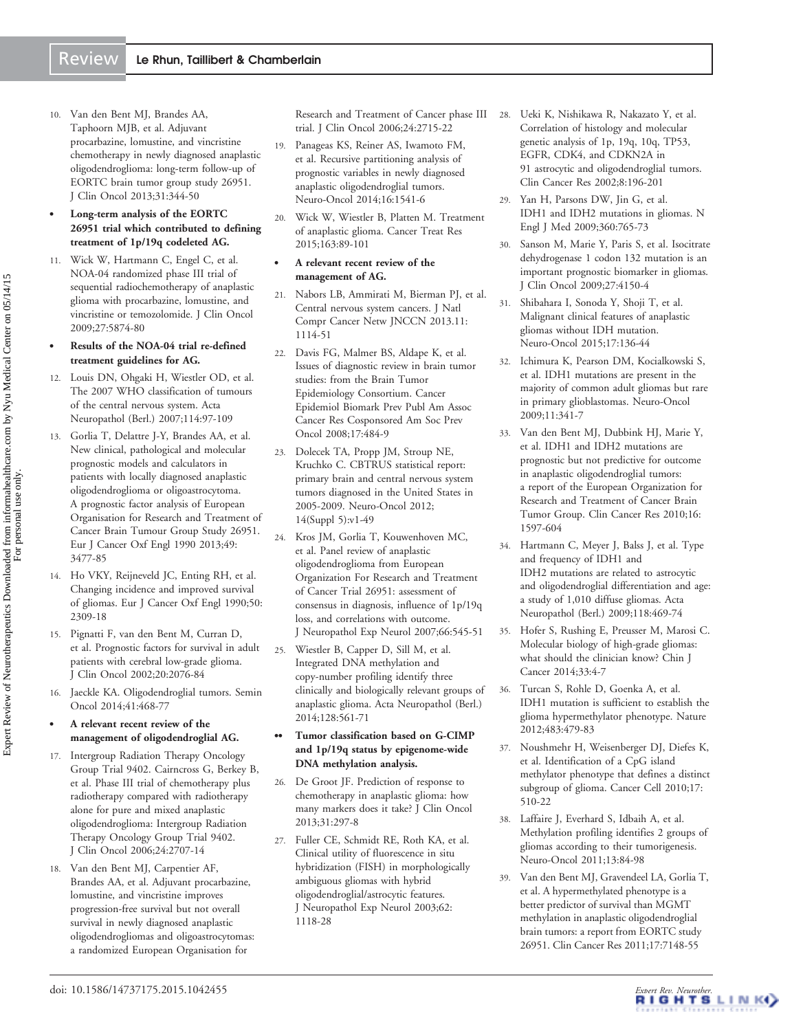<span id="page-15-0"></span>10. Van den Bent MJ, Brandes AA, Taphoorn MJB, et al. [Adjuvant](http://www.ncbi.nlm.nih.gov/pubmed/23071237?dopt=Abstract) [procarbazine, lomustine, and vincristine](http://www.ncbi.nlm.nih.gov/pubmed/23071237?dopt=Abstract) [chemotherapy in newly diagnosed anaplastic](http://www.ncbi.nlm.nih.gov/pubmed/23071237?dopt=Abstract) [oligodendroglioma: long-term follow-up of](http://www.ncbi.nlm.nih.gov/pubmed/23071237?dopt=Abstract) [EORTC brain tumor group study 26951](http://www.ncbi.nlm.nih.gov/pubmed/23071237?dopt=Abstract). J Clin Oncol 2013;31:344-50

#### . Long-term analysis of the EORTC 26951 trial which contributed to defining treatment of 1p/19q codeleted AG.

- 11. Wick W, Hartmann C, Engel C, et al. [NOA-04 randomized phase III trial of](http://www.ncbi.nlm.nih.gov/pubmed/19901110?dopt=Abstract) [sequential radiochemotherapy of anaplastic](http://www.ncbi.nlm.nih.gov/pubmed/19901110?dopt=Abstract) [glioma with procarbazine, lomustine, and](http://www.ncbi.nlm.nih.gov/pubmed/19901110?dopt=Abstract) [vincristine or temozolomide](http://www.ncbi.nlm.nih.gov/pubmed/19901110?dopt=Abstract). J Clin Oncol 2009;27:5874-80
- . Results of the NOA-04 trial re-defined treatment guidelines for AG.
- 12. Louis DN, Ohgaki H, Wiestler OD, et al. [The 2007 WHO classification of tumours](http://www.ncbi.nlm.nih.gov/pubmed/17618441?dopt=Abstract) [of the central nervous system](http://www.ncbi.nlm.nih.gov/pubmed/17618441?dopt=Abstract). Acta Neuropathol (Berl.) 2007;114:97-109
- 13. Gorlia T, Delattre J-Y, Brandes AA, et al. New clinical, pathological and molecular prognostic models and calculators in patients with locally diagnosed anaplastic oligodendroglioma or oligoastrocytoma. A prognostic factor analysis of European Organisation for Research and Treatment of Cancer Brain Tumour Group Study 26951. Eur J Cancer Oxf Engl 1990 2013;49: 3477-85
- 14. Ho VKY, Reijneveld JC, Enting RH, et al. Changing incidence and improved survival of gliomas. Eur J Cancer Oxf Engl 1990;50: 2309-18
- 15. Pignatti F, van den Bent M, Curran D, et al. [Prognostic factors for survival in adult](http://www.ncbi.nlm.nih.gov/pubmed/11956268?dopt=Abstract) [patients with cerebral low-grade glioma](http://www.ncbi.nlm.nih.gov/pubmed/11956268?dopt=Abstract). J Clin Oncol 2002;20:2076-84
- 16. Jaeckle KA. [Oligodendroglial tumors](http://www.ncbi.nlm.nih.gov/pubmed/25173140?dopt=Abstract). Semin Oncol 2014;41:468-77
- . A relevant recent review of the management of oligodendroglial AG.
- 17. Intergroup Radiation Therapy Oncology Group Trial 9402. Cairncross G, Berkey B, et al. Phase III trial of chemotherapy plus radiotherapy compared with radiotherapy alone for pure and mixed anaplastic oligodendroglioma: Intergroup Radiation Therapy Oncology Group Trial 9402. J Clin Oncol 2006;24:2707-14
- 18. Van den Bent MJ, Carpentier AF, Brandes AA, et al. [Adjuvant procarbazine,](http://www.ncbi.nlm.nih.gov/pubmed/16782911?dopt=Abstract) [lomustine, and vincristine improves](http://www.ncbi.nlm.nih.gov/pubmed/16782911?dopt=Abstract) [progression-free survival but not overall](http://www.ncbi.nlm.nih.gov/pubmed/16782911?dopt=Abstract) [survival in newly diagnosed anaplastic](http://www.ncbi.nlm.nih.gov/pubmed/16782911?dopt=Abstract) [oligodendrogliomas and oligoastrocytomas:](http://www.ncbi.nlm.nih.gov/pubmed/16782911?dopt=Abstract) [a randomized European Organisation for](http://www.ncbi.nlm.nih.gov/pubmed/16782911?dopt=Abstract)

[trial](http://www.ncbi.nlm.nih.gov/pubmed/16782911?dopt=Abstract). J Clin Oncol 2006;24:2715-22

- 19. Panageas KS, Reiner AS, Iwamoto FM, et al. [Recursive partitioning analysis of](http://www.ncbi.nlm.nih.gov/pubmed/24997140?dopt=Abstract) [prognostic variables in newly diagnosed](http://www.ncbi.nlm.nih.gov/pubmed/24997140?dopt=Abstract) [anaplastic oligodendroglial tumors](http://www.ncbi.nlm.nih.gov/pubmed/24997140?dopt=Abstract). Neuro-Oncol 2014;16:1541-6
- 20. Wick W, Wiestler B, Platten M. [Treatment](http://www.ncbi.nlm.nih.gov/pubmed/25468227?dopt=Abstract) [of anaplastic glioma](http://www.ncbi.nlm.nih.gov/pubmed/25468227?dopt=Abstract). Cancer Treat Res 2015;163:89-101

#### . A relevant recent review of the management of AG.

- 21. Nabors LB, Ammirati M, Bierman PJ, et al. Central nervous system cancers. J Natl Compr Cancer Netw JNCCN 2013.11: 1114-51
- 22. Davis FG, Malmer BS, Aldape K, et al. [Issues of diagnostic review in brain tumor](http://www.ncbi.nlm.nih.gov/pubmed/18349266?dopt=Abstract) [studies: from the Brain Tumor](http://www.ncbi.nlm.nih.gov/pubmed/18349266?dopt=Abstract) [Epidemiology Consortium](http://www.ncbi.nlm.nih.gov/pubmed/18349266?dopt=Abstract). Cancer Epidemiol Biomark Prev Publ Am Assoc Cancer Res Cosponsored Am Soc Prev Oncol 2008;17:484-9
- 23. Dolecek TA, Propp JM, Stroup NE, Kruchko C. CBTRUS statistical report: primary brain and central nervous system tumors diagnosed in the United States in 2005-2009. Neuro-Oncol 2012; 14(Suppl 5):v1-49
- 24. Kros JM, Gorlia T, Kouwenhoven MC, et al. [Panel review of anaplastic](http://www.ncbi.nlm.nih.gov/pubmed/17549014?dopt=Abstract) [oligodendroglioma from European](http://www.ncbi.nlm.nih.gov/pubmed/17549014?dopt=Abstract) [Organization For Research and Treatment](http://www.ncbi.nlm.nih.gov/pubmed/17549014?dopt=Abstract) [of Cancer Trial 26951: assessment of](http://www.ncbi.nlm.nih.gov/pubmed/17549014?dopt=Abstract) [consensus in diagnosis, influence of 1p/19q](http://www.ncbi.nlm.nih.gov/pubmed/17549014?dopt=Abstract) [loss, and correlations with outcome](http://www.ncbi.nlm.nih.gov/pubmed/17549014?dopt=Abstract). J Neuropathol Exp Neurol 2007;66:545-51
- 25. Wiestler B, Capper D, Sill M, et al. [Integrated DNA methylation and](http://www.ncbi.nlm.nih.gov/pubmed/25008768?dopt=Abstract) [copy-number profiling identify three](http://www.ncbi.nlm.nih.gov/pubmed/25008768?dopt=Abstract) [clinically and biologically relevant groups of](http://www.ncbi.nlm.nih.gov/pubmed/25008768?dopt=Abstract) [anaplastic glioma.](http://www.ncbi.nlm.nih.gov/pubmed/25008768?dopt=Abstract) Acta Neuropathol (Berl.) 2014;128:561-71

#### .. Tumor classification based on G-CIMP and 1p/19q status by epigenome-wide DNA methylation analysis.

- 26. De Groot JF. [Prediction of response to](http://www.ncbi.nlm.nih.gov/pubmed/23269985?dopt=Abstract) [chemotherapy in anaplastic glioma: how](http://www.ncbi.nlm.nih.gov/pubmed/23269985?dopt=Abstract) [many markers does it take?](http://www.ncbi.nlm.nih.gov/pubmed/23269985?dopt=Abstract) J Clin Oncol 2013;31:297-8
- 27. Fuller CE, Schmidt RE, Roth KA, et al. [Clinical utility of fluorescence in situ](http://www.ncbi.nlm.nih.gov/pubmed/14656070?dopt=Abstract) [hybridization \(FISH\) in morphologically](http://www.ncbi.nlm.nih.gov/pubmed/14656070?dopt=Abstract) [ambiguous gliomas with hybrid](http://www.ncbi.nlm.nih.gov/pubmed/14656070?dopt=Abstract) [oligodendroglial/astrocytic features](http://www.ncbi.nlm.nih.gov/pubmed/14656070?dopt=Abstract). J Neuropathol Exp Neurol 2003;62: 1118-28
- [Research and Treatment of Cancer phase III](http://www.ncbi.nlm.nih.gov/pubmed/16782911?dopt=Abstract) 28. Ueki K, Nishikawa R, Nakazato Y, et al. [Correlation of histology and molecular](http://www.ncbi.nlm.nih.gov/pubmed/11801559?dopt=Abstract) [genetic analysis of 1p, 19q, 10q, TP53,](http://www.ncbi.nlm.nih.gov/pubmed/11801559?dopt=Abstract) [EGFR, CDK4, and CDKN2A in](http://www.ncbi.nlm.nih.gov/pubmed/11801559?dopt=Abstract) [91 astrocytic and oligodendroglial tumors](http://www.ncbi.nlm.nih.gov/pubmed/11801559?dopt=Abstract). Clin Cancer Res 2002;8:196-201
	- 29. Yan H, Parsons DW, Jin G, et al. [IDH1 and IDH2 mutations in gliomas](http://www.ncbi.nlm.nih.gov/pubmed/19228619?dopt=Abstract). N Engl J Med 2009;360:765-73
	- 30. Sanson M, Marie Y, Paris S, et al. [Isocitrate](http://www.ncbi.nlm.nih.gov/pubmed/19636000?dopt=Abstract) [dehydrogenase 1 codon 132 mutation is an](http://www.ncbi.nlm.nih.gov/pubmed/19636000?dopt=Abstract) [important prognostic biomarker in gliomas](http://www.ncbi.nlm.nih.gov/pubmed/19636000?dopt=Abstract). J Clin Oncol 2009;27:4150-4
	- 31. Shibahara I, Sonoda Y, Shoji T, et al. [Malignant clinical features of anaplastic](http://www.ncbi.nlm.nih.gov/pubmed/24958096?dopt=Abstract) [gliomas without IDH mutation](http://www.ncbi.nlm.nih.gov/pubmed/24958096?dopt=Abstract). Neuro-Oncol 2015;17:136-44
	- 32. Ichimura K, Pearson DM, Kocialkowski S, et al. [IDH1 mutations are present in the](http://www.ncbi.nlm.nih.gov/pubmed/19435942?dopt=Abstract) [majority of common adult gliomas but rare](http://www.ncbi.nlm.nih.gov/pubmed/19435942?dopt=Abstract) [in primary glioblastomas.](http://www.ncbi.nlm.nih.gov/pubmed/19435942?dopt=Abstract) Neuro-Oncol 2009;11:341-7
	- 33. Van den Bent MJ, Dubbink HJ, Marie Y, et al. [IDH1 and IDH2 mutations are](http://www.ncbi.nlm.nih.gov/pubmed/20160062?dopt=Abstract) [prognostic but not predictive for outcome](http://www.ncbi.nlm.nih.gov/pubmed/20160062?dopt=Abstract) [in anaplastic oligodendroglial tumors:](http://www.ncbi.nlm.nih.gov/pubmed/20160062?dopt=Abstract) [a report of the European Organization for](http://www.ncbi.nlm.nih.gov/pubmed/20160062?dopt=Abstract) [Research and Treatment of Cancer Brain](http://www.ncbi.nlm.nih.gov/pubmed/20160062?dopt=Abstract) [Tumor Group](http://www.ncbi.nlm.nih.gov/pubmed/20160062?dopt=Abstract). Clin Cancer Res 2010;16: 1597-604
	- 34. Hartmann C, Meyer J, Balss J, et al. [Type](http://www.ncbi.nlm.nih.gov/pubmed/19554337?dopt=Abstract) [and frequency of IDH1 and](http://www.ncbi.nlm.nih.gov/pubmed/19554337?dopt=Abstract) [IDH2 mutations are related to astrocytic](http://www.ncbi.nlm.nih.gov/pubmed/19554337?dopt=Abstract) [and oligodendroglial differentiation and age:](http://www.ncbi.nlm.nih.gov/pubmed/19554337?dopt=Abstract) [a study of 1,010 diffuse gliomas.](http://www.ncbi.nlm.nih.gov/pubmed/19554337?dopt=Abstract) Acta Neuropathol (Berl.) 2009;118:469-74
	- 35. Hofer S, Rushing E, Preusser M, Marosi C. [Molecular biology of high-grade gliomas:](http://www.ncbi.nlm.nih.gov/pubmed/24325789?dopt=Abstract) [what should the clinician know?](http://www.ncbi.nlm.nih.gov/pubmed/24325789?dopt=Abstract) Chin J Cancer 2014;33:4-7
	- 36. Turcan S, Rohle D, Goenka A, et al. [IDH1 mutation is sufficient to establish the](http://www.ncbi.nlm.nih.gov/pubmed/22343889?dopt=Abstract) [glioma hypermethylator phenotype.](http://www.ncbi.nlm.nih.gov/pubmed/22343889?dopt=Abstract) Nature 2012;483:479-83
	- 37. Noushmehr H, Weisenberger DJ, Diefes K, et al. [Identification of a CpG island](http://www.ncbi.nlm.nih.gov/pubmed/20399149?dopt=Abstract) [methylator phenotype that defines a distinct](http://www.ncbi.nlm.nih.gov/pubmed/20399149?dopt=Abstract) [subgroup of glioma.](http://www.ncbi.nlm.nih.gov/pubmed/20399149?dopt=Abstract) Cancer Cell 2010;17: 510-22
	- 38. Laffaire J, Everhard S, Idbaih A, et al. [Methylation profiling identifies 2 groups of](http://www.ncbi.nlm.nih.gov/pubmed/20926426?dopt=Abstract) [gliomas according to their tumorigenesis](http://www.ncbi.nlm.nih.gov/pubmed/20926426?dopt=Abstract). Neuro-Oncol 2011;13:84-98
	- 39. Van den Bent MJ, Gravendeel LA, Gorlia T, et al. [A hypermethylated phenotype is a](http://www.ncbi.nlm.nih.gov/pubmed/21914791?dopt=Abstract) [better predictor of survival than MGMT](http://www.ncbi.nlm.nih.gov/pubmed/21914791?dopt=Abstract) [methylation in anaplastic oligodendroglial](http://www.ncbi.nlm.nih.gov/pubmed/21914791?dopt=Abstract) [brain tumors: a report from EORTC study](http://www.ncbi.nlm.nih.gov/pubmed/21914791?dopt=Abstract) [26951](http://www.ncbi.nlm.nih.gov/pubmed/21914791?dopt=Abstract). Clin Cancer Res 2011;17:7148-55

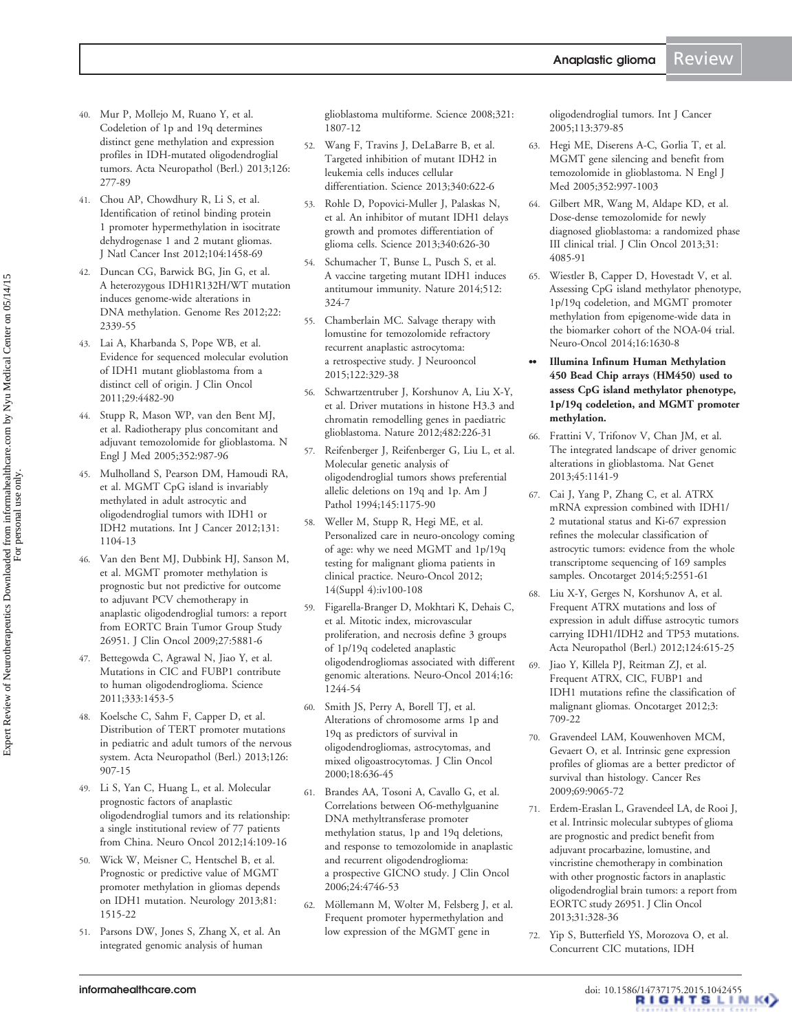- <span id="page-16-0"></span>40. Mur P, Mollejo M, Ruano Y, et al. [Codeletion of 1p and 19q determines](http://www.ncbi.nlm.nih.gov/pubmed/23689617?dopt=Abstract) [distinct gene methylation and expression](http://www.ncbi.nlm.nih.gov/pubmed/23689617?dopt=Abstract) [profiles in IDH-mutated oligodendroglial](http://www.ncbi.nlm.nih.gov/pubmed/23689617?dopt=Abstract) [tumors.](http://www.ncbi.nlm.nih.gov/pubmed/23689617?dopt=Abstract) Acta Neuropathol (Berl.) 2013;126: 277-89
- 41. Chou AP, Chowdhury R, Li S, et al. [Identification of retinol binding protein](http://www.ncbi.nlm.nih.gov/pubmed/22945948?dopt=Abstract) [1 promoter hypermethylation in isocitrate](http://www.ncbi.nlm.nih.gov/pubmed/22945948?dopt=Abstract) [dehydrogenase 1 and 2 mutant gliomas](http://www.ncbi.nlm.nih.gov/pubmed/22945948?dopt=Abstract). J Natl Cancer Inst 2012;104:1458-69
- 42. Duncan CG, Barwick BG, Jin G, et al. [A heterozygous IDH1R132H/WT mutation](http://www.ncbi.nlm.nih.gov/pubmed/22899282?dopt=Abstract) [induces genome-wide alterations in](http://www.ncbi.nlm.nih.gov/pubmed/22899282?dopt=Abstract) [DNA methylation](http://www.ncbi.nlm.nih.gov/pubmed/22899282?dopt=Abstract). Genome Res 2012;22: 2339-55
- 43. Lai A, Kharbanda S, Pope WB, et al. [Evidence for sequenced molecular evolution](http://www.ncbi.nlm.nih.gov/pubmed/22025148?dopt=Abstract) [of IDH1 mutant glioblastoma from a](http://www.ncbi.nlm.nih.gov/pubmed/22025148?dopt=Abstract) [distinct cell of origin.](http://www.ncbi.nlm.nih.gov/pubmed/22025148?dopt=Abstract) J Clin Oncol 2011;29:4482-90
- 44. Stupp R, Mason WP, van den Bent MJ, et al. [Radiotherapy plus concomitant and](http://www.ncbi.nlm.nih.gov/pubmed/15758009?dopt=Abstract) [adjuvant temozolomide for glioblastoma.](http://www.ncbi.nlm.nih.gov/pubmed/15758009?dopt=Abstract) N Engl J Med 2005;352:987-96
- 45. Mulholland S, Pearson DM, Hamoudi RA, et al. [MGMT CpG island is invariably](http://www.ncbi.nlm.nih.gov/pubmed/22020830?dopt=Abstract) [methylated in adult astrocytic and](http://www.ncbi.nlm.nih.gov/pubmed/22020830?dopt=Abstract) [oligodendroglial tumors with IDH1 or](http://www.ncbi.nlm.nih.gov/pubmed/22020830?dopt=Abstract) [IDH2 mutations.](http://www.ncbi.nlm.nih.gov/pubmed/22020830?dopt=Abstract) Int J Cancer 2012;131: 1104-13
- 46. Van den Bent MJ, Dubbink HJ, Sanson M, et al. [MGMT promoter methylation is](http://www.ncbi.nlm.nih.gov/pubmed/19901104?dopt=Abstract) [prognostic but not predictive for outcome](http://www.ncbi.nlm.nih.gov/pubmed/19901104?dopt=Abstract) [to adjuvant PCV chemotherapy in](http://www.ncbi.nlm.nih.gov/pubmed/19901104?dopt=Abstract) [anaplastic oligodendroglial tumors: a report](http://www.ncbi.nlm.nih.gov/pubmed/19901104?dopt=Abstract) [from EORTC Brain Tumor Group Study](http://www.ncbi.nlm.nih.gov/pubmed/19901104?dopt=Abstract) [26951.](http://www.ncbi.nlm.nih.gov/pubmed/19901104?dopt=Abstract) J Clin Oncol 2009;27:5881-6
- 47. Bettegowda C, Agrawal N, Jiao Y, et al. [Mutations in CIC and FUBP1 contribute](http://www.ncbi.nlm.nih.gov/pubmed/21817013?dopt=Abstract) [to human oligodendroglioma](http://www.ncbi.nlm.nih.gov/pubmed/21817013?dopt=Abstract). Science 2011;333:1453-5
- 48. Koelsche C, Sahm F, Capper D, et al. [Distribution of TERT promoter mutations](http://www.ncbi.nlm.nih.gov/pubmed/24154961?dopt=Abstract) [in pediatric and adult tumors of the nervous](http://www.ncbi.nlm.nih.gov/pubmed/24154961?dopt=Abstract) [system](http://www.ncbi.nlm.nih.gov/pubmed/24154961?dopt=Abstract). Acta Neuropathol (Berl.) 2013;126: 907-15
- 49. Li S, Yan C, Huang L, et al. Molecular prognostic factors of anaplastic oligodendroglial tumors and its relationship: a single institutional review of 77 patients from China. Neuro Oncol 2012;14:109-16
- 50. Wick W, Meisner C, Hentschel B, et al. [Prognostic or predictive value of MGMT](http://www.ncbi.nlm.nih.gov/pubmed/24068788?dopt=Abstract) [promoter methylation in gliomas depends](http://www.ncbi.nlm.nih.gov/pubmed/24068788?dopt=Abstract) [on IDH1 mutation](http://www.ncbi.nlm.nih.gov/pubmed/24068788?dopt=Abstract). Neurology 2013;81: 1515-22
- 51. Parsons DW, Jones S, Zhang X, et al. [An](http://www.ncbi.nlm.nih.gov/pubmed/18772396?dopt=Abstract) [integrated genomic analysis of human](http://www.ncbi.nlm.nih.gov/pubmed/18772396?dopt=Abstract)

[glioblastoma multiforme.](http://www.ncbi.nlm.nih.gov/pubmed/18772396?dopt=Abstract) Science 2008;321: 1807-12

- 52. Wang F, Travins J, DeLaBarre B, et al. [Targeted inhibition of mutant IDH2 in](http://www.ncbi.nlm.nih.gov/pubmed/23558173?dopt=Abstract) [leukemia cells induces cellular](http://www.ncbi.nlm.nih.gov/pubmed/23558173?dopt=Abstract) [differentiation](http://www.ncbi.nlm.nih.gov/pubmed/23558173?dopt=Abstract). Science 2013;340:622-6
- 53. Rohle D, Popovici-Muller J, Palaskas N, et al. [An inhibitor of mutant IDH1 delays](http://www.ncbi.nlm.nih.gov/pubmed/23558169?dopt=Abstract) [growth and promotes differentiation of](http://www.ncbi.nlm.nih.gov/pubmed/23558169?dopt=Abstract) [glioma cells](http://www.ncbi.nlm.nih.gov/pubmed/23558169?dopt=Abstract). Science 2013;340:626-30
- 54. Schumacher T, Bunse L, Pusch S, et al. [A vaccine targeting mutant IDH1 induces](http://www.ncbi.nlm.nih.gov/pubmed/25043048?dopt=Abstract) [antitumour immunity](http://www.ncbi.nlm.nih.gov/pubmed/25043048?dopt=Abstract). Nature 2014;512: 324-7
- 55. Chamberlain MC. Salvage therapy with lomustine for temozolomide refractory recurrent anaplastic astrocytoma: a retrospective study. J Neurooncol 2015;122:329-38
- 56. Schwartzentruber J, Korshunov A, Liu X-Y, et al. [Driver mutations in histone H3.3 and](http://www.ncbi.nlm.nih.gov/pubmed/22286061?dopt=Abstract) [chromatin remodelling genes in paediatric](http://www.ncbi.nlm.nih.gov/pubmed/22286061?dopt=Abstract) [glioblastoma](http://www.ncbi.nlm.nih.gov/pubmed/22286061?dopt=Abstract). Nature 2012;482:226-31
- 57. Reifenberger J, Reifenberger G, Liu L, et al. [Molecular genetic analysis of](http://www.ncbi.nlm.nih.gov/pubmed/7977648?dopt=Abstract) [oligodendroglial tumors shows preferential](http://www.ncbi.nlm.nih.gov/pubmed/7977648?dopt=Abstract) [allelic deletions on 19q and 1p.](http://www.ncbi.nlm.nih.gov/pubmed/7977648?dopt=Abstract) Am J Pathol 1994;145:1175-90
- 58. Weller M, Stupp R, Hegi ME, et al. Personalized care in neuro-oncology coming of age: why we need MGMT and 1p/19q testing for malignant glioma patients in clinical practice. Neuro-Oncol 2012; 14(Suppl 4):iv100-108
- 59. Figarella-Branger D, Mokhtari K, Dehais C, et al. [Mitotic index, microvascular](http://www.ncbi.nlm.nih.gov/pubmed/24723566?dopt=Abstract) [proliferation, and necrosis define 3 groups](http://www.ncbi.nlm.nih.gov/pubmed/24723566?dopt=Abstract) [of 1p/19q codeleted anaplastic](http://www.ncbi.nlm.nih.gov/pubmed/24723566?dopt=Abstract) [oligodendrogliomas associated with different](http://www.ncbi.nlm.nih.gov/pubmed/24723566?dopt=Abstract) [genomic alterations.](http://www.ncbi.nlm.nih.gov/pubmed/24723566?dopt=Abstract) Neuro-Oncol 2014;16: 1244-54
- 60. Smith JS, Perry A, Borell TJ, et al. [Alterations of chromosome arms 1p and](http://www.ncbi.nlm.nih.gov/pubmed/10653879?dopt=Abstract) [19q as predictors of survival in](http://www.ncbi.nlm.nih.gov/pubmed/10653879?dopt=Abstract) [oligodendrogliomas, astrocytomas, and](http://www.ncbi.nlm.nih.gov/pubmed/10653879?dopt=Abstract) [mixed oligoastrocytomas.](http://www.ncbi.nlm.nih.gov/pubmed/10653879?dopt=Abstract) J Clin Oncol 2000;18:636-45
- 61. Brandes AA, Tosoni A, Cavallo G, et al. [Correlations between O6-methylguanine](http://www.ncbi.nlm.nih.gov/pubmed/16954518?dopt=Abstract) [DNA methyltransferase promoter](http://www.ncbi.nlm.nih.gov/pubmed/16954518?dopt=Abstract) [methylation status, 1p and 19q deletions,](http://www.ncbi.nlm.nih.gov/pubmed/16954518?dopt=Abstract) [and response to temozolomide in anaplastic](http://www.ncbi.nlm.nih.gov/pubmed/16954518?dopt=Abstract) [and recurrent oligodendroglioma:](http://www.ncbi.nlm.nih.gov/pubmed/16954518?dopt=Abstract) [a prospective GICNO study.](http://www.ncbi.nlm.nih.gov/pubmed/16954518?dopt=Abstract) J Clin Oncol 2006;24:4746-53
- 62. Möllemann M, Wolter M, Felsberg J, et al. [Frequent promoter hypermethylation and](http://www.ncbi.nlm.nih.gov/pubmed/15455350?dopt=Abstract) [low expression of the MGMT gene in](http://www.ncbi.nlm.nih.gov/pubmed/15455350?dopt=Abstract)

[oligodendroglial tumors.](http://www.ncbi.nlm.nih.gov/pubmed/15455350?dopt=Abstract) Int J Cancer 2005;113:379-85

- 63. Hegi ME, Diserens A-C, Gorlia T, et al. [MGMT gene silencing and benefit from](http://www.ncbi.nlm.nih.gov/pubmed/15758010?dopt=Abstract) [temozolomide in glioblastoma.](http://www.ncbi.nlm.nih.gov/pubmed/15758010?dopt=Abstract) N Engl J Med 2005;352:997-1003
- 64. Gilbert MR, Wang M, Aldape KD, et al. [Dose-dense temozolomide for newly](http://www.ncbi.nlm.nih.gov/pubmed/24101040?dopt=Abstract) [diagnosed glioblastoma: a randomized phase](http://www.ncbi.nlm.nih.gov/pubmed/24101040?dopt=Abstract) [III clinical trial.](http://www.ncbi.nlm.nih.gov/pubmed/24101040?dopt=Abstract) J Clin Oncol 2013;31: 4085-91
- 65. Wiestler B, Capper D, Hovestadt V, et al. [Assessing CpG island methylator phenotype,](http://www.ncbi.nlm.nih.gov/pubmed/25028501?dopt=Abstract) [1p/19q codeletion, and MGMT promoter](http://www.ncbi.nlm.nih.gov/pubmed/25028501?dopt=Abstract) [methylation from epigenome-wide data in](http://www.ncbi.nlm.nih.gov/pubmed/25028501?dopt=Abstract) [the biomarker cohort of the NOA-04 trial](http://www.ncbi.nlm.nih.gov/pubmed/25028501?dopt=Abstract). Neuro-Oncol 2014;16:1630-8
- .. Illumina Infinum Human Methylation 450 Bead Chip arrays (HM450) used to assess CpG island methylator phenotype, 1p/19q codeletion, and MGMT promoter methylation.
- 66. Frattini V, Trifonov V, Chan JM, et al. [The integrated landscape of driver genomic](http://www.ncbi.nlm.nih.gov/pubmed/23917401?dopt=Abstract) [alterations in glioblastoma](http://www.ncbi.nlm.nih.gov/pubmed/23917401?dopt=Abstract). Nat Genet 2013;45:1141-9
- 67. Cai J, Yang P, Zhang C, et al. [ATRX](http://www.ncbi.nlm.nih.gov/pubmed/24810474?dopt=Abstract) [mRNA expression combined with IDH1/](http://www.ncbi.nlm.nih.gov/pubmed/24810474?dopt=Abstract) [2 mutational status and Ki-67 expression](http://www.ncbi.nlm.nih.gov/pubmed/24810474?dopt=Abstract) [refines the molecular classification of](http://www.ncbi.nlm.nih.gov/pubmed/24810474?dopt=Abstract) [astrocytic tumors: evidence from the whole](http://www.ncbi.nlm.nih.gov/pubmed/24810474?dopt=Abstract) [transcriptome sequencing of 169 samples](http://www.ncbi.nlm.nih.gov/pubmed/24810474?dopt=Abstract) [samples](http://www.ncbi.nlm.nih.gov/pubmed/24810474?dopt=Abstract). Oncotarget 2014;5:2551-61
- 68. Liu X-Y, Gerges N, Korshunov A, et al. [Frequent ATRX mutations and loss of](http://www.ncbi.nlm.nih.gov/pubmed/22886134?dopt=Abstract) [expression in adult diffuse astrocytic tumors](http://www.ncbi.nlm.nih.gov/pubmed/22886134?dopt=Abstract) [carrying IDH1/IDH2 and TP53 mutations.](http://www.ncbi.nlm.nih.gov/pubmed/22886134?dopt=Abstract) Acta Neuropathol (Berl.) 2012;124:615-25
- 69. Jiao Y, Killela PJ, Reitman ZJ, et al. [Frequent ATRX, CIC, FUBP1 and](http://www.ncbi.nlm.nih.gov/pubmed/22869205?dopt=Abstract) [IDH1 mutations refine the classification of](http://www.ncbi.nlm.nih.gov/pubmed/22869205?dopt=Abstract) [malignant gliomas](http://www.ncbi.nlm.nih.gov/pubmed/22869205?dopt=Abstract). Oncotarget 2012;3: 709-22
- 70. Gravendeel LAM, Kouwenhoven MCM, Gevaert O, et al. Intrinsic gene expression profiles of gliomas are a better predictor of survival than histology. Cancer Res 2009;69:9065-72
- 71. Erdem-Eraslan L, Gravendeel LA, de Rooi J, et al. [Intrinsic molecular subtypes of glioma](http://www.ncbi.nlm.nih.gov/pubmed/23269986?dopt=Abstract) [are prognostic and predict benefit from](http://www.ncbi.nlm.nih.gov/pubmed/23269986?dopt=Abstract) [adjuvant procarbazine, lomustine, and](http://www.ncbi.nlm.nih.gov/pubmed/23269986?dopt=Abstract) [vincristine chemotherapy in combination](http://www.ncbi.nlm.nih.gov/pubmed/23269986?dopt=Abstract) [with other prognostic factors in anaplastic](http://www.ncbi.nlm.nih.gov/pubmed/23269986?dopt=Abstract) [oligodendroglial brain tumors: a report from](http://www.ncbi.nlm.nih.gov/pubmed/23269986?dopt=Abstract) [EORTC study 26951.](http://www.ncbi.nlm.nih.gov/pubmed/23269986?dopt=Abstract) J Clin Oncol 2013;31:328-36
- 72. Yip S, Butterfield YS, Morozova O, et al. [Concurrent CIC mutations, IDH](http://www.ncbi.nlm.nih.gov/pubmed/22072542?dopt=Abstract)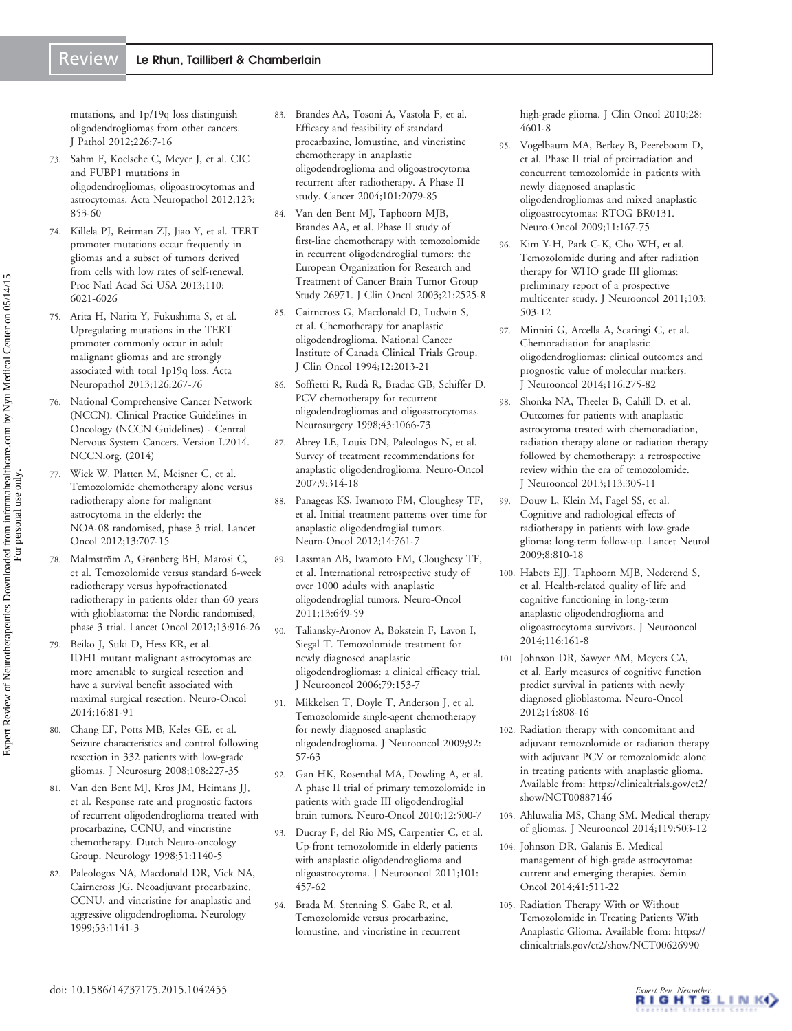<span id="page-17-0"></span>[mutations, and 1p/19q loss distinguish](http://www.ncbi.nlm.nih.gov/pubmed/22072542?dopt=Abstract) [oligodendrogliomas from other cancers.](http://www.ncbi.nlm.nih.gov/pubmed/22072542?dopt=Abstract) J Pathol 2012;226:7-16

- 73. Sahm F, Koelsche C, Meyer J, et al. [CIC](http://www.ncbi.nlm.nih.gov/pubmed/22588899?dopt=Abstract) [and FUBP1 mutations in](http://www.ncbi.nlm.nih.gov/pubmed/22588899?dopt=Abstract) [oligodendrogliomas, oligoastrocytomas and](http://www.ncbi.nlm.nih.gov/pubmed/22588899?dopt=Abstract) [astrocytomas.](http://www.ncbi.nlm.nih.gov/pubmed/22588899?dopt=Abstract) Acta Neuropathol 2012;123: 853-60
- 74. Killela PJ, Reitman ZJ, Jiao Y, et al. [TERT](http://www.ncbi.nlm.nih.gov/pubmed/23530248?dopt=Abstract) [promoter mutations occur frequently in](http://www.ncbi.nlm.nih.gov/pubmed/23530248?dopt=Abstract) [gliomas and a subset of tumors derived](http://www.ncbi.nlm.nih.gov/pubmed/23530248?dopt=Abstract) [from cells with low rates of self-renewal.](http://www.ncbi.nlm.nih.gov/pubmed/23530248?dopt=Abstract) Proc Natl Acad Sci USA 2013;110: 6021-6026
- 75. Arita H, Narita Y, Fukushima S, et al. [Upregulating mutations in the TERT](http://www.ncbi.nlm.nih.gov/pubmed/23764841?dopt=Abstract) [promoter commonly occur in adult](http://www.ncbi.nlm.nih.gov/pubmed/23764841?dopt=Abstract) [malignant gliomas and are strongly](http://www.ncbi.nlm.nih.gov/pubmed/23764841?dopt=Abstract) [associated with total 1p19q loss.](http://www.ncbi.nlm.nih.gov/pubmed/23764841?dopt=Abstract) Acta Neuropathol 2013;126:267-76
- National Comprehensive Cancer Network (NCCN). Clinical Practice Guidelines in Oncology (NCCN Guidelines) - Central Nervous System Cancers. Version I.2014. NCCN.org. (2014)
- 77. Wick W, Platten M, Meisner C, et al. [Temozolomide chemotherapy alone versus](http://www.ncbi.nlm.nih.gov/pubmed/22578793?dopt=Abstract) [radiotherapy alone for malignant](http://www.ncbi.nlm.nih.gov/pubmed/22578793?dopt=Abstract) [astrocytoma in the elderly: the](http://www.ncbi.nlm.nih.gov/pubmed/22578793?dopt=Abstract) [NOA-08 randomised, phase 3 trial](http://www.ncbi.nlm.nih.gov/pubmed/22578793?dopt=Abstract). Lancet Oncol 2012;13:707-15
- 78. Malmström A, Grønberg BH, Marosi C, et al. [Temozolomide versus standard 6-week](http://www.ncbi.nlm.nih.gov/pubmed/22578793?dopt=Abstract) [radiotherapy versus hypofractionated](http://www.ncbi.nlm.nih.gov/pubmed/22578793?dopt=Abstract) [radiotherapy in patients older than 60 years](http://www.ncbi.nlm.nih.gov/pubmed/22578793?dopt=Abstract) [with glioblastoma: the Nordic randomised,](http://www.ncbi.nlm.nih.gov/pubmed/22578793?dopt=Abstract) [phase 3 trial.](http://www.ncbi.nlm.nih.gov/pubmed/22578793?dopt=Abstract) Lancet Oncol 2012;13:916-26
- 79. Beiko J, Suki D, Hess KR, et al. [IDH1 mutant malignant astrocytomas are](http://www.ncbi.nlm.nih.gov/pubmed/24305719?dopt=Abstract) [more amenable to surgical resection and](http://www.ncbi.nlm.nih.gov/pubmed/24305719?dopt=Abstract) [have a survival benefit associated with](http://www.ncbi.nlm.nih.gov/pubmed/24305719?dopt=Abstract) [maximal surgical resection.](http://www.ncbi.nlm.nih.gov/pubmed/24305719?dopt=Abstract) Neuro-Oncol 2014;16:81-91
- 80. Chang EF, Potts MB, Keles GE, et al. [Seizure characteristics and control following](http://www.ncbi.nlm.nih.gov/pubmed/18240916?dopt=Abstract) [resection in 332 patients with low-grade](http://www.ncbi.nlm.nih.gov/pubmed/18240916?dopt=Abstract) [gliomas](http://www.ncbi.nlm.nih.gov/pubmed/18240916?dopt=Abstract). J Neurosurg 2008;108:227-35
- 81. Van den Bent MJ, Kros JM, Heimans JJ, et al. [Response rate and prognostic factors](http://www.ncbi.nlm.nih.gov/pubmed/9781544?dopt=Abstract) [of recurrent oligodendroglioma treated with](http://www.ncbi.nlm.nih.gov/pubmed/9781544?dopt=Abstract) [procarbazine, CCNU, and vincristine](http://www.ncbi.nlm.nih.gov/pubmed/9781544?dopt=Abstract) [chemotherapy. Dutch Neuro-oncology](http://www.ncbi.nlm.nih.gov/pubmed/9781544?dopt=Abstract) [Group.](http://www.ncbi.nlm.nih.gov/pubmed/9781544?dopt=Abstract) Neurology 1998;51:1140-5
- 82. Paleologos NA, Macdonald DR, Vick NA, Cairncross JG. [Neoadjuvant procarbazine,](http://www.ncbi.nlm.nih.gov/pubmed/10496285?dopt=Abstract) [CCNU, and vincristine for anaplastic and](http://www.ncbi.nlm.nih.gov/pubmed/10496285?dopt=Abstract) [aggressive oligodendroglioma.](http://www.ncbi.nlm.nih.gov/pubmed/10496285?dopt=Abstract) Neurology 1999;53:1141-3
- 83. Brandes AA, Tosoni A, Vastola F, et al. [Efficacy and feasibility of standard](http://www.ncbi.nlm.nih.gov/pubmed/15372474?dopt=Abstract) [procarbazine, lomustine, and vincristine](http://www.ncbi.nlm.nih.gov/pubmed/15372474?dopt=Abstract) [chemotherapy in anaplastic](http://www.ncbi.nlm.nih.gov/pubmed/15372474?dopt=Abstract) [oligodendroglioma and oligoastrocytoma](http://www.ncbi.nlm.nih.gov/pubmed/15372474?dopt=Abstract) [recurrent after radiotherapy. A Phase II](http://www.ncbi.nlm.nih.gov/pubmed/15372474?dopt=Abstract) [study.](http://www.ncbi.nlm.nih.gov/pubmed/15372474?dopt=Abstract) Cancer 2004;101:2079-85
- 84. Van den Bent MJ, Taphoorn MJB, Brandes AA, et al. [Phase II study of](http://www.ncbi.nlm.nih.gov/pubmed/12829671?dopt=Abstract) [first-line chemotherapy with temozolomide](http://www.ncbi.nlm.nih.gov/pubmed/12829671?dopt=Abstract) [in recurrent oligodendroglial tumors: the](http://www.ncbi.nlm.nih.gov/pubmed/12829671?dopt=Abstract) [European Organization for Research and](http://www.ncbi.nlm.nih.gov/pubmed/12829671?dopt=Abstract) [Treatment of Cancer Brain Tumor Group](http://www.ncbi.nlm.nih.gov/pubmed/12829671?dopt=Abstract) [Study 26971.](http://www.ncbi.nlm.nih.gov/pubmed/12829671?dopt=Abstract) J Clin Oncol 2003;21:2525-8
- 85. Cairncross G, Macdonald D, Ludwin S, et al. [Chemotherapy for anaplastic](http://www.ncbi.nlm.nih.gov/pubmed/7931469?dopt=Abstract) [oligodendroglioma. National Cancer](http://www.ncbi.nlm.nih.gov/pubmed/7931469?dopt=Abstract) [Institute of Canada Clinical Trials Group](http://www.ncbi.nlm.nih.gov/pubmed/7931469?dopt=Abstract). J Clin Oncol 1994;12:2013-21
- 86. Soffietti R, Ruda` R, Bradac GB, Schiffer D. [PCV chemotherapy for recurrent](http://www.ncbi.nlm.nih.gov/pubmed/9802850?dopt=Abstract) [oligodendrogliomas and oligoastrocytomas.](http://www.ncbi.nlm.nih.gov/pubmed/9802850?dopt=Abstract) Neurosurgery 1998;43:1066-73
- 87. Abrey LE, Louis DN, Paleologos N, et al. [Survey of treatment recommendations for](http://www.ncbi.nlm.nih.gov/pubmed/17435180?dopt=Abstract) [anaplastic oligodendroglioma.](http://www.ncbi.nlm.nih.gov/pubmed/17435180?dopt=Abstract) Neuro-Oncol 2007;9:314-18
- 88. Panageas KS, Iwamoto FM, Cloughesy TF, et al. [Initial treatment patterns over time for](http://www.ncbi.nlm.nih.gov/pubmed/22661585?dopt=Abstract) [anaplastic oligodendroglial tumors](http://www.ncbi.nlm.nih.gov/pubmed/22661585?dopt=Abstract). Neuro-Oncol 2012;14:761-7
- 89. Lassman AB, Iwamoto FM, Cloughesy TF, et al. [International retrospective study of](http://www.ncbi.nlm.nih.gov/pubmed/21636710?dopt=Abstract) [over 1000 adults with anaplastic](http://www.ncbi.nlm.nih.gov/pubmed/21636710?dopt=Abstract) [oligodendroglial tumors.](http://www.ncbi.nlm.nih.gov/pubmed/21636710?dopt=Abstract) Neuro-Oncol 2011;13:649-59
- 90. Taliansky-Aronov A, Bokstein F, Lavon I, Siegal T. [Temozolomide treatment for](http://www.ncbi.nlm.nih.gov/pubmed/16855865?dopt=Abstract) [newly diagnosed anaplastic](http://www.ncbi.nlm.nih.gov/pubmed/16855865?dopt=Abstract) [oligodendrogliomas: a clinical efficacy trial.](http://www.ncbi.nlm.nih.gov/pubmed/16855865?dopt=Abstract) J Neurooncol 2006;79:153-7
- 91. Mikkelsen T, Doyle T, Anderson J, et al. [Temozolomide single-agent chemotherapy](http://www.ncbi.nlm.nih.gov/pubmed/19011763?dopt=Abstract) [for newly diagnosed anaplastic](http://www.ncbi.nlm.nih.gov/pubmed/19011763?dopt=Abstract) [oligodendroglioma.](http://www.ncbi.nlm.nih.gov/pubmed/19011763?dopt=Abstract) J Neurooncol 2009;92: 57-63
- 92. Gan HK, Rosenthal MA, Dowling A, et al. [A phase II trial of primary temozolomide in](http://www.ncbi.nlm.nih.gov/pubmed/20406900?dopt=Abstract) [patients with grade III oligodendroglial](http://www.ncbi.nlm.nih.gov/pubmed/20406900?dopt=Abstract) [brain tumors.](http://www.ncbi.nlm.nih.gov/pubmed/20406900?dopt=Abstract) Neuro-Oncol 2010;12:500-7
- 93. Ducray F, del Rio MS, Carpentier C, et al. [Up-front temozolomide in elderly patients](http://www.ncbi.nlm.nih.gov/pubmed/20556480?dopt=Abstract) [with anaplastic oligodendroglioma and](http://www.ncbi.nlm.nih.gov/pubmed/20556480?dopt=Abstract) [oligoastrocytoma.](http://www.ncbi.nlm.nih.gov/pubmed/20556480?dopt=Abstract) J Neurooncol 2011;101: 457-62
- 94. Brada M, Stenning S, Gabe R, et al. [Temozolomide versus procarbazine,](http://www.ncbi.nlm.nih.gov/pubmed/20855843?dopt=Abstract) [lomustine, and vincristine in recurrent](http://www.ncbi.nlm.nih.gov/pubmed/20855843?dopt=Abstract)

[high-grade glioma.](http://www.ncbi.nlm.nih.gov/pubmed/20855843?dopt=Abstract) J Clin Oncol 2010;28: 4601-8

- 95. Vogelbaum MA, Berkey B, Peereboom D, et al. [Phase II trial of preirradiation and](http://www.ncbi.nlm.nih.gov/pubmed/18779504?dopt=Abstract) [concurrent temozolomide in patients with](http://www.ncbi.nlm.nih.gov/pubmed/18779504?dopt=Abstract) [newly diagnosed anaplastic](http://www.ncbi.nlm.nih.gov/pubmed/18779504?dopt=Abstract) [oligodendrogliomas and mixed anaplastic](http://www.ncbi.nlm.nih.gov/pubmed/18779504?dopt=Abstract) [oligoastrocytomas: RTOG BR0131](http://www.ncbi.nlm.nih.gov/pubmed/18779504?dopt=Abstract). Neuro-Oncol 2009;11:167-75
- 96. Kim Y-H, Park C-K, Cho WH, et al. [Temozolomide during and after radiation](http://www.ncbi.nlm.nih.gov/pubmed/20862518?dopt=Abstract) [therapy for WHO grade III gliomas:](http://www.ncbi.nlm.nih.gov/pubmed/20862518?dopt=Abstract) [preliminary report of a prospective](http://www.ncbi.nlm.nih.gov/pubmed/20862518?dopt=Abstract) [multicenter study.](http://www.ncbi.nlm.nih.gov/pubmed/20862518?dopt=Abstract) J Neurooncol 2011;103: 503-12
- 97. Minniti G, Arcella A, Scaringi C, et al. [Chemoradiation for anaplastic](http://www.ncbi.nlm.nih.gov/pubmed/24162810?dopt=Abstract) [oligodendrogliomas: clinical outcomes and](http://www.ncbi.nlm.nih.gov/pubmed/24162810?dopt=Abstract) [prognostic value of molecular markers](http://www.ncbi.nlm.nih.gov/pubmed/24162810?dopt=Abstract). J Neurooncol 2014;116:275-82
- 98. Shonka NA, Theeler B, Cahill D, et al. [Outcomes for patients with anaplastic](http://www.ncbi.nlm.nih.gov/pubmed/23526410?dopt=Abstract) [astrocytoma treated with chemoradiation,](http://www.ncbi.nlm.nih.gov/pubmed/23526410?dopt=Abstract) [radiation therapy alone or radiation therapy](http://www.ncbi.nlm.nih.gov/pubmed/23526410?dopt=Abstract) [followed by chemotherapy: a retrospective](http://www.ncbi.nlm.nih.gov/pubmed/23526410?dopt=Abstract) [review within the era of temozolomide](http://www.ncbi.nlm.nih.gov/pubmed/23526410?dopt=Abstract). J Neurooncol 2013;113:305-11
- 99. Douw L, Klein M, Fagel SS, et al. [Cognitive and radiological effects of](http://www.ncbi.nlm.nih.gov/pubmed/19665931?dopt=Abstract) [radiotherapy in patients with low-grade](http://www.ncbi.nlm.nih.gov/pubmed/19665931?dopt=Abstract) [glioma: long-term follow-up.](http://www.ncbi.nlm.nih.gov/pubmed/19665931?dopt=Abstract) Lancet Neurol 2009;8:810-18
- 100. Habets EJJ, Taphoorn MJB, Nederend S, et al. Health-related quality of life and cognitive functioning in long-term anaplastic oligodendroglioma and oligoastrocytoma survivors. J Neurooncol 2014;116:161-8
- 101. Johnson DR, Sawyer AM, Meyers CA, et al. [Early measures of cognitive function](http://www.ncbi.nlm.nih.gov/pubmed/22508762?dopt=Abstract) [predict survival in patients with newly](http://www.ncbi.nlm.nih.gov/pubmed/22508762?dopt=Abstract) [diagnosed glioblastoma.](http://www.ncbi.nlm.nih.gov/pubmed/22508762?dopt=Abstract) Neuro-Oncol 2012;14:808-16
- 102. Radiation therapy with concomitant and adjuvant temozolomide or radiation therapy with adjuvant PCV or temozolomide alone in treating patients with anaplastic glioma. Available from: [https://clinicaltrials.gov/ct2/](https://clinicaltrials.gov/ct2/show/NCT00887146) [show/NCT00887146](https://clinicaltrials.gov/ct2/show/NCT00887146)
- 103. Ahluwalia MS, Chang SM. [Medical therapy](http://www.ncbi.nlm.nih.gov/pubmed/24986089?dopt=Abstract) [of gliomas](http://www.ncbi.nlm.nih.gov/pubmed/24986089?dopt=Abstract). J Neurooncol 2014;119:503-12
- 104. Johnson DR, Galanis E. [Medical](http://www.ncbi.nlm.nih.gov/pubmed/25173143?dopt=Abstract) [management of high-grade astrocytoma:](http://www.ncbi.nlm.nih.gov/pubmed/25173143?dopt=Abstract) [current and emerging therapies.](http://www.ncbi.nlm.nih.gov/pubmed/25173143?dopt=Abstract) Semin Oncol 2014;41:511-22
- 105. Radiation Therapy With or Without Temozolomide in Treating Patients With Anaplastic Glioma. Available from: [https://](https://clinicaltrials.gov/ct2/show/NCT00626990) [clinicaltrials.gov/ct2/show/NCT00626990](https://clinicaltrials.gov/ct2/show/NCT00626990)

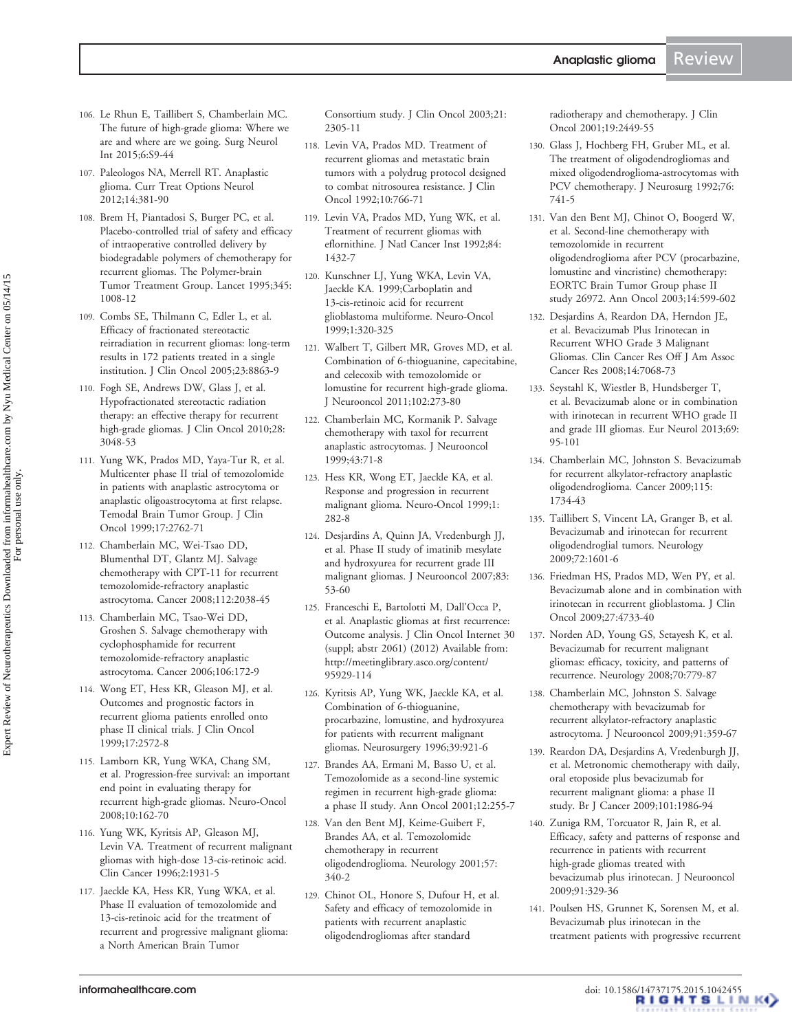- <span id="page-18-0"></span>106. Le Rhun E, Taillibert S, Chamberlain MC. [The future of high-grade glioma: Where we](http://www.ncbi.nlm.nih.gov/pubmed/25722939?dopt=Abstract) [are and where are we going](http://www.ncbi.nlm.nih.gov/pubmed/25722939?dopt=Abstract). Surg Neurol Int 2015;6:S9-44
- 107. Paleologos NA, Merrell RT. [Anaplastic](http://www.ncbi.nlm.nih.gov/pubmed/22665140?dopt=Abstract) [glioma](http://www.ncbi.nlm.nih.gov/pubmed/22665140?dopt=Abstract). Curr Treat Options Neurol 2012;14:381-90
- 108. Brem H, Piantadosi S, Burger PC, et al. [Placebo-controlled trial of safety and efficacy](http://www.ncbi.nlm.nih.gov/pubmed/7723496?dopt=Abstract) [of intraoperative controlled delivery by](http://www.ncbi.nlm.nih.gov/pubmed/7723496?dopt=Abstract) [biodegradable polymers of chemotherapy for](http://www.ncbi.nlm.nih.gov/pubmed/7723496?dopt=Abstract) [recurrent gliomas. The Polymer-brain](http://www.ncbi.nlm.nih.gov/pubmed/7723496?dopt=Abstract) [Tumor Treatment Group.](http://www.ncbi.nlm.nih.gov/pubmed/7723496?dopt=Abstract) Lancet 1995;345: 1008-12
- 109. Combs SE, Thilmann C, Edler L, et al. [Efficacy of fractionated stereotactic](http://www.ncbi.nlm.nih.gov/pubmed/16314646?dopt=Abstract) [reirradiation in recurrent gliomas: long-term](http://www.ncbi.nlm.nih.gov/pubmed/16314646?dopt=Abstract) [results in 172 patients treated in a single](http://www.ncbi.nlm.nih.gov/pubmed/16314646?dopt=Abstract) [institution.](http://www.ncbi.nlm.nih.gov/pubmed/16314646?dopt=Abstract) J Clin Oncol 2005;23:8863-9
- 110. Fogh SE, Andrews DW, Glass J, et al. [Hypofractionated stereotactic radiation](http://www.ncbi.nlm.nih.gov/pubmed/20479391?dopt=Abstract) [therapy: an effective therapy for recurrent](http://www.ncbi.nlm.nih.gov/pubmed/20479391?dopt=Abstract) [high-grade gliomas](http://www.ncbi.nlm.nih.gov/pubmed/20479391?dopt=Abstract). J Clin Oncol 2010;28: 3048-53
- 111. Yung WK, Prados MD, Yaya-Tur R, et al. [Multicenter phase II trial of temozolomide](http://www.ncbi.nlm.nih.gov/pubmed/10561351?dopt=Abstract) [in patients with anaplastic astrocytoma or](http://www.ncbi.nlm.nih.gov/pubmed/10561351?dopt=Abstract) [anaplastic oligoastrocytoma at first relapse.](http://www.ncbi.nlm.nih.gov/pubmed/10561351?dopt=Abstract) [Temodal Brain Tumor Group](http://www.ncbi.nlm.nih.gov/pubmed/10561351?dopt=Abstract). J Clin Oncol 1999;17:2762-71
- 112. Chamberlain MC, Wei-Tsao DD, Blumenthal DT, Glantz MJ. [Salvage](http://www.ncbi.nlm.nih.gov/pubmed/18361434?dopt=Abstract) [chemotherapy with CPT-11 for recurrent](http://www.ncbi.nlm.nih.gov/pubmed/18361434?dopt=Abstract) [temozolomide-refractory anaplastic](http://www.ncbi.nlm.nih.gov/pubmed/18361434?dopt=Abstract) [astrocytoma](http://www.ncbi.nlm.nih.gov/pubmed/18361434?dopt=Abstract). Cancer 2008;112:2038-45
- 113. Chamberlain MC, Tsao-Wei DD, Groshen S. [Salvage chemotherapy with](http://www.ncbi.nlm.nih.gov/pubmed/16323194?dopt=Abstract) [cyclophosphamide for recurrent](http://www.ncbi.nlm.nih.gov/pubmed/16323194?dopt=Abstract) [temozolomide-refractory anaplastic](http://www.ncbi.nlm.nih.gov/pubmed/16323194?dopt=Abstract) [astrocytoma](http://www.ncbi.nlm.nih.gov/pubmed/16323194?dopt=Abstract). Cancer 2006;106:172-9
- 114. Wong ET, Hess KR, Gleason MJ, et al. [Outcomes and prognostic factors in](http://www.ncbi.nlm.nih.gov/pubmed/10561324?dopt=Abstract) [recurrent glioma patients enrolled onto](http://www.ncbi.nlm.nih.gov/pubmed/10561324?dopt=Abstract) [phase II clinical trials](http://www.ncbi.nlm.nih.gov/pubmed/10561324?dopt=Abstract). J Clin Oncol 1999;17:2572-8
- 115. Lamborn KR, Yung WKA, Chang SM, et al. [Progression-free survival: an important](http://www.ncbi.nlm.nih.gov/pubmed/18356283?dopt=Abstract) [end point in evaluating therapy for](http://www.ncbi.nlm.nih.gov/pubmed/18356283?dopt=Abstract) [recurrent high-grade gliomas](http://www.ncbi.nlm.nih.gov/pubmed/18356283?dopt=Abstract). Neuro-Oncol 2008;10:162-70
- 116. Yung WK, Kyritsis AP, Gleason MJ, Levin VA. [Treatment of recurrent malignant](http://www.ncbi.nlm.nih.gov/pubmed/9816151?dopt=Abstract) [gliomas with high-dose 13-cis-retinoic acid.](http://www.ncbi.nlm.nih.gov/pubmed/9816151?dopt=Abstract) Clin Cancer 1996;2:1931-5
- 117. Jaeckle KA, Hess KR, Yung WKA, et al. [Phase II evaluation of temozolomide and](http://www.ncbi.nlm.nih.gov/pubmed/12805331?dopt=Abstract) [13-cis-retinoic acid for the treatment of](http://www.ncbi.nlm.nih.gov/pubmed/12805331?dopt=Abstract) [recurrent and progressive malignant glioma:](http://www.ncbi.nlm.nih.gov/pubmed/12805331?dopt=Abstract) [a North American Brain Tumor](http://www.ncbi.nlm.nih.gov/pubmed/12805331?dopt=Abstract)

[Consortium study.](http://www.ncbi.nlm.nih.gov/pubmed/12805331?dopt=Abstract) J Clin Oncol 2003;21: 2305-11

- 118. Levin VA, Prados MD. [Treatment of](http://www.ncbi.nlm.nih.gov/pubmed/1314890?dopt=Abstract) [recurrent gliomas and metastatic brain](http://www.ncbi.nlm.nih.gov/pubmed/1314890?dopt=Abstract) [tumors with a polydrug protocol designed](http://www.ncbi.nlm.nih.gov/pubmed/1314890?dopt=Abstract) [to combat nitrosourea resistance](http://www.ncbi.nlm.nih.gov/pubmed/1314890?dopt=Abstract). J Clin Oncol 1992;10:766-71
- 119. Levin VA, Prados MD, Yung WK, et al. [Treatment of recurrent gliomas with](http://www.ncbi.nlm.nih.gov/pubmed/1380989?dopt=Abstract) [eflornithine.](http://www.ncbi.nlm.nih.gov/pubmed/1380989?dopt=Abstract) J Natl Cancer Inst 1992;84: 1432-7
- 120. Kunschner LJ, Yung WKA, Levin VA, Jaeckle KA. 1999;Carboplatin and 13-cis-retinoic acid for recurrent glioblastoma multiforme. Neuro-Oncol 1999;1:320-325
- 121. Walbert T, Gilbert MR, Groves MD, et al. [Combination of 6-thioguanine, capecitabine,](http://www.ncbi.nlm.nih.gov/pubmed/20652724?dopt=Abstract) [and celecoxib with temozolomide or](http://www.ncbi.nlm.nih.gov/pubmed/20652724?dopt=Abstract) [lomustine for recurrent high-grade glioma.](http://www.ncbi.nlm.nih.gov/pubmed/20652724?dopt=Abstract) J Neurooncol 2011;102:273-80
- 122. Chamberlain MC, Kormanik P. [Salvage](http://www.ncbi.nlm.nih.gov/pubmed/10448874?dopt=Abstract) [chemotherapy with taxol for recurrent](http://www.ncbi.nlm.nih.gov/pubmed/10448874?dopt=Abstract) [anaplastic astrocytomas](http://www.ncbi.nlm.nih.gov/pubmed/10448874?dopt=Abstract). J Neurooncol 1999;43:71-8
- 123. Hess KR, Wong ET, Jaeckle KA, et al. [Response and progression in recurrent](http://www.ncbi.nlm.nih.gov/pubmed/11550320?dopt=Abstract) [malignant glioma.](http://www.ncbi.nlm.nih.gov/pubmed/11550320?dopt=Abstract) Neuro-Oncol 1999;1: 282-8
- 124. Desjardins A, Quinn JA, Vredenburgh JJ, et al. [Phase II study of imatinib mesylate](http://www.ncbi.nlm.nih.gov/pubmed/17245623?dopt=Abstract) [and hydroxyurea for recurrent grade III](http://www.ncbi.nlm.nih.gov/pubmed/17245623?dopt=Abstract) [malignant gliomas](http://www.ncbi.nlm.nih.gov/pubmed/17245623?dopt=Abstract). J Neurooncol 2007;83: 53-60
- 125. Franceschi E, Bartolotti M, Dall'Occa P, et al. Anaplastic gliomas at first recurrence: Outcome analysis. J Clin Oncol Internet 30 (suppl; abstr 2061) (2012) Available from: [http://meetinglibrary.asco.org/content/](http://meetinglibrary.asco.org/content/95929-114) [95929-114](http://meetinglibrary.asco.org/content/95929-114)
- 126. Kyritsis AP, Yung WK, Jaeckle KA, et al. [Combination of 6-thioguanine,](http://www.ncbi.nlm.nih.gov/pubmed/8905746?dopt=Abstract) [procarbazine, lomustine, and hydroxyurea](http://www.ncbi.nlm.nih.gov/pubmed/8905746?dopt=Abstract) [for patients with recurrent malignant](http://www.ncbi.nlm.nih.gov/pubmed/8905746?dopt=Abstract) [gliomas.](http://www.ncbi.nlm.nih.gov/pubmed/8905746?dopt=Abstract) Neurosurgery 1996;39:921-6
- 127. Brandes AA, Ermani M, Basso U, et al. [Temozolomide as a second-line systemic](http://www.ncbi.nlm.nih.gov/pubmed/11300334?dopt=Abstract) [regimen in recurrent high-grade glioma:](http://www.ncbi.nlm.nih.gov/pubmed/11300334?dopt=Abstract) [a phase II study.](http://www.ncbi.nlm.nih.gov/pubmed/11300334?dopt=Abstract) Ann Oncol 2001;12:255-7
- 128. Van den Bent MJ, Keime-Guibert F, Brandes AA, et al. [Temozolomide](http://www.ncbi.nlm.nih.gov/pubmed/11468326?dopt=Abstract) [chemotherapy in recurrent](http://www.ncbi.nlm.nih.gov/pubmed/11468326?dopt=Abstract) [oligodendroglioma](http://www.ncbi.nlm.nih.gov/pubmed/11468326?dopt=Abstract). Neurology 2001;57: 340-2
- 129. Chinot OL, Honore S, Dufour H, et al. [Safety and efficacy of temozolomide in](http://www.ncbi.nlm.nih.gov/pubmed/11331324?dopt=Abstract) [patients with recurrent anaplastic](http://www.ncbi.nlm.nih.gov/pubmed/11331324?dopt=Abstract) [oligodendrogliomas after standard](http://www.ncbi.nlm.nih.gov/pubmed/11331324?dopt=Abstract)

[radiotherapy and chemotherapy](http://www.ncbi.nlm.nih.gov/pubmed/11331324?dopt=Abstract). J Clin Oncol 2001;19:2449-55

- 130. Glass J, Hochberg FH, Gruber ML, et al. [The treatment of oligodendrogliomas and](http://www.ncbi.nlm.nih.gov/pubmed/1564535?dopt=Abstract) [mixed oligodendroglioma-astrocytomas with](http://www.ncbi.nlm.nih.gov/pubmed/1564535?dopt=Abstract) [PCV chemotherapy.](http://www.ncbi.nlm.nih.gov/pubmed/1564535?dopt=Abstract) J Neurosurg 1992;76: 741-5
- 131. Van den Bent MJ, Chinot O, Boogerd W, et al. [Second-line chemotherapy with](http://www.ncbi.nlm.nih.gov/pubmed/12649108?dopt=Abstract) [temozolomide in recurrent](http://www.ncbi.nlm.nih.gov/pubmed/12649108?dopt=Abstract) [oligodendroglioma after PCV \(procarbazine,](http://www.ncbi.nlm.nih.gov/pubmed/12649108?dopt=Abstract) [lomustine and vincristine\) chemotherapy:](http://www.ncbi.nlm.nih.gov/pubmed/12649108?dopt=Abstract) [EORTC Brain Tumor Group phase II](http://www.ncbi.nlm.nih.gov/pubmed/12649108?dopt=Abstract) [study 26972](http://www.ncbi.nlm.nih.gov/pubmed/12649108?dopt=Abstract). Ann Oncol 2003;14:599-602
- 132. Desjardins A, Reardon DA, Herndon JE, et al. [Bevacizumab Plus Irinotecan in](http://www.ncbi.nlm.nih.gov/pubmed/18981004?dopt=Abstract) [Recurrent WHO Grade 3 Malignant](http://www.ncbi.nlm.nih.gov/pubmed/18981004?dopt=Abstract) [Gliomas](http://www.ncbi.nlm.nih.gov/pubmed/18981004?dopt=Abstract). Clin Cancer Res Off J Am Assoc Cancer Res 2008;14:7068-73
- 133. Seystahl K, Wiestler B, Hundsberger T, et al. [Bevacizumab alone or in combination](http://www.ncbi.nlm.nih.gov/pubmed/23182901?dopt=Abstract) [with irinotecan in recurrent WHO grade II](http://www.ncbi.nlm.nih.gov/pubmed/23182901?dopt=Abstract) [and grade III gliomas](http://www.ncbi.nlm.nih.gov/pubmed/23182901?dopt=Abstract). Eur Neurol 2013;69: 95-101
- 134. Chamberlain MC, Johnston S. [Bevacizumab](http://www.ncbi.nlm.nih.gov/pubmed/19197992?dopt=Abstract) [for recurrent alkylator-refractory anaplastic](http://www.ncbi.nlm.nih.gov/pubmed/19197992?dopt=Abstract) [oligodendroglioma](http://www.ncbi.nlm.nih.gov/pubmed/19197992?dopt=Abstract). Cancer 2009;115: 1734-43
- 135. Taillibert S, Vincent LA, Granger B, et al. [Bevacizumab and irinotecan for recurrent](http://www.ncbi.nlm.nih.gov/pubmed/19414728?dopt=Abstract) [oligodendroglial tumors.](http://www.ncbi.nlm.nih.gov/pubmed/19414728?dopt=Abstract) Neurology 2009;72:1601-6
- 136. Friedman HS, Prados MD, Wen PY, et al. [Bevacizumab alone and in combination with](http://www.ncbi.nlm.nih.gov/pubmed/19720927?dopt=Abstract) [irinotecan in recurrent glioblastoma.](http://www.ncbi.nlm.nih.gov/pubmed/19720927?dopt=Abstract) J Clin Oncol 2009;27:4733-40
- 137. Norden AD, Young GS, Setayesh K, et al. [Bevacizumab for recurrent malignant](http://www.ncbi.nlm.nih.gov/pubmed/18316689?dopt=Abstract) [gliomas: efficacy, toxicity, and patterns of](http://www.ncbi.nlm.nih.gov/pubmed/18316689?dopt=Abstract) [recurrence](http://www.ncbi.nlm.nih.gov/pubmed/18316689?dopt=Abstract). Neurology 2008;70:779-87
- 138. Chamberlain MC, Johnston S. [Salvage](http://www.ncbi.nlm.nih.gov/pubmed/18953491?dopt=Abstract) [chemotherapy with bevacizumab for](http://www.ncbi.nlm.nih.gov/pubmed/18953491?dopt=Abstract) [recurrent alkylator-refractory anaplastic](http://www.ncbi.nlm.nih.gov/pubmed/18953491?dopt=Abstract) [astrocytoma](http://www.ncbi.nlm.nih.gov/pubmed/18953491?dopt=Abstract). J Neurooncol 2009;91:359-67
- 139. Reardon DA, Desjardins A, Vredenburgh JJ, et al. [Metronomic chemotherapy with daily,](http://www.ncbi.nlm.nih.gov/pubmed/19920819?dopt=Abstract) [oral etoposide plus bevacizumab for](http://www.ncbi.nlm.nih.gov/pubmed/19920819?dopt=Abstract) [recurrent malignant glioma: a phase II](http://www.ncbi.nlm.nih.gov/pubmed/19920819?dopt=Abstract) [study](http://www.ncbi.nlm.nih.gov/pubmed/19920819?dopt=Abstract). Br J Cancer 2009;101:1986-94
- 140. Zuniga RM, Torcuator R, Jain R, et al. [Efficacy, safety and patterns of response and](http://www.ncbi.nlm.nih.gov/pubmed/18953493?dopt=Abstract) [recurrence in patients with recurrent](http://www.ncbi.nlm.nih.gov/pubmed/18953493?dopt=Abstract) [high-grade gliomas treated with](http://www.ncbi.nlm.nih.gov/pubmed/18953493?dopt=Abstract) [bevacizumab plus irinotecan.](http://www.ncbi.nlm.nih.gov/pubmed/18953493?dopt=Abstract) J Neurooncol 2009;91:329-36
- 141. Poulsen HS, Grunnet K, Sorensen M, et al. [Bevacizumab plus irinotecan in the](http://www.ncbi.nlm.nih.gov/pubmed/19031176?dopt=Abstract) [treatment patients with progressive recurrent](http://www.ncbi.nlm.nih.gov/pubmed/19031176?dopt=Abstract)